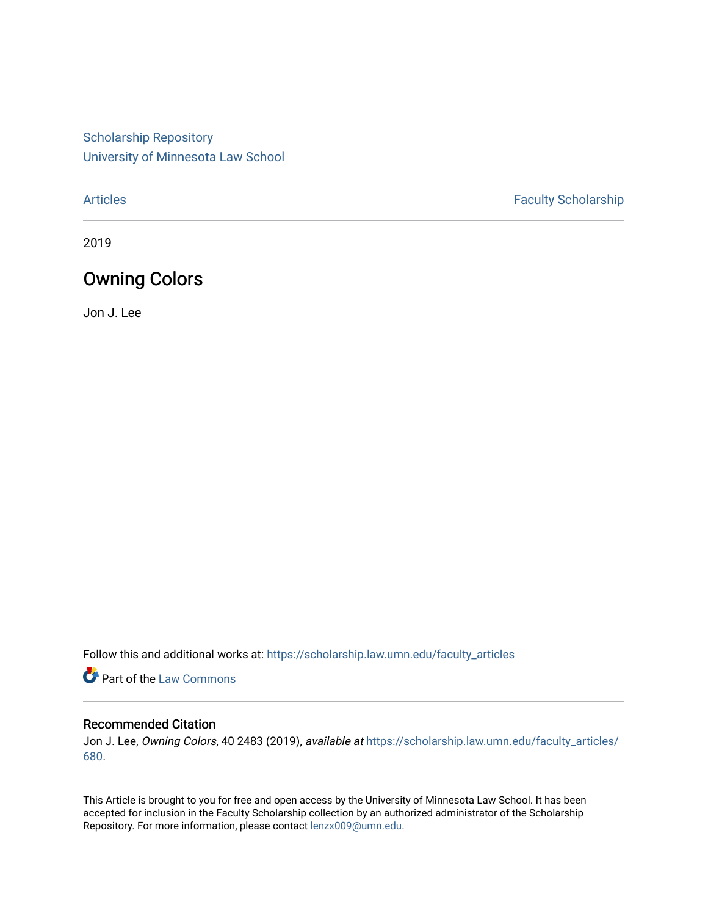[Scholarship Repository](https://scholarship.law.umn.edu/?utm_source=scholarship.law.umn.edu%2Ffaculty_articles%2F680&utm_medium=PDF&utm_campaign=PDFCoverPages) [University of Minnesota Law School](https://scholarship.law.umn.edu/?utm_source=scholarship.law.umn.edu%2Ffaculty_articles%2F680&utm_medium=PDF&utm_campaign=PDFCoverPages)

[Articles](https://scholarship.law.umn.edu/faculty_articles?utm_source=scholarship.law.umn.edu%2Ffaculty_articles%2F680&utm_medium=PDF&utm_campaign=PDFCoverPages) **Faculty Scholarship** 

2019

# Owning Colors

Jon J. Lee

Follow this and additional works at: [https://scholarship.law.umn.edu/faculty\\_articles](https://scholarship.law.umn.edu/faculty_articles?utm_source=scholarship.law.umn.edu%2Ffaculty_articles%2F680&utm_medium=PDF&utm_campaign=PDFCoverPages)

Part of the [Law Commons](https://network.bepress.com/hgg/discipline/578?utm_source=scholarship.law.umn.edu%2Ffaculty_articles%2F680&utm_medium=PDF&utm_campaign=PDFCoverPages)

## Recommended Citation

Jon J. Lee, Owning Colors, 40 2483 (2019), available at [https://scholarship.law.umn.edu/faculty\\_articles/](https://scholarship.law.umn.edu/faculty_articles/680?utm_source=scholarship.law.umn.edu%2Ffaculty_articles%2F680&utm_medium=PDF&utm_campaign=PDFCoverPages) [680.](https://scholarship.law.umn.edu/faculty_articles/680?utm_source=scholarship.law.umn.edu%2Ffaculty_articles%2F680&utm_medium=PDF&utm_campaign=PDFCoverPages)

This Article is brought to you for free and open access by the University of Minnesota Law School. It has been accepted for inclusion in the Faculty Scholarship collection by an authorized administrator of the Scholarship Repository. For more information, please contact [lenzx009@umn.edu.](mailto:lenzx009@umn.edu)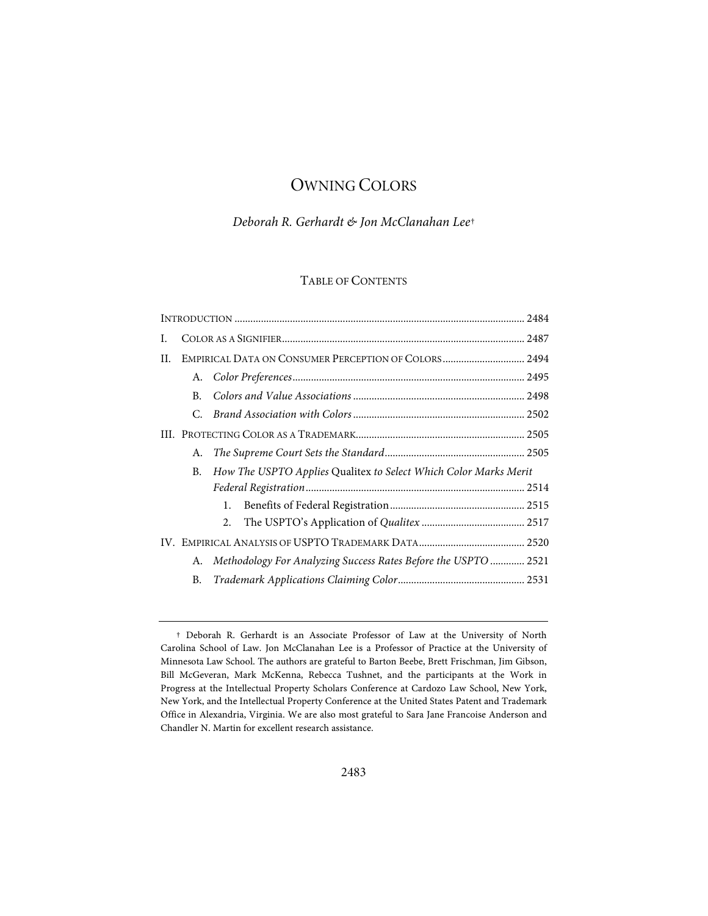# OWNING COLORS

# *Deborah R. Gerhardt & Jon McClanahan Lee*[†](#page-1-0)

# TABLE OF CONTENTS

| Ι. |           |                                                                  |  |
|----|-----------|------------------------------------------------------------------|--|
| H. |           |                                                                  |  |
|    |           |                                                                  |  |
|    | В.        |                                                                  |  |
|    | C.        |                                                                  |  |
|    |           |                                                                  |  |
|    | А.        |                                                                  |  |
|    | В.        | How The USPTO Applies Qualitex to Select Which Color Marks Merit |  |
|    |           |                                                                  |  |
|    |           | 1.                                                               |  |
|    |           | 2.                                                               |  |
|    |           |                                                                  |  |
|    | А.        | Methodology For Analyzing Success Rates Before the USPTO  2521   |  |
|    | <b>B.</b> |                                                                  |  |

<span id="page-1-0"></span><sup>†</sup> Deborah R. Gerhardt is an Associate Professor of Law at the University of North Carolina School of Law. Jon McClanahan Lee is a Professor of Practice at the University of Minnesota Law School. The authors are grateful to Barton Beebe, Brett Frischman, Jim Gibson, Bill McGeveran, Mark McKenna, Rebecca Tushnet, and the participants at the Work in Progress at the Intellectual Property Scholars Conference at Cardozo Law School, New York, New York, and the Intellectual Property Conference at the United States Patent and Trademark Office in Alexandria, Virginia. We are also most grateful to Sara Jane Francoise Anderson and Chandler N. Martin for excellent research assistance.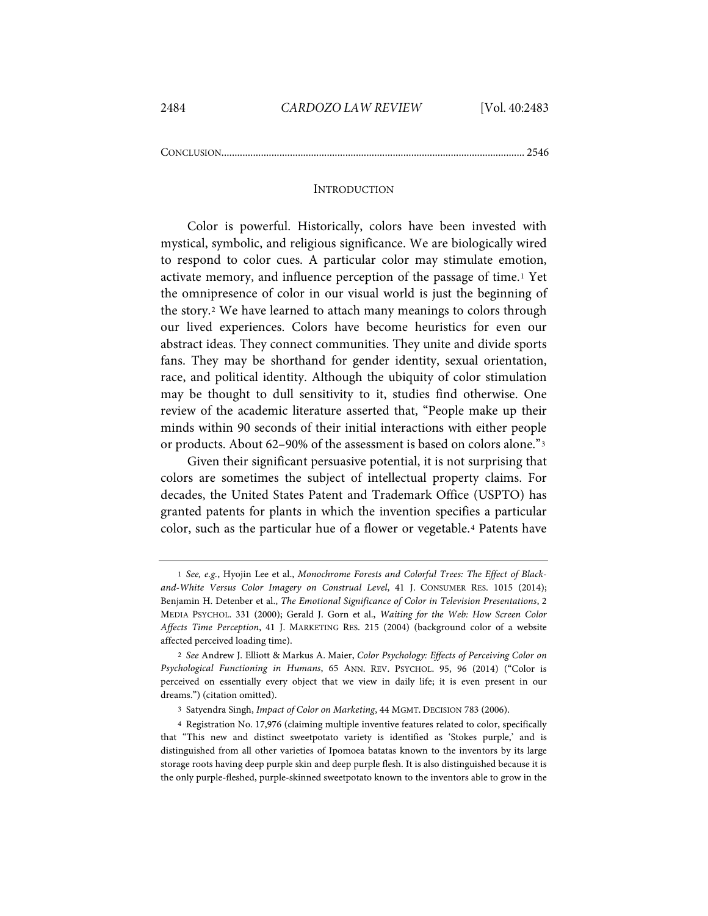CONCLUSION................................................................................................................... 2546

#### <span id="page-2-6"></span><span id="page-2-5"></span>**INTRODUCTION**

<span id="page-2-4"></span>Color is powerful. Historically, colors have been invested with mystical, symbolic, and religious significance. We are biologically wired to respond to color cues. A particular color may stimulate emotion, activate memory, and influence perception of the passage of time.[1](#page-2-0) Yet the omnipresence of color in our visual world is just the beginning of the story.[2](#page-2-1) We have learned to attach many meanings to colors through our lived experiences. Colors have become heuristics for even our abstract ideas. They connect communities. They unite and divide sports fans. They may be shorthand for gender identity, sexual orientation, race, and political identity. Although the ubiquity of color stimulation may be thought to dull sensitivity to it, studies find otherwise. One review of the academic literature asserted that, "People make up their minds within 90 seconds of their initial interactions with either people or products. About 62–90% of the assessment is based on colors alone."[3](#page-2-2)

Given their significant persuasive potential, it is not surprising that colors are sometimes the subject of intellectual property claims. For decades, the United States Patent and Trademark Office (USPTO) has granted patents for plants in which the invention specifies a particular color, such as the particular hue of a flower or vegetable.[4](#page-2-3) Patents have

<span id="page-2-0"></span><sup>1</sup> *See, e.g.*, Hyojin Lee et al., *Monochrome Forests and Colorful Trees: The Effect of Blackand-White Versus Color Imagery on Construal Level*, 41 J. CONSUMER RES. 1015 (2014); Benjamin H. Detenber et al., *The Emotional Significance of Color in Television Presentations*, 2 MEDIA PSYCHOL. 331 (2000); Gerald J. Gorn et al., *Waiting for the Web: How Screen Color Affects Time Perception*, 41 J. MARKETING RES. 215 (2004) (background color of a website affected perceived loading time).

<span id="page-2-1"></span><sup>2</sup> *See* Andrew J. Elliott & Markus A. Maier, *Color Psychology: Effects of Perceiving Color on Psychological Functioning in Humans*, 65 ANN. REV. PSYCHOL. 95, 96 (2014) ("Color is perceived on essentially every object that we view in daily life; it is even present in our dreams.") (citation omitted).

<sup>3</sup> Satyendra Singh, *Impact of Color on Marketing*, 44 MGMT. DECISION 783 (2006).

<span id="page-2-3"></span><span id="page-2-2"></span><sup>4</sup> Registration No. 17,976 (claiming multiple inventive features related to color, specifically that "This new and distinct sweetpotato variety is identified as 'Stokes purple,' and is distinguished from all other varieties of Ipomoea batatas known to the inventors by its large storage roots having deep purple skin and deep purple flesh. It is also distinguished because it is the only purple-fleshed, purple-skinned sweetpotato known to the inventors able to grow in the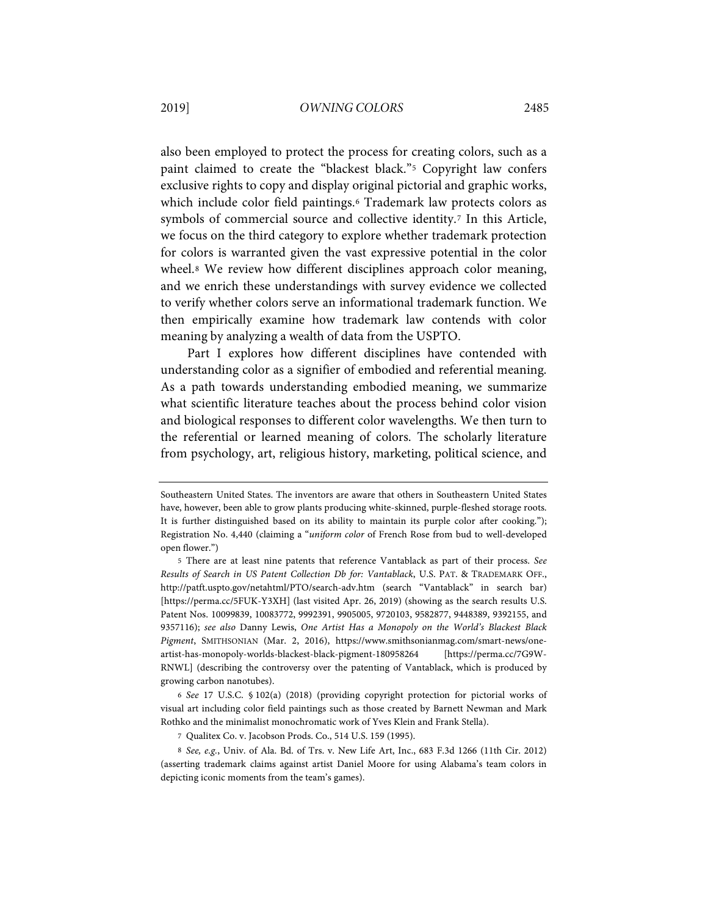also been employed to protect the process for creating colors, such as a paint claimed to create the "blackest black."[5](#page-3-0) Copyright law confers exclusive rights to copy and display original pictorial and graphic works, which include color field paintings.[6](#page-3-1) Trademark law protects colors as symbols of commercial source and collective identity.<sup>[7](#page-3-2)</sup> In this Article, we focus on the third category to explore whether trademark protection for colors is warranted given the vast expressive potential in the color wheel.<sup>[8](#page-3-3)</sup> We review how different disciplines approach color meaning, and we enrich these understandings with survey evidence we collected to verify whether colors serve an informational trademark function. We then empirically examine how trademark law contends with color meaning by analyzing a wealth of data from the USPTO.

Part I explores how different disciplines have contended with understanding color as a signifier of embodied and referential meaning. As a path towards understanding embodied meaning, we summarize what scientific literature teaches about the process behind color vision and biological responses to different color wavelengths. We then turn to the referential or learned meaning of colors. The scholarly literature from psychology, art, religious history, marketing, political science, and

<span id="page-3-1"></span>6 *See* 17 U.S.C. § 102(a) (2018) (providing copyright protection for pictorial works of visual art including color field paintings such as those created by Barnett Newman and Mark Rothko and the minimalist monochromatic work of Yves Klein and Frank Stella).

Southeastern United States. The inventors are aware that others in Southeastern United States have, however, been able to grow plants producing white-skinned, purple-fleshed storage roots. It is further distinguished based on its ability to maintain its purple color after cooking."); Registration No. 4,440 (claiming a "*uniform color* of French Rose from bud to well-developed open flower.")

<span id="page-3-0"></span><sup>5</sup> There are at least nine patents that reference Vantablack as part of their process. *See Results of Search in US Patent Collection Db for: Vantablack*, U.S. PAT. & TRADEMARK OFF., http://patft.uspto.gov/netahtml/PTO/search-adv.htm (search "Vantablack" in search bar) [https://perma.cc/5FUK-Y3XH] (last visited Apr. 26, 2019) (showing as the search results U.S. Patent Nos. 10099839, 10083772, 9992391, 9905005, 9720103, 9582877, 9448389, 9392155, and 9357116); *see also* Danny Lewis, *One Artist Has a Monopoly on the World's Blackest Black Pigment*, SMITHSONIAN (Mar. 2, 2016), https://www.smithsonianmag.com/smart-news/oneartist-has-monopoly-worlds-blackest-black-pigment-180958264 [https://perma.cc/7G9W-RNWL] (describing the controversy over the patenting of Vantablack, which is produced by growing carbon nanotubes).

<sup>7</sup> Qualitex Co. v. Jacobson Prods. Co., 514 U.S. 159 (1995).

<span id="page-3-3"></span><span id="page-3-2"></span><sup>8</sup> *See, e.g.*, Univ. of Ala. Bd. of Trs. v. New Life Art, Inc., 683 F.3d 1266 (11th Cir. 2012) (asserting trademark claims against artist Daniel Moore for using Alabama's team colors in depicting iconic moments from the team's games).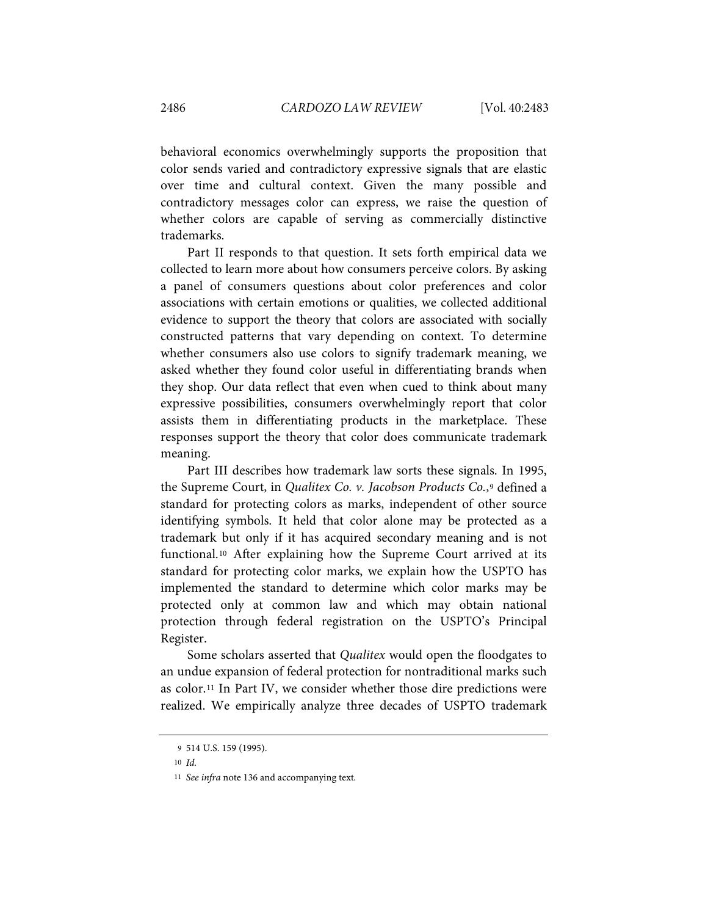behavioral economics overwhelmingly supports the proposition that color sends varied and contradictory expressive signals that are elastic over time and cultural context. Given the many possible and contradictory messages color can express, we raise the question of whether colors are capable of serving as commercially distinctive trademarks.

Part II responds to that question. It sets forth empirical data we collected to learn more about how consumers perceive colors. By asking a panel of consumers questions about color preferences and color associations with certain emotions or qualities, we collected additional evidence to support the theory that colors are associated with socially constructed patterns that vary depending on context. To determine whether consumers also use colors to signify trademark meaning, we asked whether they found color useful in differentiating brands when they shop. Our data reflect that even when cued to think about many expressive possibilities, consumers overwhelmingly report that color assists them in differentiating products in the marketplace. These responses support the theory that color does communicate trademark meaning.

Part III describes how trademark law sorts these signals. In 1995, the Supreme Court, in *Qualitex Co. v. Jacobson Products Co.*,[9](#page-4-0) defined a standard for protecting colors as marks, independent of other source identifying symbols. It held that color alone may be protected as a trademark but only if it has acquired secondary meaning and is not functional.[10](#page-4-1) After explaining how the Supreme Court arrived at its standard for protecting color marks, we explain how the USPTO has implemented the standard to determine which color marks may be protected only at common law and which may obtain national protection through federal registration on the USPTO's Principal Register.

Some scholars asserted that *Qualitex* would open the floodgates to an undue expansion of federal protection for nontraditional marks such as color.[11](#page-4-2) In Part IV, we consider whether those dire predictions were realized. We empirically analyze three decades of USPTO trademark

<sup>9</sup> 514 U.S. 159 (1995).

<span id="page-4-1"></span><span id="page-4-0"></span><sup>10</sup> *Id.*

<span id="page-4-2"></span><sup>11</sup> *See infra* note [136](#page-32-0) and accompanying text*.*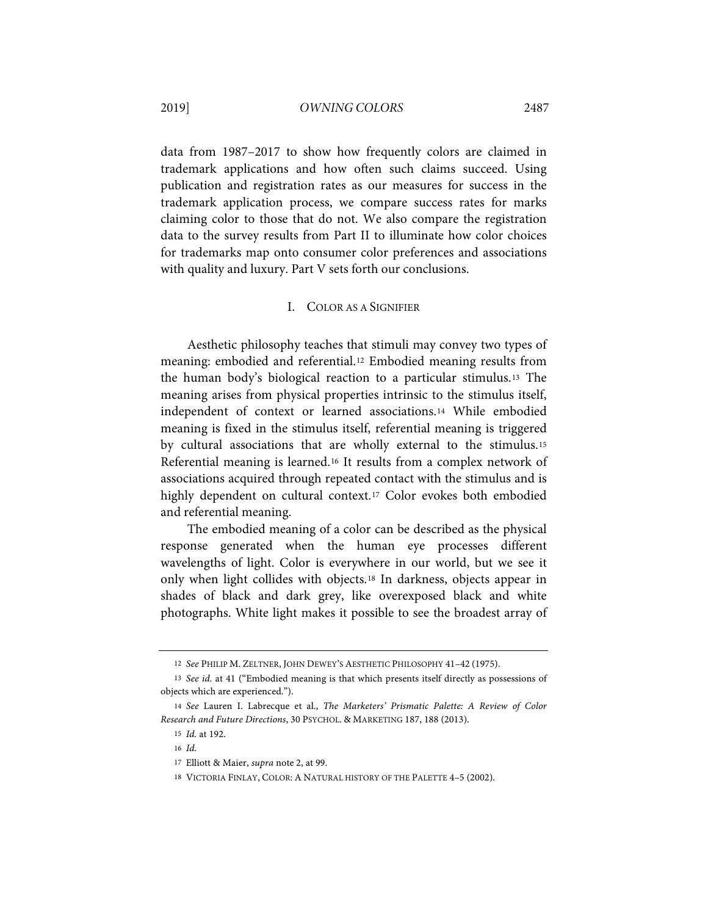data from 1987–2017 to show how frequently colors are claimed in trademark applications and how often such claims succeed. Using publication and registration rates as our measures for success in the trademark application process, we compare success rates for marks claiming color to those that do not. We also compare the registration data to the survey results from Part II to illuminate how color choices for trademarks map onto consumer color preferences and associations with quality and luxury. Part V sets forth our conclusions.

#### <span id="page-5-8"></span><span id="page-5-7"></span>I. COLOR AS A SIGNIFIER

Aesthetic philosophy teaches that stimuli may convey two types of meaning: embodied and referential[.12](#page-5-0) Embodied meaning results from the human body's biological reaction to a particular stimulus.[13](#page-5-1) The meaning arises from physical properties intrinsic to the stimulus itself, independent of context or learned associations.[14](#page-5-2) While embodied meaning is fixed in the stimulus itself, referential meaning is triggered by cultural associations that are wholly external to the stimulus.[15](#page-5-3) Referential meaning is learned.[16](#page-5-4) It results from a complex network of associations acquired through repeated contact with the stimulus and is highly dependent on cultural context.[17](#page-5-5) Color evokes both embodied and referential meaning.

The embodied meaning of a color can be described as the physical response generated when the human eye processes different wavelengths of light. Color is everywhere in our world, but we see it only when light collides with objects.[18](#page-5-6) In darkness, objects appear in shades of black and dark grey, like overexposed black and white photographs. White light makes it possible to see the broadest array of

<sup>12</sup> *See* PHILIP M. ZELTNER, JOHN DEWEY'S AESTHETIC PHILOSOPHY 41–42 (1975).

<span id="page-5-1"></span><span id="page-5-0"></span><sup>13</sup> *See id.* at 41 ("Embodied meaning is that which presents itself directly as possessions of objects which are experienced.").

<span id="page-5-5"></span><span id="page-5-4"></span><span id="page-5-3"></span><span id="page-5-2"></span><sup>14</sup> *See* Lauren I. Labrecque et al., *The Marketers' Prismatic Palette: A Review of Color Research and Future Directions*, 30 PSYCHOL. & MARKETING 187, 188 (2013).

<sup>15</sup> *Id.* at 192.

<sup>16</sup> *Id.*

<sup>17</sup> Elliott & Maier, *supra* not[e 2,](#page-2-4) at 99.

<span id="page-5-6"></span><sup>18</sup> VICTORIA FINLAY, COLOR: A NATURAL HISTORY OF THE PALETTE 4–5 (2002).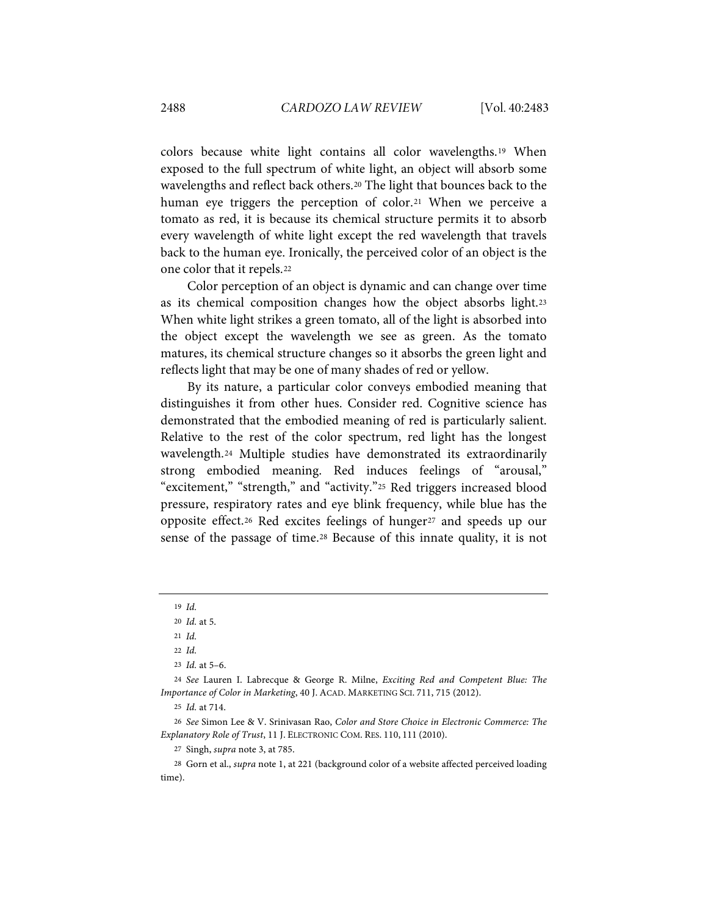colors because white light contains all color wavelengths.[19](#page-6-0) When exposed to the full spectrum of white light, an object will absorb some wavelengths and reflect back others.[20](#page-6-1) The light that bounces back to the human eye triggers the perception of color.<sup>[21](#page-6-2)</sup> When we perceive a tomato as red, it is because its chemical structure permits it to absorb every wavelength of white light except the red wavelength that travels back to the human eye. Ironically, the perceived color of an object is the one color that it repels.[22](#page-6-3)

Color perception of an object is dynamic and can change over time as its chemical composition changes how the object absorbs light.[23](#page-6-4) When white light strikes a green tomato, all of the light is absorbed into the object except the wavelength we see as green. As the tomato matures, its chemical structure changes so it absorbs the green light and reflects light that may be one of many shades of red or yellow.

<span id="page-6-10"></span>By its nature, a particular color conveys embodied meaning that distinguishes it from other hues. Consider red. Cognitive science has demonstrated that the embodied meaning of red is particularly salient. Relative to the rest of the color spectrum, red light has the longest wavelength.[24](#page-6-5) Multiple studies have demonstrated its extraordinarily strong embodied meaning. Red induces feelings of "arousal," "excitement," "strength," and "activity."[25](#page-6-6) Red triggers increased blood pressure, respiratory rates and eye blink frequency, while blue has the opposite effect.[26](#page-6-7) Red excites feelings of hunger[27](#page-6-8) and speeds up our sense of the passage of time[.28](#page-6-9) Because of this innate quality, it is not

<span id="page-6-11"></span><span id="page-6-0"></span><sup>19</sup> *Id.*

<sup>20</sup> *Id.* at 5.

<sup>21</sup> *Id.*

<sup>22</sup> *Id.*

<sup>23</sup> *Id.* at 5–6.

<span id="page-6-5"></span><span id="page-6-4"></span><span id="page-6-3"></span><span id="page-6-2"></span><span id="page-6-1"></span><sup>24</sup> *See* Lauren I. Labrecque & George R. Milne, *Exciting Red and Competent Blue: The Importance of Color in Marketing*, 40 J. ACAD. MARKETING SCI. 711, 715 (2012).

<sup>25</sup> *Id.* at 714.

<span id="page-6-7"></span><span id="page-6-6"></span><sup>26</sup> *See* Simon Lee & V. Srinivasan Rao, *Color and Store Choice in Electronic Commerce: The Explanatory Role of Trust*, 11 J. ELECTRONIC COM. RES. 110, 111 (2010).

<sup>27</sup> Singh, *supra* note [3,](#page-2-5) at 785.

<span id="page-6-9"></span><span id="page-6-8"></span><sup>28</sup> Gorn et al., *supra* note [1,](#page-2-6) at 221 (background color of a website affected perceived loading time).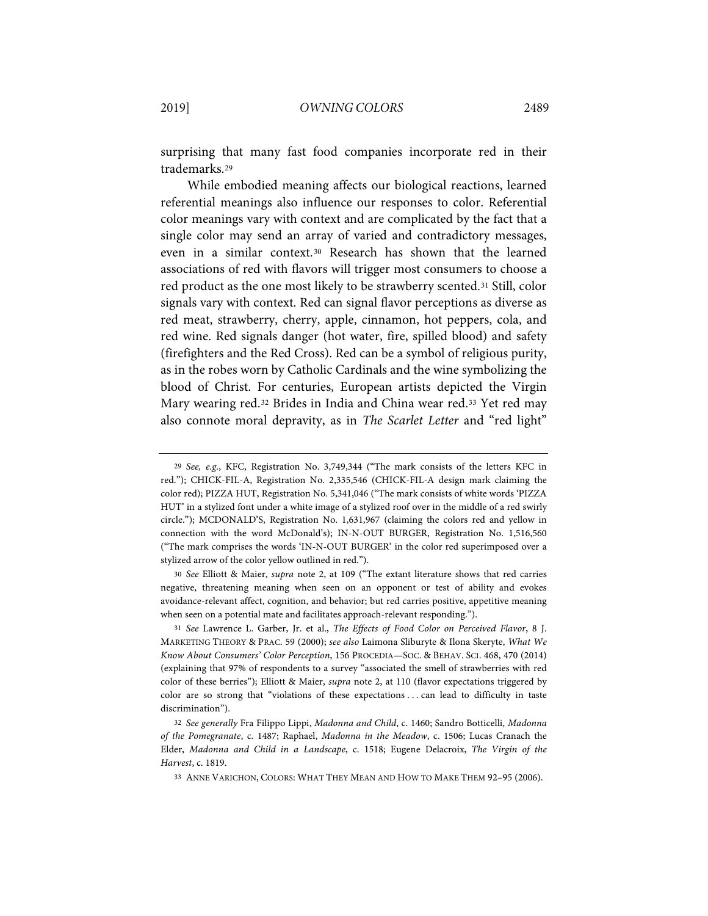surprising that many fast food companies incorporate red in their trademarks.[29](#page-7-0)

While embodied meaning affects our biological reactions, learned referential meanings also influence our responses to color. Referential color meanings vary with context and are complicated by the fact that a single color may send an array of varied and contradictory messages, even in a similar context.[30](#page-7-1) Research has shown that the learned associations of red with flavors will trigger most consumers to choose a red product as the one most likely to be strawberry scented.[31](#page-7-2) Still, color signals vary with context. Red can signal flavor perceptions as diverse as red meat, strawberry, cherry, apple, cinnamon, hot peppers, cola, and red wine. Red signals danger (hot water, fire, spilled blood) and safety (firefighters and the Red Cross). Red can be a symbol of religious purity, as in the robes worn by Catholic Cardinals and the wine symbolizing the blood of Christ. For centuries, European artists depicted the Virgin Mary wearing red.[32](#page-7-3) Brides in India and China wear red[.33](#page-7-4) Yet red may also connote moral depravity, as in *The Scarlet Letter* and "red light"

<span id="page-7-1"></span>30 *See* Elliott & Maier, *supra* note [2,](#page-2-4) at 109 ("The extant literature shows that red carries negative, threatening meaning when seen on an opponent or test of ability and evokes avoidance-relevant affect, cognition, and behavior; but red carries positive, appetitive meaning when seen on a potential mate and facilitates approach-relevant responding.").

<span id="page-7-2"></span>31 *See* Lawrence L. Garber, Jr. et al., *The Effects of Food Color on Perceived Flavor*, 8 J. MARKETING THEORY & PRAC. 59 (2000); *see also* Laimona Sliburyte & Ilona Skeryte, *What We Know About Consumers' Color Perception*, 156 PROCEDIA—SOC. & BEHAV. SCI. 468, 470 (2014) (explaining that 97% of respondents to a survey "associated the smell of strawberries with red color of these berries"); Elliott & Maier, *supra* note [2,](#page-2-4) at 110 (flavor expectations triggered by color are so strong that "violations of these expectations . . . can lead to difficulty in taste discrimination").

<span id="page-7-0"></span><sup>29</sup> *See, e.g.*, KFC, Registration No. 3,749,344 ("The mark consists of the letters KFC in red."); CHICK-FIL-A, Registration No. 2,335,546 (CHICK-FIL-A design mark claiming the color red); PIZZA HUT, Registration No. 5,341,046 ("The mark consists of white words 'PIZZA HUT' in a stylized font under a white image of a stylized roof over in the middle of a red swirly circle."); MCDONALD'S, Registration No. 1,631,967 (claiming the colors red and yellow in connection with the word McDonald's); IN-N-OUT BURGER, Registration No. 1,516,560 ("The mark comprises the words 'IN-N-OUT BURGER' in the color red superimposed over a stylized arrow of the color yellow outlined in red.").

<span id="page-7-4"></span><span id="page-7-3"></span><sup>32</sup> *See generally* Fra Filippo Lippi, *Madonna and Child*, c. 1460; Sandro Botticelli, *Madonna of the Pomegranate*, c. 1487; Raphael, *Madonna in the Meadow*, c. 1506; Lucas Cranach the Elder, *Madonna and Child in a Landscape*, c. 1518; Eugene Delacroix, *The Virgin of the Harvest*, c. 1819.

<sup>33</sup> ANNE VARICHON, COLORS: WHAT THEY MEAN AND HOW TO MAKE THEM 92–95 (2006).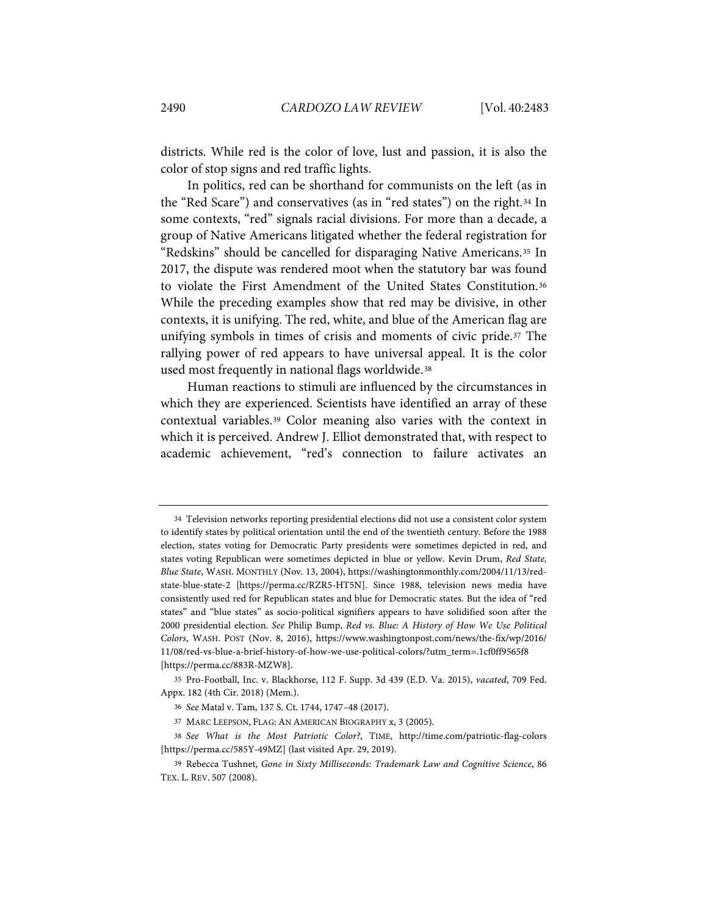districts. While red is the color of love, lust and passion, it is also the color of stop signs and red traffic lights.

In politics, red can be shorthand for communists on the left (as in the "Red Scare") and conservatives (as in "red states") on the right.[34](#page-8-0) In some contexts, "red" signals racial divisions. For more than a decade, a group of Native Americans litigated whether the federal registration for "Redskins" should be cancelled for disparaging Native Americans.[35](#page-8-1) In 2017, the dispute was rendered moot when the statutory bar was found to violate the First Amendment of the United States Constitution.[36](#page-8-2) While the preceding examples show that red may be divisive, in other contexts, it is unifying. The red, white, and blue of the American flag are unifying symbols in times of crisis and moments of civic pride.[37](#page-8-3) The rallying power of red appears to have universal appeal. It is the color used most frequently in national flags worldwide.[38](#page-8-4)

Human reactions to stimuli are influenced by the circumstances in which they are experienced. Scientists have identified an array of these contextual variables.[39](#page-8-5) Color meaning also varies with the context in which it is perceived. Andrew J. Elliot demonstrated that, with respect to academic achievement, "red's connection to failure activates an

<span id="page-8-0"></span><sup>34</sup> Television networks reporting presidential elections did not use a consistent color system to identify states by political orientation until the end of the twentieth century. Before the 1988 election, states voting for Democratic Party presidents were sometimes depicted in red, and states voting Republican were sometimes depicted in blue or yellow. Kevin Drum, *Red State, Blue State*, WASH. MONTHLY (Nov. 13, 2004), https://washingtonmonthly.com/2004/11/13/redstate-blue-state-2 [https://perma.cc/RZR5-HT5N]. Since 1988, television news media have consistently used red for Republican states and blue for Democratic states. But the idea of "red states" and "blue states" as socio-political signifiers appears to have solidified soon after the 2000 presidential election. *See* Philip Bump, *Red vs. Blue: A History of How We Use Political Colors*, WASH. POST (Nov. 8, 2016), https://www.washingtonpost.com/news/the-fix/wp/2016/ 11/08/red-vs-blue-a-brief-history-of-how-we-use-political-colors/?utm\_term=.1cf0ff9565f8 [https://perma.cc/883R-MZW8].

<span id="page-8-2"></span><span id="page-8-1"></span><sup>35</sup> Pro-Football, Inc. v. Blackhorse, 112 F. Supp. 3d 439 (E.D. Va. 2015), *vacated*, 709 Fed. Appx. 182 (4th Cir. 2018) (Mem.).

<sup>36</sup> *See* Matal v. Tam, 137 S. Ct. 1744, 1747–48 (2017).

<sup>37</sup> MARC LEEPSON, FLAG: AN AMERICAN BIOGRAPHY x, 3 (2005).

<span id="page-8-4"></span><span id="page-8-3"></span><sup>38</sup> *See What is the Most Patriotic Color?*, TIME, http://time.com/patriotic-flag-colors [https://perma.cc/585Y-49MZ] (last visited Apr. 29, 2019).

<span id="page-8-5"></span><sup>39</sup> Rebecca Tushnet, *Gone in Sixty Milliseconds: Trademark Law and Cognitive Science*, 86 TEX. L. REV. 507 (2008).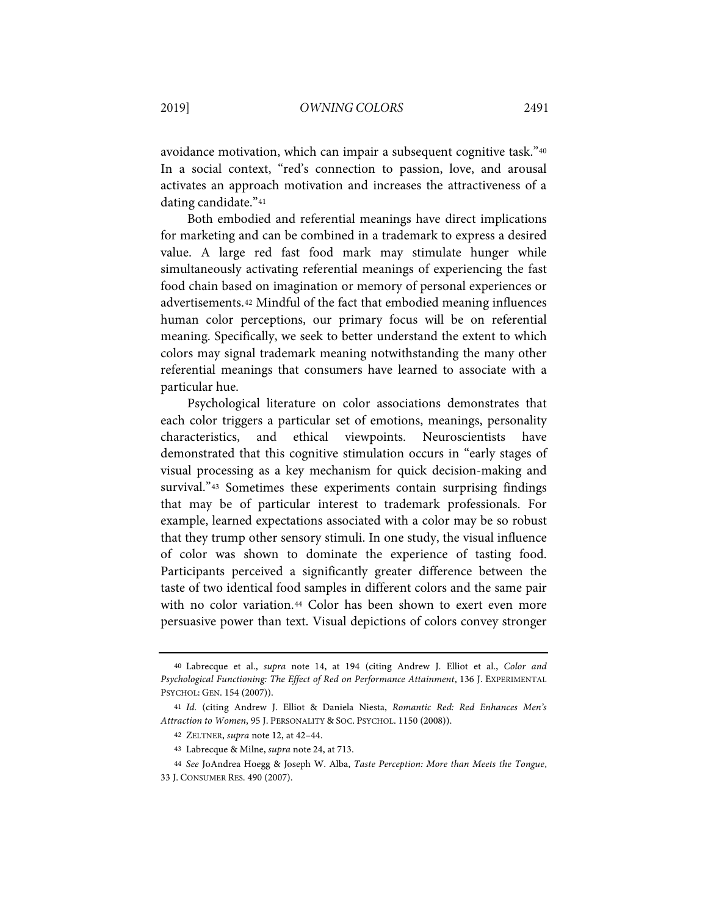avoidance motivation, which can impair a subsequent cognitive task."[40](#page-9-0) In a social context, "red's connection to passion, love, and arousal activates an approach motivation and increases the attractiveness of a dating candidate."[41](#page-9-1)

Both embodied and referential meanings have direct implications for marketing and can be combined in a trademark to express a desired value. A large red fast food mark may stimulate hunger while simultaneously activating referential meanings of experiencing the fast food chain based on imagination or memory of personal experiences or advertisements.[42](#page-9-2) Mindful of the fact that embodied meaning influences human color perceptions, our primary focus will be on referential meaning. Specifically, we seek to better understand the extent to which colors may signal trademark meaning notwithstanding the many other referential meanings that consumers have learned to associate with a particular hue.

Psychological literature on color associations demonstrates that each color triggers a particular set of emotions, meanings, personality characteristics, and ethical viewpoints. Neuroscientists have demonstrated that this cognitive stimulation occurs in "early stages of visual processing as a key mechanism for quick decision-making and survival."<sup>[43](#page-9-3)</sup> Sometimes these experiments contain surprising findings that may be of particular interest to trademark professionals. For example, learned expectations associated with a color may be so robust that they trump other sensory stimuli. In one study, the visual influence of color was shown to dominate the experience of tasting food. Participants perceived a significantly greater difference between the taste of two identical food samples in different colors and the same pair with no color variation.[44](#page-9-4) Color has been shown to exert even more persuasive power than text. Visual depictions of colors convey stronger

<span id="page-9-0"></span><sup>40</sup> Labrecque et al., *supra* note [14,](#page-5-7) at 194 (citing Andrew J. Elliot et al., *Color and Psychological Functioning: The Effect of Red on Performance Attainment*, 136 J. EXPERIMENTAL PSYCHOL: GEN. 154 (2007)).

<span id="page-9-2"></span><span id="page-9-1"></span><sup>41</sup> *Id.* (citing Andrew J. Elliot & Daniela Niesta, *Romantic Red: Red Enhances Men's Attraction to Women*, 95 J. PERSONALITY & SOC. PSYCHOL. 1150 (2008)).

<sup>42</sup> ZELTNER, *supra* not[e 12,](#page-5-8) at 42–44.

<sup>43</sup> Labrecque & Milne, *supra* note [24,](#page-6-10) at 713.

<sup>44</sup> *See* JoAndrea Hoegg & Joseph W. Alba, *Taste Perception: More than Meets the Tongue*,

<span id="page-9-4"></span><span id="page-9-3"></span><sup>33</sup> J. CONSUMER RES. 490 (2007).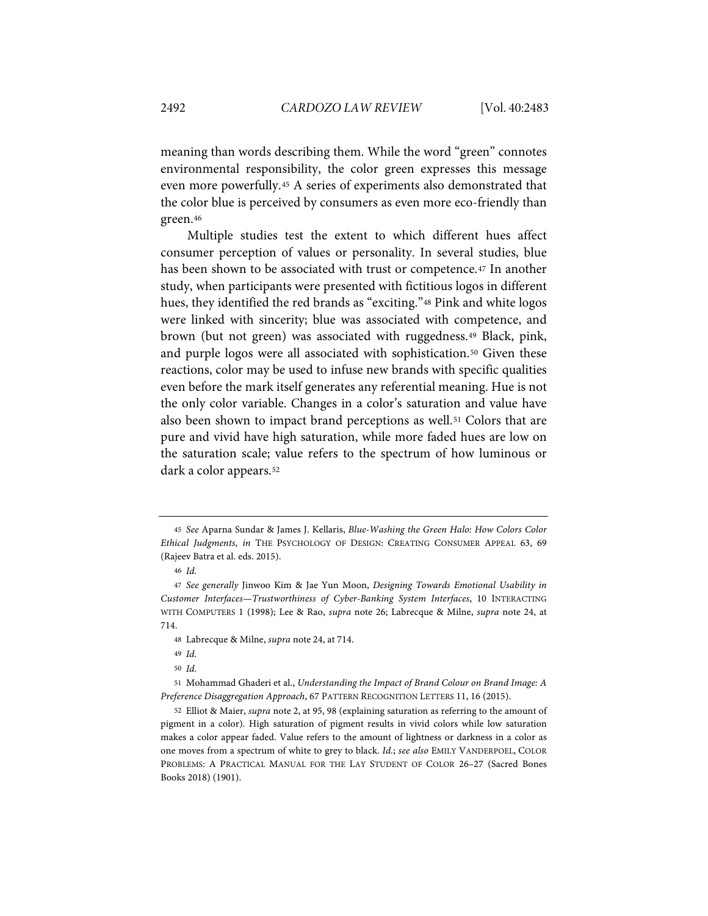meaning than words describing them. While the word "green" connotes environmental responsibility, the color green expresses this message even more powerfully.[45](#page-10-0) A series of experiments also demonstrated that the color blue is perceived by consumers as even more eco-friendly than green.[46](#page-10-1)

Multiple studies test the extent to which different hues affect consumer perception of values or personality. In several studies, blue has been shown to be associated with trust or competence.<sup>[47](#page-10-2)</sup> In another study, when participants were presented with fictitious logos in different hues, they identified the red brands as "exciting."<sup>48</sup> Pink and white logos were linked with sincerity; blue was associated with competence, and brown (but not green) was associated with ruggedness.[49](#page-10-4) Black, pink, and purple logos were all associated with sophistication.<sup>[50](#page-10-5)</sup> Given these reactions, color may be used to infuse new brands with specific qualities even before the mark itself generates any referential meaning. Hue is not the only color variable. Changes in a color's saturation and value have also been shown to impact brand perceptions as well.<sup>[51](#page-10-6)</sup> Colors that are pure and vivid have high saturation, while more faded hues are low on the saturation scale; value refers to the spectrum of how luminous or dark a color appears.[52](#page-10-7)

<span id="page-10-0"></span><sup>45</sup> *See* Aparna Sundar & James J. Kellaris, *Blue-Washing the Green Halo: How Colors Color Ethical Judgments*, *in* THE PSYCHOLOGY OF DESIGN: CREATING CONSUMER APPEAL 63, 69 (Rajeev Batra et al. eds. 2015).

<sup>46</sup> *Id.*

<span id="page-10-2"></span><span id="page-10-1"></span><sup>47</sup> *See generally* Jinwoo Kim & Jae Yun Moon, *Designing Towards Emotional Usability in Customer Interfaces—Trustworthiness of Cyber-Banking System Interfaces*, 10 INTERACTING WITH COMPUTERS 1 (1998); Lee & Rao, *supra* note [26;](#page-6-11) Labrecque & Milne, *supra* note [24,](#page-6-10) at 714.

<sup>48</sup> Labrecque & Milne, *supra* note [24,](#page-6-10) at 714.

<sup>49</sup> *Id.*

<sup>50</sup> *Id.*

<span id="page-10-6"></span><span id="page-10-5"></span><span id="page-10-4"></span><span id="page-10-3"></span><sup>51</sup> Mohammad Ghaderi et al., *Understanding the Impact of Brand Colour on Brand Image: A Preference Disaggregation Approach*, 67 PATTERN RECOGNITION LETTERS 11, 16 (2015).

<span id="page-10-7"></span><sup>52</sup> Elliot & Maier, *supra* note [2,](#page-2-4) at 95, 98 (explaining saturation as referring to the amount of pigment in a color). High saturation of pigment results in vivid colors while low saturation makes a color appear faded. Value refers to the amount of lightness or darkness in a color as one moves from a spectrum of white to grey to black. *Id.*; *see also* EMILY VANDERPOEL, COLOR PROBLEMS: A PRACTICAL MANUAL FOR THE LAY STUDENT OF COLOR 26–27 (Sacred Bones Books 2018) (1901).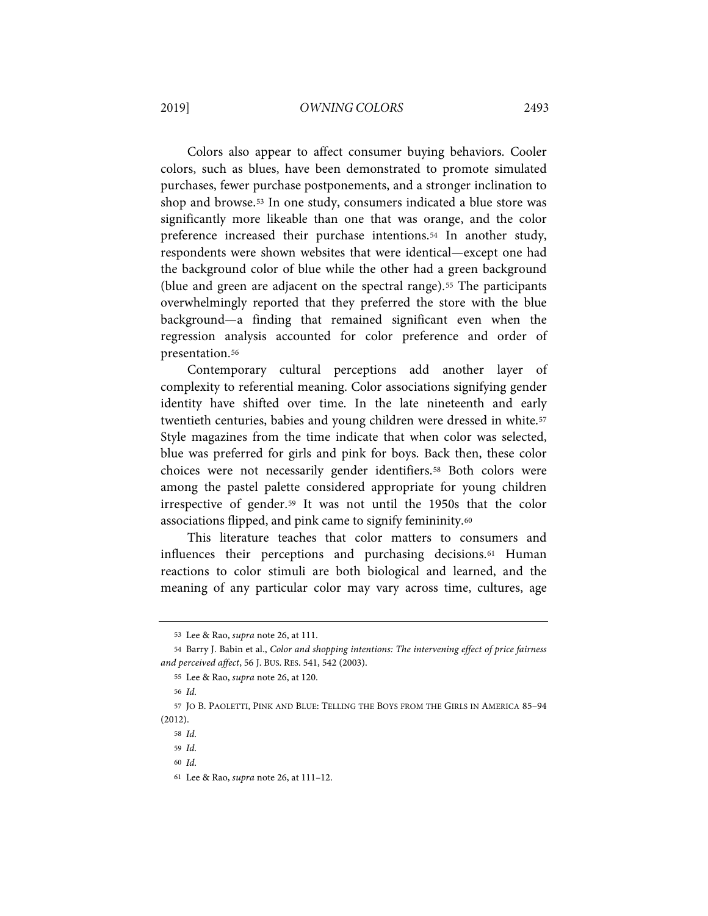Colors also appear to affect consumer buying behaviors. Cooler colors, such as blues, have been demonstrated to promote simulated purchases, fewer purchase postponements, and a stronger inclination to shop and browse.[53](#page-11-0) In one study, consumers indicated a blue store was significantly more likeable than one that was orange, and the color preference increased their purchase intentions.[54](#page-11-1) In another study, respondents were shown websites that were identical—except one had the background color of blue while the other had a green background (blue and green are adjacent on the spectral range).[55](#page-11-2) The participants overwhelmingly reported that they preferred the store with the blue background—a finding that remained significant even when the regression analysis accounted for color preference and order of presentation.[56](#page-11-3)

<span id="page-11-9"></span>Contemporary cultural perceptions add another layer of complexity to referential meaning. Color associations signifying gender identity have shifted over time. In the late nineteenth and early twentieth centuries, babies and young children were dressed in white.<sup>[57](#page-11-4)</sup> Style magazines from the time indicate that when color was selected, blue was preferred for girls and pink for boys. Back then, these color choices were not necessarily gender identifiers.<sup>[58](#page-11-5)</sup> Both colors were among the pastel palette considered appropriate for young children irrespective of gender.[59](#page-11-6) It was not until the 1950s that the color associations flipped, and pink came to signify femininity.[60](#page-11-7)

This literature teaches that color matters to consumers and influences their perceptions and purchasing decisions.[61](#page-11-8) Human reactions to color stimuli are both biological and learned, and the meaning of any particular color may vary across time, cultures, age

<sup>53</sup> Lee & Rao, *supra* not[e 26,](#page-6-11) at 111.

<span id="page-11-2"></span><span id="page-11-1"></span><span id="page-11-0"></span><sup>54</sup> Barry J. Babin et al., *Color and shopping intentions: The intervening effect of price fairness and perceived affect*, 56 J. BUS. RES. 541, 542 (2003).

<sup>55</sup> Lee & Rao, *supra* not[e 26,](#page-6-11) at 120.

<sup>56</sup> *Id.*

<span id="page-11-7"></span><span id="page-11-6"></span><span id="page-11-5"></span><span id="page-11-4"></span><span id="page-11-3"></span><sup>57</sup> JO B. PAOLETTI, PINK AND BLUE: TELLING THE BOYS FROM THE GIRLS IN AMERICA 85–94 (2012).

<sup>58</sup> *Id.*

<sup>59</sup> *Id.*

<sup>60</sup> *Id.*

<span id="page-11-8"></span><sup>61</sup> Lee & Rao, *supra* not[e 26,](#page-6-11) at 111–12.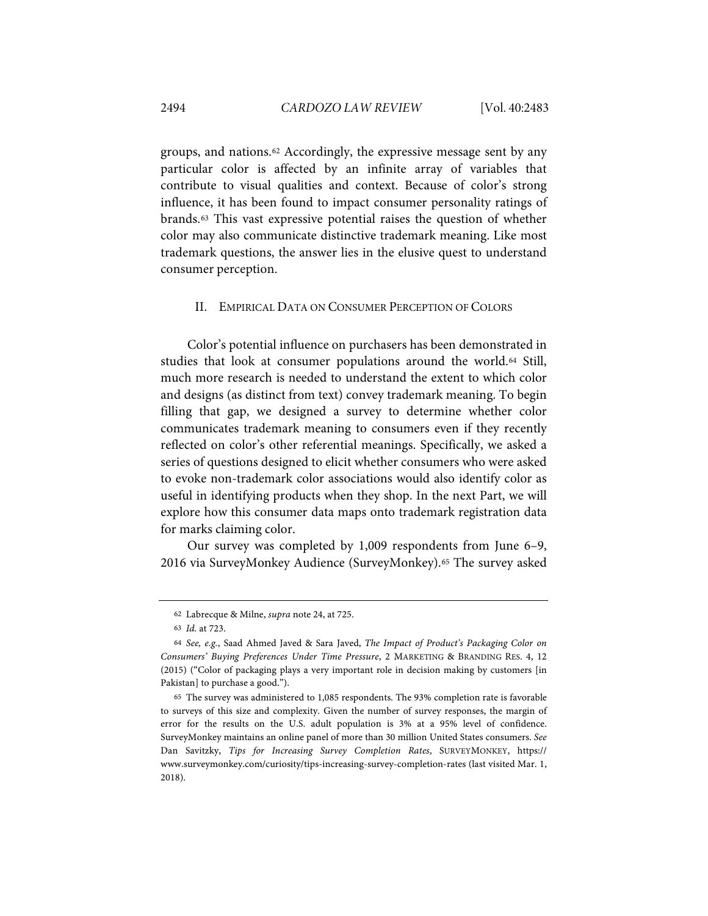groups, and nations[.62](#page-12-0) Accordingly, the expressive message sent by any particular color is affected by an infinite array of variables that contribute to visual qualities and context. Because of color's strong influence, it has been found to impact consumer personality ratings of brands.[63](#page-12-1) This vast expressive potential raises the question of whether color may also communicate distinctive trademark meaning. Like most trademark questions, the answer lies in the elusive quest to understand consumer perception.

#### II. EMPIRICAL DATA ON CONSUMER PERCEPTION OF COLORS

Color's potential influence on purchasers has been demonstrated in studies that look at consumer populations around the world.[64](#page-12-2) Still, much more research is needed to understand the extent to which color and designs (as distinct from text) convey trademark meaning. To begin filling that gap, we designed a survey to determine whether color communicates trademark meaning to consumers even if they recently reflected on color's other referential meanings. Specifically, we asked a series of questions designed to elicit whether consumers who were asked to evoke non-trademark color associations would also identify color as useful in identifying products when they shop. In the next Part, we will explore how this consumer data maps onto trademark registration data for marks claiming color.

Our survey was completed by 1,009 respondents from June 6–9, 2016 via SurveyMonkey Audience (SurveyMonkey).[65](#page-12-3) The survey asked

<sup>62</sup> Labrecque & Milne, *supra* note [24,](#page-6-10) at 725.

<sup>63</sup> *Id.* at 723.

<span id="page-12-2"></span><span id="page-12-1"></span><span id="page-12-0"></span><sup>64</sup> *See, e.g.*, Saad Ahmed Javed & Sara Javed, *The Impact of Product's Packaging Color on Consumers' Buying Preferences Under Time Pressure*, 2 MARKETING & BRANDING RES. 4, 12 (2015) ("Color of packaging plays a very important role in decision making by customers [in Pakistan] to purchase a good.").

<span id="page-12-3"></span><sup>65</sup> The survey was administered to 1,085 respondents. The 93% completion rate is favorable to surveys of this size and complexity. Given the number of survey responses, the margin of error for the results on the U.S. adult population is 3% at a 95% level of confidence. SurveyMonkey maintains an online panel of more than 30 million United States consumers. *See*  Dan Savitzky, *Tips for Increasing Survey Completion Rates*, SURVEYMONKEY, https:// www.surveymonkey.com/curiosity/tips-increasing-survey-completion-rates (last visited Mar. 1, 2018).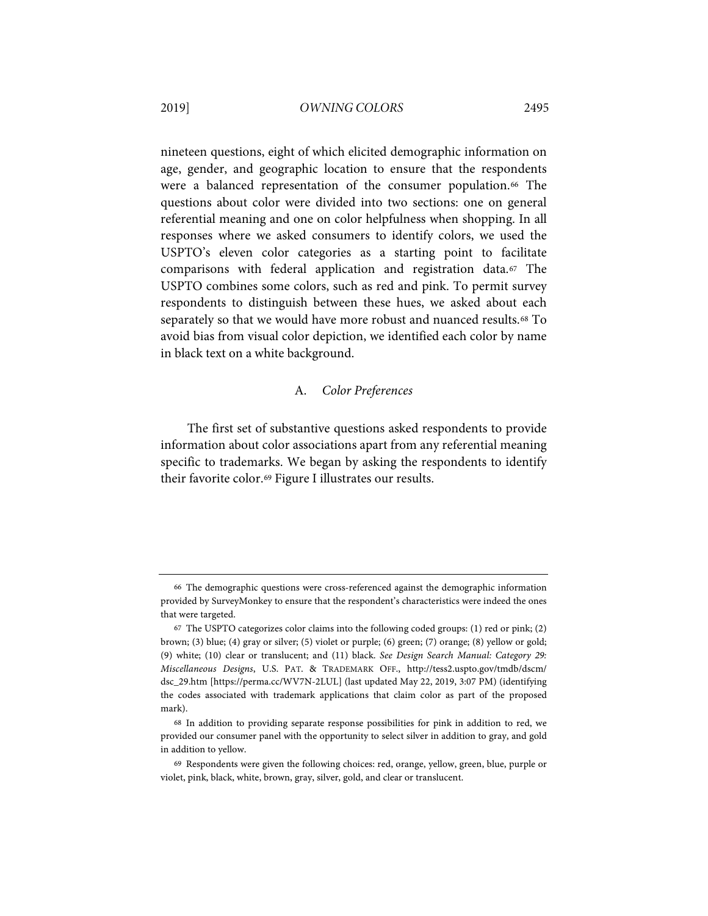## 2019] *OWNING COLORS* 2495

nineteen questions, eight of which elicited demographic information on age, gender, and geographic location to ensure that the respondents were a balanced representation of the consumer population.<sup>[66](#page-13-0)</sup> The questions about color were divided into two sections: one on general referential meaning and one on color helpfulness when shopping. In all responses where we asked consumers to identify colors, we used the USPTO's eleven color categories as a starting point to facilitate comparisons with federal application and registration data.[67](#page-13-1) The USPTO combines some colors, such as red and pink. To permit survey respondents to distinguish between these hues, we asked about each separately so that we would have more robust and nuanced results.<sup>[68](#page-13-2)</sup> To avoid bias from visual color depiction, we identified each color by name in black text on a white background.

# <span id="page-13-4"></span>A. *Color Preferences*

The first set of substantive questions asked respondents to provide information about color associations apart from any referential meaning specific to trademarks. We began by asking the respondents to identify their favorite color.[69](#page-13-3) Figure I illustrates our results.

<span id="page-13-0"></span><sup>66</sup> The demographic questions were cross-referenced against the demographic information provided by SurveyMonkey to ensure that the respondent's characteristics were indeed the ones that were targeted.

<span id="page-13-1"></span><sup>67</sup> The USPTO categorizes color claims into the following coded groups: (1) red or pink; (2) brown; (3) blue; (4) gray or silver; (5) violet or purple; (6) green; (7) orange; (8) yellow or gold; (9) white; (10) clear or translucent; and (11) black. *See Design Search Manual: Category 29: Miscellaneous Designs*, U.S. PAT. & TRADEMARK OFF., http://tess2.uspto.gov/tmdb/dscm/ dsc\_29.htm [https://perma.cc/WV7N-2LUL] (last updated May 22, 2019, 3:07 PM) (identifying the codes associated with trademark applications that claim color as part of the proposed mark).

<span id="page-13-2"></span><sup>68</sup> In addition to providing separate response possibilities for pink in addition to red, we provided our consumer panel with the opportunity to select silver in addition to gray, and gold in addition to yellow.

<span id="page-13-3"></span><sup>69</sup> Respondents were given the following choices: red, orange, yellow, green, blue, purple or violet, pink, black, white, brown, gray, silver, gold, and clear or translucent.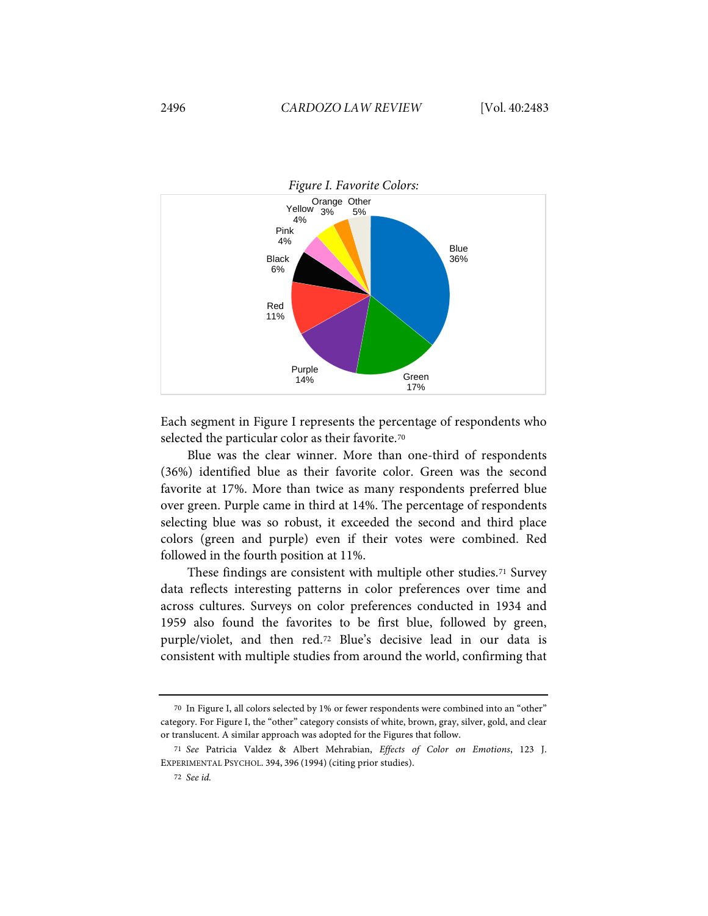

Each segment in Figure I represents the percentage of respondents who selected the particular color as their favorite.<sup>[70](#page-14-0)</sup>

Blue was the clear winner. More than one-third of respondents (36%) identified blue as their favorite color. Green was the second favorite at 17%. More than twice as many respondents preferred blue over green. Purple came in third at 14%. The percentage of respondents selecting blue was so robust, it exceeded the second and third place colors (green and purple) even if their votes were combined. Red followed in the fourth position at 11%.

<span id="page-14-3"></span>These findings are consistent with multiple other studies.[71](#page-14-1) Survey data reflects interesting patterns in color preferences over time and across cultures. Surveys on color preferences conducted in 1934 and 1959 also found the favorites to be first blue, followed by green, purple/violet, and then red.[72](#page-14-2) Blue's decisive lead in our data is consistent with multiple studies from around the world, confirming that

<span id="page-14-0"></span><sup>70</sup> In Figure I, all colors selected by 1% or fewer respondents were combined into an "other" category. For Figure I, the "other" category consists of white, brown, gray, silver, gold, and clear or translucent. A similar approach was adopted for the Figures that follow.

<span id="page-14-2"></span><span id="page-14-1"></span><sup>71</sup> *See* Patricia Valdez & Albert Mehrabian, *Effects of Color on Emotions*, 123 J. EXPERIMENTAL PSYCHOL. 394, 396 (1994) (citing prior studies).

<sup>72</sup> *See id.*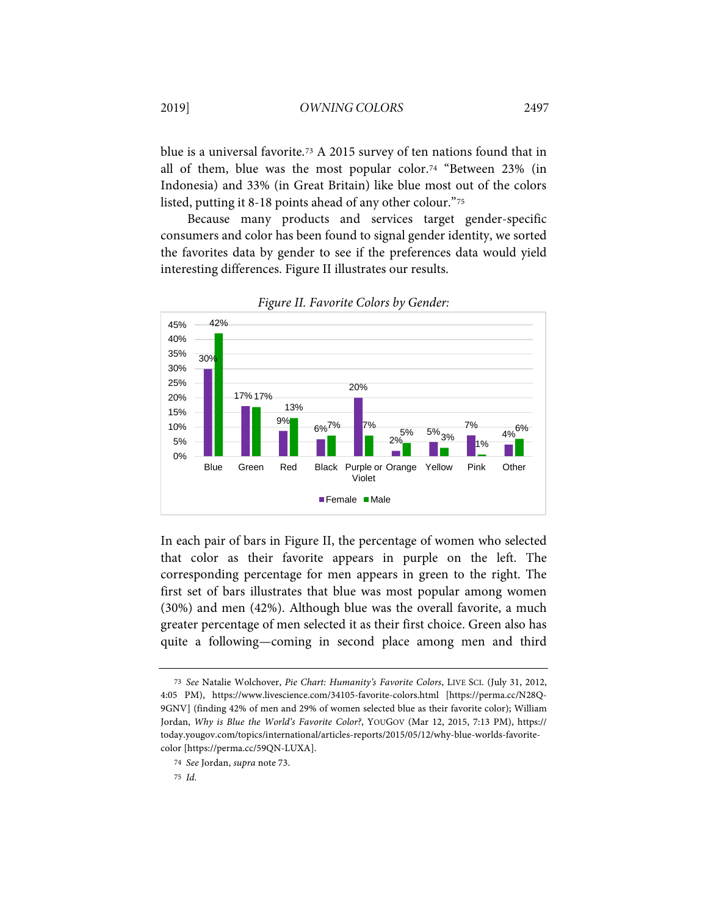<span id="page-15-0"></span>blue is a universal favorite.[73](#page-15-1) A 2015 survey of ten nations found that in all of them, blue was the most popular color.[74](#page-15-2) "Between 23% (in Indonesia) and 33% (in Great Britain) like blue most out of the colors listed, putting it 8-18 points ahead of any other colour."[75](#page-15-3)

Because many products and services target gender-specific consumers and color has been found to signal gender identity, we sorted the favorites data by gender to see if the preferences data would yield interesting differences. Figure II illustrates our results.



*Figure II. Favorite Colors by Gender:*

In each pair of bars in Figure II, the percentage of women who selected that color as their favorite appears in purple on the left. The corresponding percentage for men appears in green to the right. The first set of bars illustrates that blue was most popular among women (30%) and men (42%). Although blue was the overall favorite, a much greater percentage of men selected it as their first choice. Green also has quite a following—coming in second place among men and third

<span id="page-15-1"></span><sup>73</sup> *See* Natalie Wolchover, *Pie Chart: Humanity's Favorite Colors*, LIVE SCI. (July 31, 2012, 4:05 PM), https://www.livescience.com/34105-favorite-colors.html [https://perma.cc/N28Q-9GNV] (finding 42% of men and 29% of women selected blue as their favorite color); William Jordan, *Why is Blue the World's Favorite Color?*, YOUGOV (Mar 12, 2015, 7:13 PM), https:// today.yougov.com/topics/international/articles-reports/2015/05/12/why-blue-worlds-favoritecolor [https://perma.cc/59QN-LUXA].

<span id="page-15-3"></span><span id="page-15-2"></span><sup>74</sup> *See* Jordan, *supra* not[e 73.](#page-15-0)

<sup>75</sup> *Id.*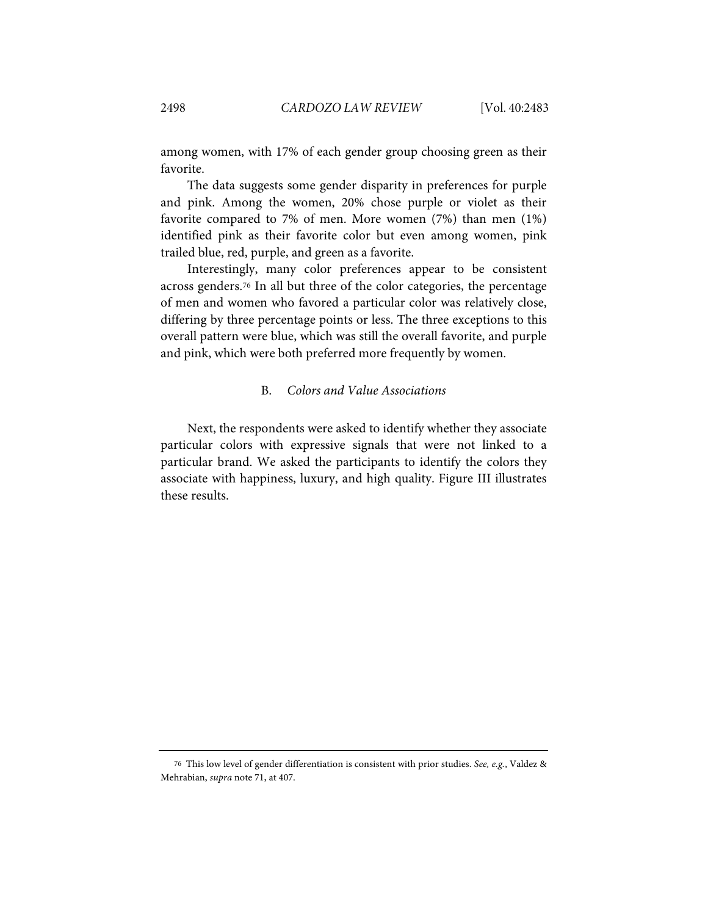among women, with 17% of each gender group choosing green as their favorite.

The data suggests some gender disparity in preferences for purple and pink. Among the women, 20% chose purple or violet as their favorite compared to 7% of men. More women (7%) than men (1%) identified pink as their favorite color but even among women, pink trailed blue, red, purple, and green as a favorite.

Interestingly, many color preferences appear to be consistent across genders.[76](#page-16-0) In all but three of the color categories, the percentage of men and women who favored a particular color was relatively close, differing by three percentage points or less. The three exceptions to this overall pattern were blue, which was still the overall favorite, and purple and pink, which were both preferred more frequently by women.

#### B. *Colors and Value Associations*

Next, the respondents were asked to identify whether they associate particular colors with expressive signals that were not linked to a particular brand. We asked the participants to identify the colors they associate with happiness, luxury, and high quality. Figure III illustrates these results.

<span id="page-16-0"></span><sup>76</sup> This low level of gender differentiation is consistent with prior studies. *See, e.g.*, Valdez & Mehrabian, *supra* not[e 71,](#page-14-3) at 407.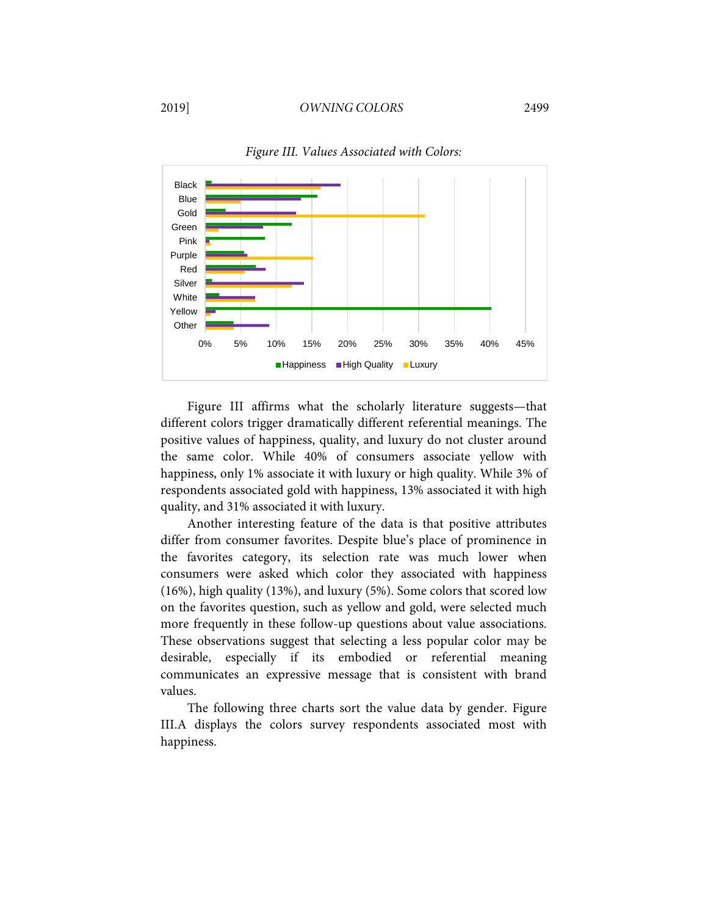#### 2019] *OWNING COLORS* 2499



*Figure III. Values Associated with Colors:*

Figure III affirms what the scholarly literature suggests—that different colors trigger dramatically different referential meanings. The positive values of happiness, quality, and luxury do not cluster around the same color. While 40% of consumers associate yellow with happiness, only 1% associate it with luxury or high quality. While 3% of respondents associated gold with happiness, 13% associated it with high quality, and 31% associated it with luxury.

Another interesting feature of the data is that positive attributes differ from consumer favorites. Despite blue's place of prominence in the favorites category, its selection rate was much lower when consumers were asked which color they associated with happiness (16%), high quality (13%), and luxury (5%). Some colors that scored low on the favorites question, such as yellow and gold, were selected much more frequently in these follow-up questions about value associations. These observations suggest that selecting a less popular color may be desirable, especially if its embodied or referential meaning communicates an expressive message that is consistent with brand values.

The following three charts sort the value data by gender. Figure III.A displays the colors survey respondents associated most with happiness.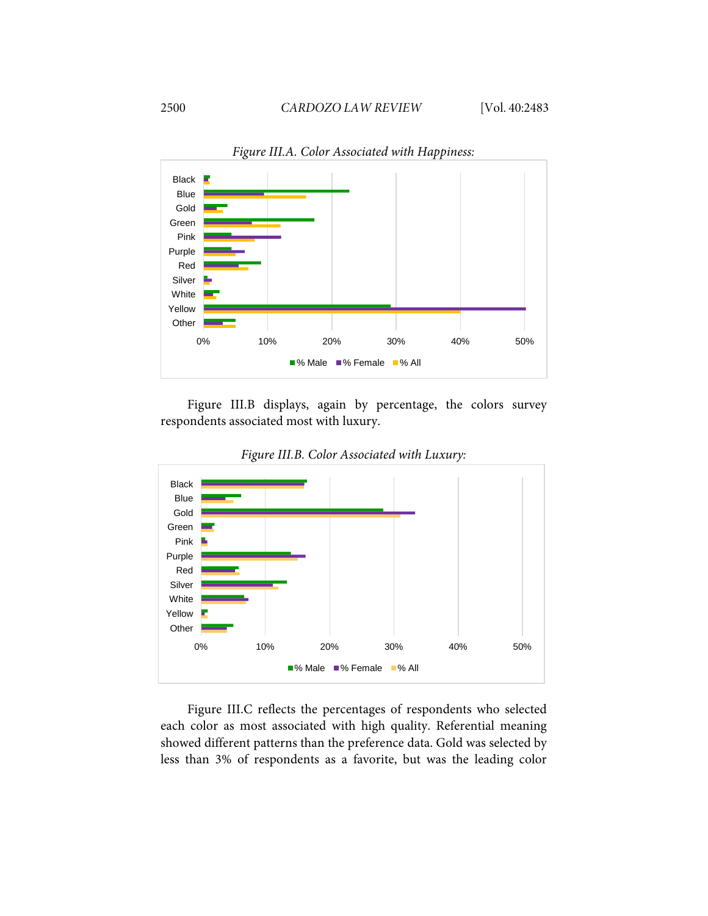

*Figure III.A. Color Associated with Happiness:*

Figure III.B displays, again by percentage, the colors survey respondents associated most with luxury.



*Figure III.B. Color Associated with Luxury:*

Figure III.C reflects the percentages of respondents who selected each color as most associated with high quality. Referential meaning showed different patterns than the preference data. Gold was selected by less than 3% of respondents as a favorite, but was the leading color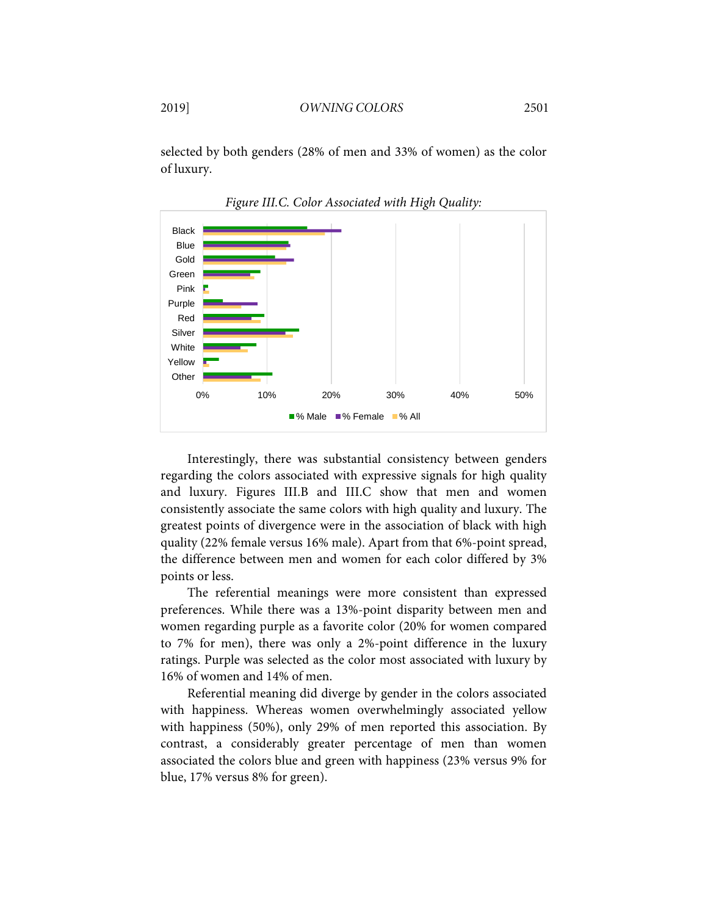selected by both genders (28% of men and 33% of women) as the color of luxury.



*Figure III.C. Color Associated with High Quality:*

Interestingly, there was substantial consistency between genders regarding the colors associated with expressive signals for high quality and luxury. Figures III.B and III.C show that men and women consistently associate the same colors with high quality and luxury. The greatest points of divergence were in the association of black with high quality (22% female versus 16% male). Apart from that 6%-point spread, the difference between men and women for each color differed by 3% points or less.

The referential meanings were more consistent than expressed preferences. While there was a 13%-point disparity between men and women regarding purple as a favorite color (20% for women compared to 7% for men), there was only a 2%-point difference in the luxury ratings. Purple was selected as the color most associated with luxury by 16% of women and 14% of men.

Referential meaning did diverge by gender in the colors associated with happiness. Whereas women overwhelmingly associated yellow with happiness (50%), only 29% of men reported this association. By contrast, a considerably greater percentage of men than women associated the colors blue and green with happiness (23% versus 9% for blue, 17% versus 8% for green).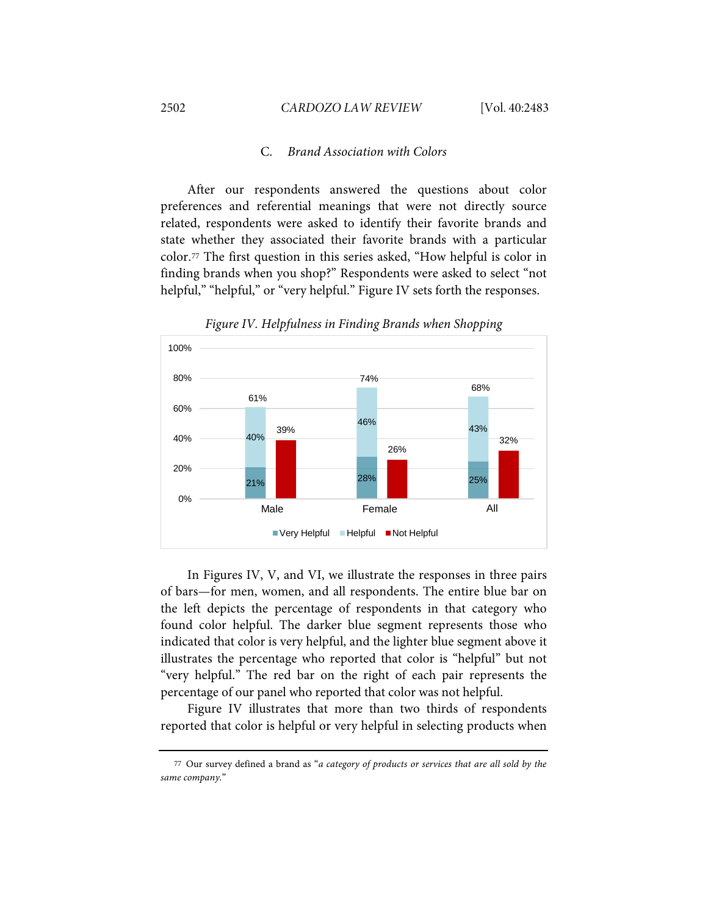### C. *Brand Association with Colors*

After our respondents answered the questions about color preferences and referential meanings that were not directly source related, respondents were asked to identify their favorite brands and state whether they associated their favorite brands with a particular color.[77](#page-20-0) The first question in this series asked, "How helpful is color in finding brands when you shop?" Respondents were asked to select "not helpful," "helpful," or "very helpful." Figure IV sets forth the responses.



*Figure IV. Helpfulness in Finding Brands when Shopping*

In Figures IV, V, and VI, we illustrate the responses in three pairs of bars—for men, women, and all respondents. The entire blue bar on the left depicts the percentage of respondents in that category who found color helpful. The darker blue segment represents those who indicated that color is very helpful, and the lighter blue segment above it illustrates the percentage who reported that color is "helpful" but not "very helpful." The red bar on the right of each pair represents the percentage of our panel who reported that color was not helpful.

Figure IV illustrates that more than two thirds of respondents reported that color is helpful or very helpful in selecting products when

<span id="page-20-0"></span><sup>77</sup> Our survey defined a brand as "*a category of products or services that are all sold by the same company.*"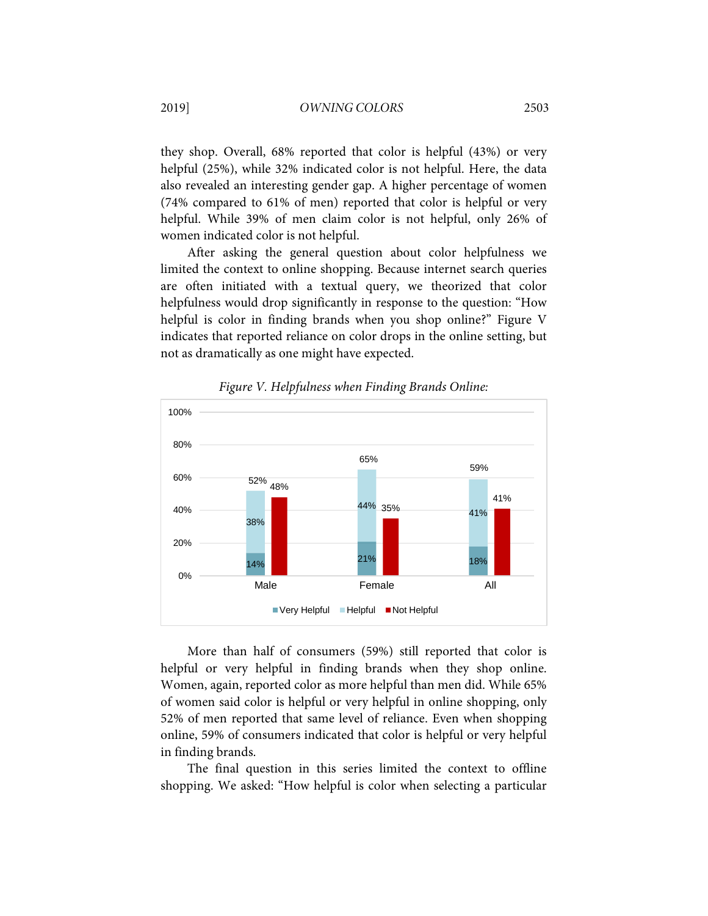they shop. Overall, 68% reported that color is helpful (43%) or very helpful (25%), while 32% indicated color is not helpful. Here, the data also revealed an interesting gender gap. A higher percentage of women (74% compared to 61% of men) reported that color is helpful or very helpful. While 39% of men claim color is not helpful, only 26% of women indicated color is not helpful.

After asking the general question about color helpfulness we limited the context to online shopping. Because internet search queries are often initiated with a textual query, we theorized that color helpfulness would drop significantly in response to the question: "How helpful is color in finding brands when you shop online?" Figure V indicates that reported reliance on color drops in the online setting, but not as dramatically as one might have expected.



*Figure V. Helpfulness when Finding Brands Online:*

More than half of consumers (59%) still reported that color is helpful or very helpful in finding brands when they shop online. Women, again, reported color as more helpful than men did. While 65% of women said color is helpful or very helpful in online shopping, only 52% of men reported that same level of reliance. Even when shopping online, 59% of consumers indicated that color is helpful or very helpful in finding brands.

The final question in this series limited the context to offline shopping. We asked: "How helpful is color when selecting a particular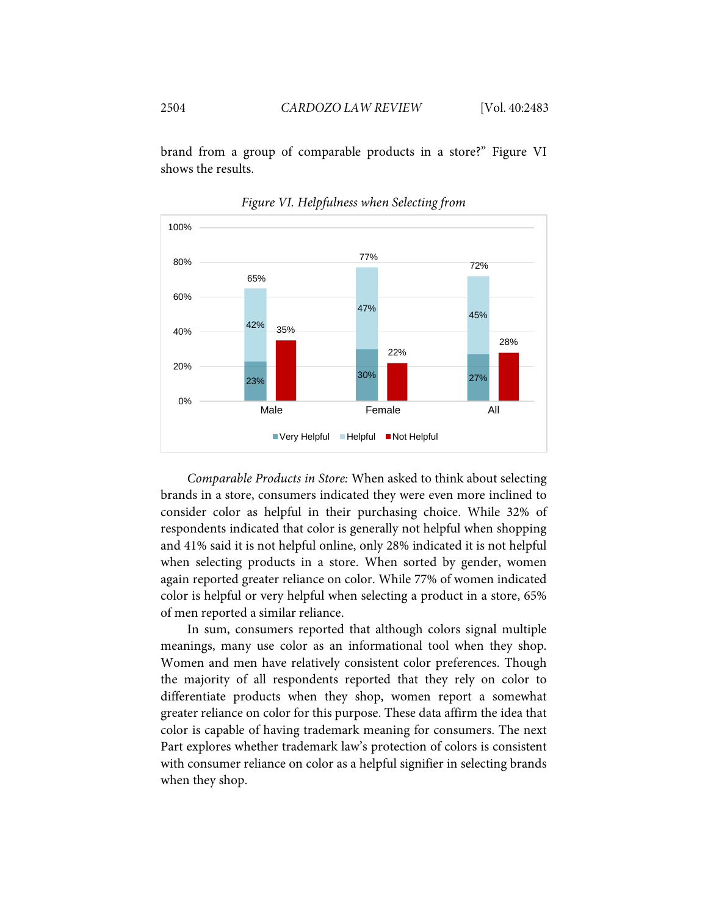brand from a group of comparable products in a store?" Figure VI shows the results.



*Figure VI. Helpfulness when Selecting from*

*Comparable Products in Store:* When asked to think about selecting brands in a store, consumers indicated they were even more inclined to consider color as helpful in their purchasing choice. While 32% of respondents indicated that color is generally not helpful when shopping and 41% said it is not helpful online, only 28% indicated it is not helpful when selecting products in a store. When sorted by gender, women again reported greater reliance on color. While 77% of women indicated color is helpful or very helpful when selecting a product in a store, 65% of men reported a similar reliance.

In sum, consumers reported that although colors signal multiple meanings, many use color as an informational tool when they shop. Women and men have relatively consistent color preferences. Though the majority of all respondents reported that they rely on color to differentiate products when they shop, women report a somewhat greater reliance on color for this purpose. These data affirm the idea that color is capable of having trademark meaning for consumers. The next Part explores whether trademark law's protection of colors is consistent with consumer reliance on color as a helpful signifier in selecting brands when they shop.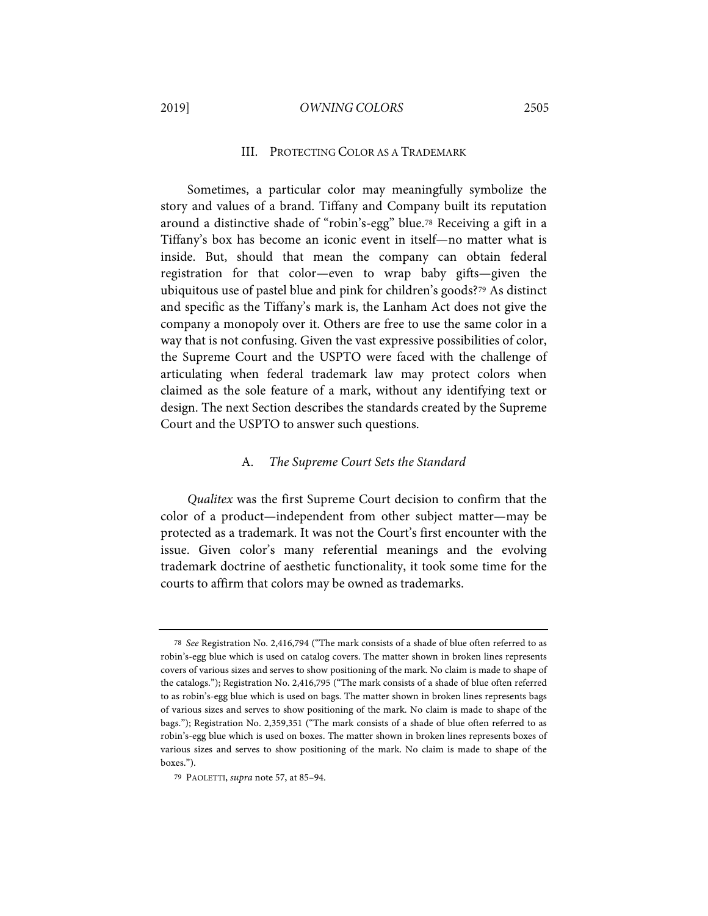#### 2019] *OWNING COLORS* 2505

#### III. PROTECTING COLOR AS A TRADEMARK

Sometimes, a particular color may meaningfully symbolize the story and values of a brand. Tiffany and Company built its reputation around a distinctive shade of "robin's-egg" blue.[78](#page-23-0) Receiving a gift in a Tiffany's box has become an iconic event in itself—no matter what is inside. But, should that mean the company can obtain federal registration for that color—even to wrap baby gifts—given the ubiquitous use of pastel blue and pink for children's goods?[79](#page-23-1) As distinct and specific as the Tiffany's mark is, the Lanham Act does not give the company a monopoly over it. Others are free to use the same color in a way that is not confusing. Given the vast expressive possibilities of color, the Supreme Court and the USPTO were faced with the challenge of articulating when federal trademark law may protect colors when claimed as the sole feature of a mark, without any identifying text or design. The next Section describes the standards created by the Supreme Court and the USPTO to answer such questions.

#### A. *The Supreme Court Sets the Standard*

*Qualitex* was the first Supreme Court decision to confirm that the color of a product—independent from other subject matter—may be protected as a trademark. It was not the Court's first encounter with the issue. Given color's many referential meanings and the evolving trademark doctrine of aesthetic functionality, it took some time for the courts to affirm that colors may be owned as trademarks.

<span id="page-23-0"></span><sup>78</sup> *See* Registration No. 2,416,794 ("The mark consists of a shade of blue often referred to as robin's-egg blue which is used on catalog covers. The matter shown in broken lines represents covers of various sizes and serves to show positioning of the mark. No claim is made to shape of the catalogs."); Registration No. 2,416,795 ("The mark consists of a shade of blue often referred to as robin's-egg blue which is used on bags. The matter shown in broken lines represents bags of various sizes and serves to show positioning of the mark. No claim is made to shape of the bags."); Registration No. 2,359,351 ("The mark consists of a shade of blue often referred to as robin's-egg blue which is used on boxes. The matter shown in broken lines represents boxes of various sizes and serves to show positioning of the mark. No claim is made to shape of the boxes.").

<span id="page-23-1"></span><sup>79</sup> PAOLETTI, *supra* not[e 57,](#page-11-9) at 85–94.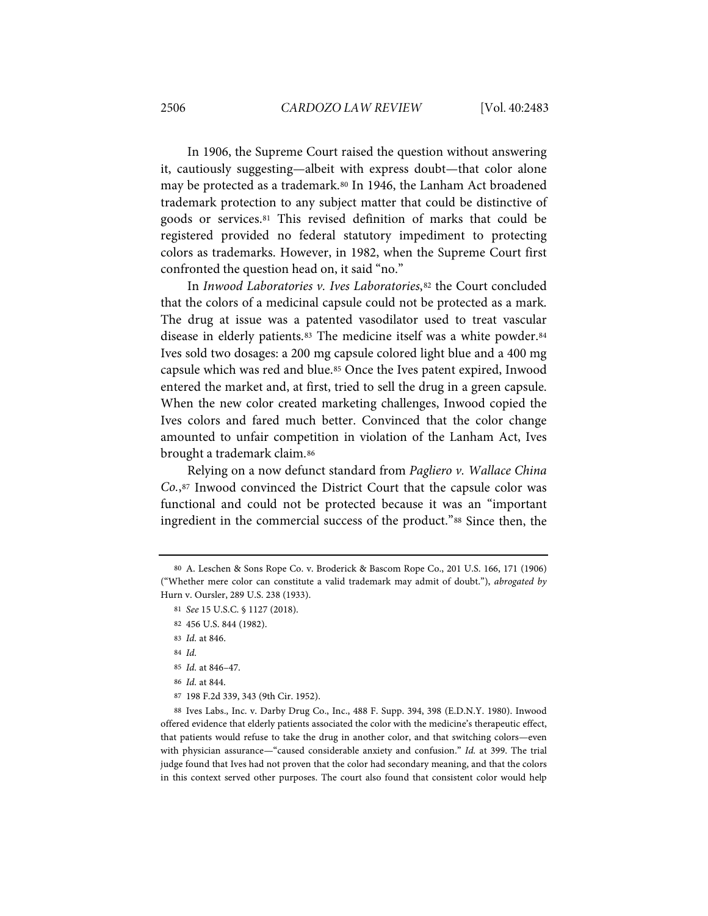In 1906, the Supreme Court raised the question without answering it, cautiously suggesting—albeit with express doubt—that color alone may be protected as a trademark[.80](#page-24-0) In 1946, the Lanham Act broadened trademark protection to any subject matter that could be distinctive of goods or services.[81](#page-24-1) This revised definition of marks that could be registered provided no federal statutory impediment to protecting colors as trademarks. However, in 1982, when the Supreme Court first confronted the question head on, it said "no."

In *Inwood Laboratories v. Ives Laboratories*,<sup>[82](#page-24-2)</sup> the Court concluded that the colors of a medicinal capsule could not be protected as a mark. The drug at issue was a patented vasodilator used to treat vascular disease in elderly patients.<sup>[83](#page-24-3)</sup> The medicine itself was a white powder.<sup>[84](#page-24-4)</sup> Ives sold two dosages: a 200 mg capsule colored light blue and a 400 mg capsule which was red and blue.[85](#page-24-5) Once the Ives patent expired, Inwood entered the market and, at first, tried to sell the drug in a green capsule. When the new color created marketing challenges, Inwood copied the Ives colors and fared much better. Convinced that the color change amounted to unfair competition in violation of the Lanham Act, Ives brought a trademark claim.[86](#page-24-6)

Relying on a now defunct standard from *Pagliero v. Wallace China Co.*,[87](#page-24-7) Inwood convinced the District Court that the capsule color was functional and could not be protected because it was an "important ingredient in the commercial success of the product."[88](#page-24-8) Since then, the

<span id="page-24-8"></span><span id="page-24-7"></span><span id="page-24-6"></span><span id="page-24-5"></span><span id="page-24-4"></span>88 Ives Labs., Inc. v. Darby Drug Co., Inc., 488 F. Supp. 394, 398 (E.D.N.Y. 1980). Inwood offered evidence that elderly patients associated the color with the medicine's therapeutic effect, that patients would refuse to take the drug in another color, and that switching colors—even with physician assurance—"caused considerable anxiety and confusion." *Id.* at 399. The trial judge found that Ives had not proven that the color had secondary meaning, and that the colors in this context served other purposes. The court also found that consistent color would help

<span id="page-24-3"></span><span id="page-24-2"></span><span id="page-24-1"></span><span id="page-24-0"></span><sup>80</sup> A. Leschen & Sons Rope Co. v. Broderick & Bascom Rope Co., 201 U.S. 166, 171 (1906) ("Whether mere color can constitute a valid trademark may admit of doubt."), *abrogated by* Hurn v. Oursler, 289 U.S. 238 (1933).

<sup>81</sup> *See* 15 U.S.C. § 1127 (2018).

<sup>82</sup> 456 U.S. 844 (1982).

<sup>83</sup> *Id.* at 846.

<sup>84</sup> *Id.*

<sup>85</sup> *Id.* at 846–47.

<sup>86</sup> *Id.* at 844.

<sup>87</sup> 198 F.2d 339, 343 (9th Cir. 1952).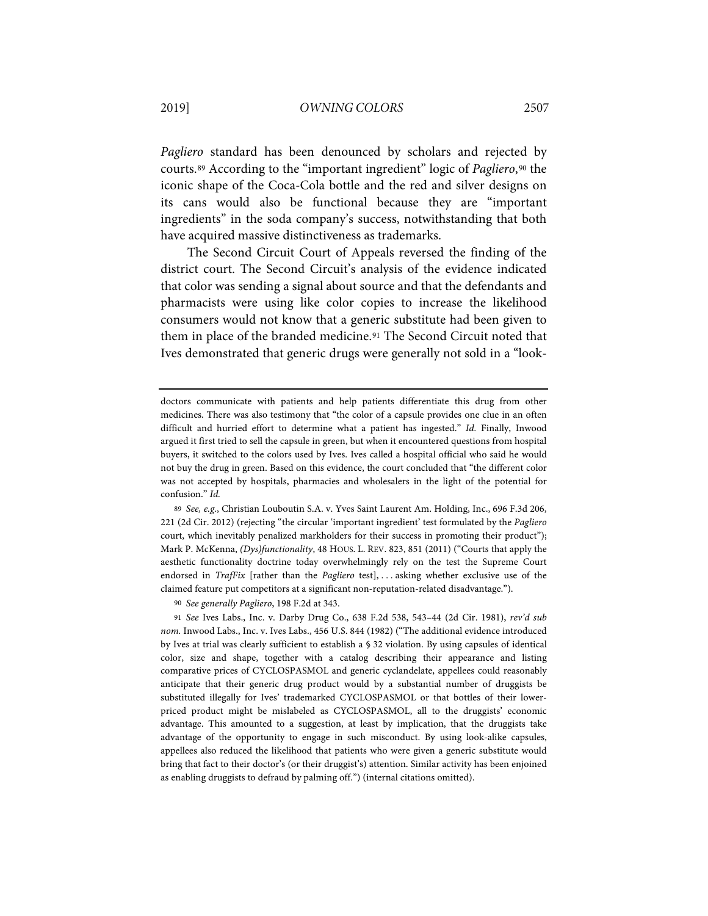*Pagliero* standard has been denounced by scholars and rejected by courts.[89](#page-25-0) According to the "important ingredient" logic of *Pagliero*,[90](#page-25-1) the iconic shape of the Coca-Cola bottle and the red and silver designs on its cans would also be functional because they are "important ingredients" in the soda company's success, notwithstanding that both have acquired massive distinctiveness as trademarks.

The Second Circuit Court of Appeals reversed the finding of the district court. The Second Circuit's analysis of the evidence indicated that color was sending a signal about source and that the defendants and pharmacists were using like color copies to increase the likelihood consumers would not know that a generic substitute had been given to them in place of the branded medicine.[91](#page-25-2) The Second Circuit noted that Ives demonstrated that generic drugs were generally not sold in a "look-

90 *See generally Pagliero*, 198 F.2d at 343.

doctors communicate with patients and help patients differentiate this drug from other medicines. There was also testimony that "the color of a capsule provides one clue in an often difficult and hurried effort to determine what a patient has ingested." *Id.* Finally, Inwood argued it first tried to sell the capsule in green, but when it encountered questions from hospital buyers, it switched to the colors used by Ives. Ives called a hospital official who said he would not buy the drug in green. Based on this evidence, the court concluded that "the different color was not accepted by hospitals, pharmacies and wholesalers in the light of the potential for confusion." *Id.*

<span id="page-25-0"></span><sup>89</sup> *See, e.g.*, Christian Louboutin S.A. v. Yves Saint Laurent Am. Holding, Inc., 696 F.3d 206, 221 (2d Cir. 2012) (rejecting "the circular 'important ingredient' test formulated by the *Pagliero*  court, which inevitably penalized markholders for their success in promoting their product"); Mark P. McKenna, *(Dys)functionality*, 48 HOUS. L. REV. 823, 851 (2011) ("Courts that apply the aesthetic functionality doctrine today overwhelmingly rely on the test the Supreme Court endorsed in *TrafFix* [rather than the *Pagliero* test], . . . asking whether exclusive use of the claimed feature put competitors at a significant non-reputation-related disadvantage.").

<span id="page-25-2"></span><span id="page-25-1"></span><sup>91</sup> *See* Ives Labs., Inc. v. Darby Drug Co., 638 F.2d 538, 543–44 (2d Cir. 1981), *rev'd sub nom.* Inwood Labs., Inc. v. Ives Labs., 456 U.S. 844 (1982) ("The additional evidence introduced by Ives at trial was clearly sufficient to establish a § 32 violation. By using capsules of identical color, size and shape, together with a catalog describing their appearance and listing comparative prices of CYCLOSPASMOL and generic cyclandelate, appellees could reasonably anticipate that their generic drug product would by a substantial number of druggists be substituted illegally for Ives' trademarked CYCLOSPASMOL or that bottles of their lowerpriced product might be mislabeled as CYCLOSPASMOL, all to the druggists' economic advantage. This amounted to a suggestion, at least by implication, that the druggists take advantage of the opportunity to engage in such misconduct. By using look-alike capsules, appellees also reduced the likelihood that patients who were given a generic substitute would bring that fact to their doctor's (or their druggist's) attention. Similar activity has been enjoined as enabling druggists to defraud by palming off.") (internal citations omitted).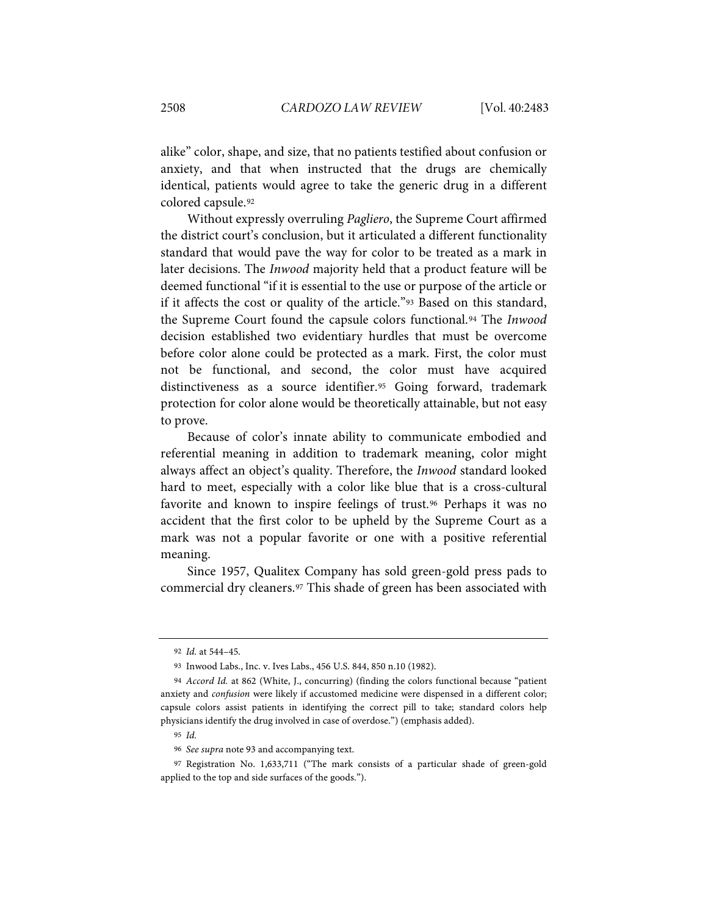alike" color, shape, and size, that no patients testified about confusion or anxiety, and that when instructed that the drugs are chemically identical, patients would agree to take the generic drug in a different colored capsule[.92](#page-26-1)

<span id="page-26-0"></span>Without expressly overruling *Pagliero*, the Supreme Court affirmed the district court's conclusion, but it articulated a different functionality standard that would pave the way for color to be treated as a mark in later decisions. The *Inwood* majority held that a product feature will be deemed functional "if it is essential to the use or purpose of the article or if it affects the cost or quality of the article."[93](#page-26-2) Based on this standard, the Supreme Court found the capsule colors functional.[94](#page-26-3) The *Inwood* decision established two evidentiary hurdles that must be overcome before color alone could be protected as a mark. First, the color must not be functional, and second, the color must have acquired distinctiveness as a source identifier.[95](#page-26-4) Going forward, trademark protection for color alone would be theoretically attainable, but not easy to prove.

Because of color's innate ability to communicate embodied and referential meaning in addition to trademark meaning, color might always affect an object's quality. Therefore, the *Inwood* standard looked hard to meet, especially with a color like blue that is a cross-cultural favorite and known to inspire feelings of trust.[96](#page-26-5) Perhaps it was no accident that the first color to be upheld by the Supreme Court as a mark was not a popular favorite or one with a positive referential meaning.

Since 1957, Qualitex Company has sold green-gold press pads to commercial dry cleaners.[97](#page-26-6) This shade of green has been associated with

<sup>92</sup> *Id.* at 544–45.

<sup>93</sup> Inwood Labs., Inc. v. Ives Labs., 456 U.S. 844, 850 n.10 (1982).

<span id="page-26-3"></span><span id="page-26-2"></span><span id="page-26-1"></span><sup>94</sup> *Accord Id.* at 862 (White, J., concurring) (finding the colors functional because "patient anxiety and *confusion* were likely if accustomed medicine were dispensed in a different color; capsule colors assist patients in identifying the correct pill to take; standard colors help physicians identify the drug involved in case of overdose.") (emphasis added).

<sup>95</sup> *Id.*

<sup>96</sup> *See supra* note [93](#page-26-0) and accompanying text.

<span id="page-26-6"></span><span id="page-26-5"></span><span id="page-26-4"></span><sup>97</sup> Registration No. 1,633,711 ("The mark consists of a particular shade of green-gold applied to the top and side surfaces of the goods.").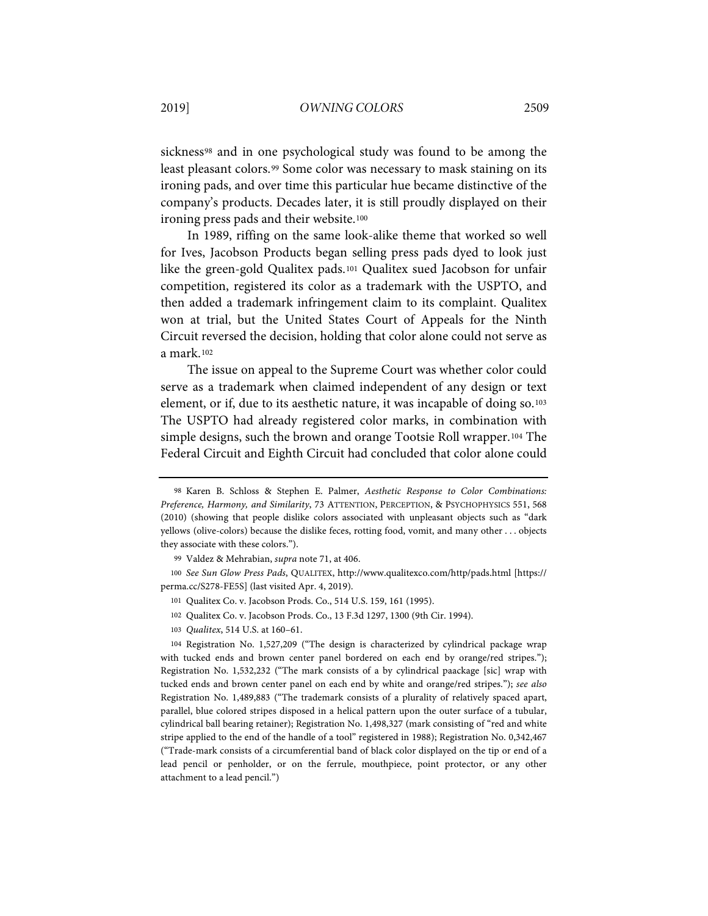sickness<sup>[98](#page-27-0)</sup> and in one psychological study was found to be among the least pleasant colors.<sup>[99](#page-27-1)</sup> Some color was necessary to mask staining on its ironing pads, and over time this particular hue became distinctive of the company's products. Decades later, it is still proudly displayed on their ironing press pads and their website.<sup>[100](#page-27-2)</sup>

In 1989, riffing on the same look-alike theme that worked so well for Ives, Jacobson Products began selling press pads dyed to look just like the green-gold Qualitex pads.[101](#page-27-3) Qualitex sued Jacobson for unfair competition, registered its color as a trademark with the USPTO, and then added a trademark infringement claim to its complaint. Qualitex won at trial, but the United States Court of Appeals for the Ninth Circuit reversed the decision, holding that color alone could not serve as a mark.[102](#page-27-4)

The issue on appeal to the Supreme Court was whether color could serve as a trademark when claimed independent of any design or text element, or if, due to its aesthetic nature, it was incapable of doing so.[103](#page-27-5) The USPTO had already registered color marks, in combination with simple designs, such the brown and orange Tootsie Roll wrapper.[104](#page-27-6) The Federal Circuit and Eighth Circuit had concluded that color alone could

- 102 Qualitex Co. v. Jacobson Prods. Co., 13 F.3d 1297, 1300 (9th Cir. 1994).
- 103 *Qualitex*, 514 U.S. at 160–61.

<span id="page-27-6"></span><span id="page-27-5"></span><span id="page-27-4"></span>104 Registration No. 1,527,209 ("The design is characterized by cylindrical package wrap with tucked ends and brown center panel bordered on each end by orange/red stripes."); Registration No. 1,532,232 ("The mark consists of a by cylindrical paackage [sic] wrap with tucked ends and brown center panel on each end by white and orange/red stripes."); *see also* Registration No. 1,489,883 ("The trademark consists of a plurality of relatively spaced apart, parallel, blue colored stripes disposed in a helical pattern upon the outer surface of a tubular, cylindrical ball bearing retainer); Registration No. 1,498,327 (mark consisting of "red and white stripe applied to the end of the handle of a tool" registered in 1988); Registration No. 0,342,467 ("Trade-mark consists of a circumferential band of black color displayed on the tip or end of a lead pencil or penholder, or on the ferrule, mouthpiece, point protector, or any other attachment to a lead pencil.")

<span id="page-27-0"></span><sup>98</sup> Karen B. Schloss & Stephen E. Palmer, *Aesthetic Response to Color Combinations: Preference, Harmony, and Similarity*, 73 ATTENTION, PERCEPTION, & PSYCHOPHYSICS 551, 568 (2010) (showing that people dislike colors associated with unpleasant objects such as "dark yellows (olive-colors) because the dislike feces, rotting food, vomit, and many other . . . objects they associate with these colors.").

<sup>99</sup> Valdez & Mehrabian, *supra* not[e 71,](#page-14-3) at 406.

<span id="page-27-3"></span><span id="page-27-2"></span><span id="page-27-1"></span><sup>100</sup> *See Sun Glow Press Pads*, QUALITEX, http://www.qualitexco.com/http/pads.html [https:// perma.cc/S278-FE5S] (last visited Apr. 4, 2019).

<sup>101</sup> Qualitex Co. v. Jacobson Prods. Co., 514 U.S. 159, 161 (1995).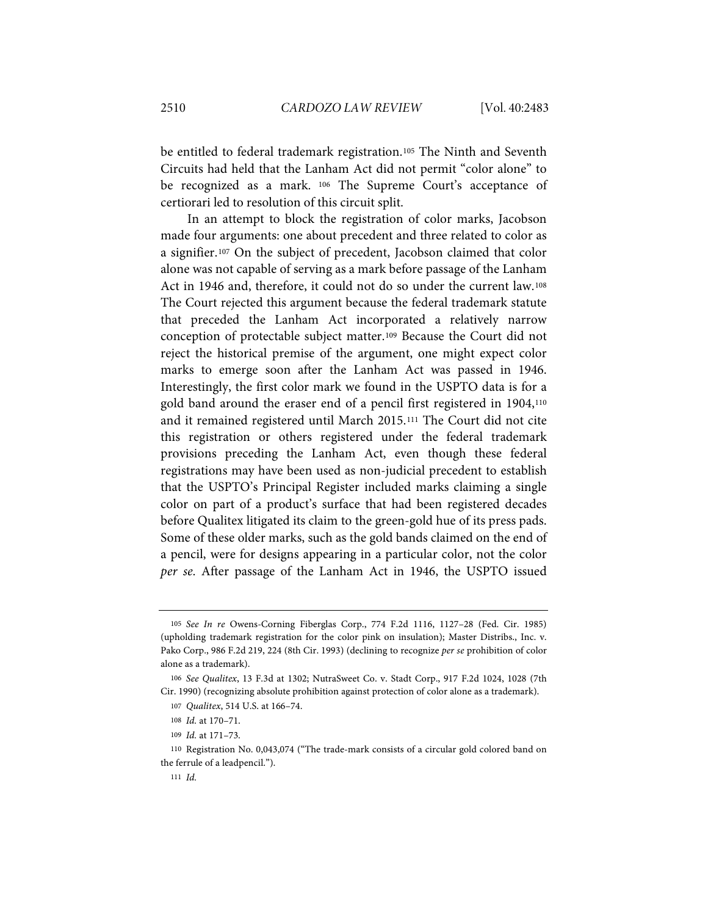be entitled to federal trademark registration.<sup>[105](#page-28-0)</sup> The Ninth and Seventh Circuits had held that the Lanham Act did not permit "color alone" to be recognized as a mark. [106](#page-28-1) The Supreme Court's acceptance of certiorari led to resolution of this circuit split.

In an attempt to block the registration of color marks, Jacobson made four arguments: one about precedent and three related to color as a signifier.[107](#page-28-2) On the subject of precedent, Jacobson claimed that color alone was not capable of serving as a mark before passage of the Lanham Act in 1946 and, therefore, it could not do so under the current law.[108](#page-28-3) The Court rejected this argument because the federal trademark statute that preceded the Lanham Act incorporated a relatively narrow conception of protectable subject matter.[109](#page-28-4) Because the Court did not reject the historical premise of the argument, one might expect color marks to emerge soon after the Lanham Act was passed in 1946. Interestingly, the first color mark we found in the USPTO data is for a gold band around the eraser end of a pencil first registered in 1904,[110](#page-28-5) and it remained registered until March 2015.[111](#page-28-6) The Court did not cite this registration or others registered under the federal trademark provisions preceding the Lanham Act, even though these federal registrations may have been used as non-judicial precedent to establish that the USPTO's Principal Register included marks claiming a single color on part of a product's surface that had been registered decades before Qualitex litigated its claim to the green-gold hue of its press pads. Some of these older marks, such as the gold bands claimed on the end of a pencil, were for designs appearing in a particular color, not the color *per se*. After passage of the Lanham Act in 1946, the USPTO issued

<span id="page-28-0"></span><sup>105</sup> *See In re* Owens-Corning Fiberglas Corp., 774 F.2d 1116, 1127–28 (Fed. Cir. 1985) (upholding trademark registration for the color pink on insulation); Master Distribs., Inc. v. Pako Corp., 986 F.2d 219, 224 (8th Cir. 1993) (declining to recognize *per se* prohibition of color alone as a trademark).

<span id="page-28-2"></span><span id="page-28-1"></span><sup>106</sup> *See Qualitex*, 13 F.3d at 1302; NutraSweet Co. v. Stadt Corp., 917 F.2d 1024, 1028 (7th Cir. 1990) (recognizing absolute prohibition against protection of color alone as a trademark).

<sup>107</sup> *Qualitex*, 514 U.S. at 166–74.

<sup>108</sup> *Id.* at 170–71.

<sup>109</sup> *Id.* at 171–73.

<span id="page-28-6"></span><span id="page-28-5"></span><span id="page-28-4"></span><span id="page-28-3"></span><sup>110</sup> Registration No. 0,043,074 ("The trade-mark consists of a circular gold colored band on the ferrule of a leadpencil.").

<sup>111</sup> *Id.*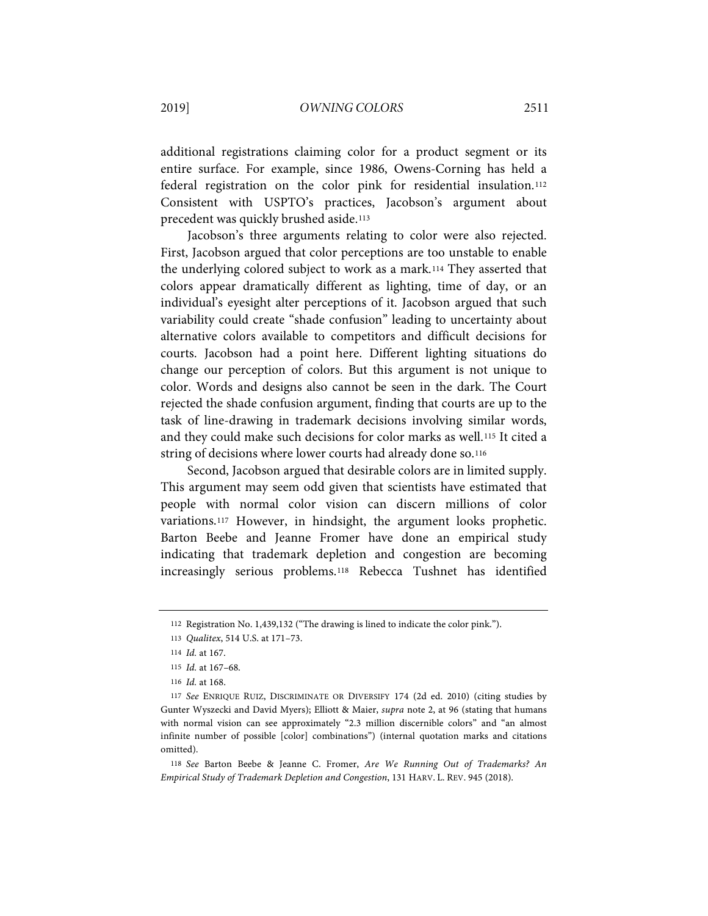additional registrations claiming color for a product segment or its entire surface. For example, since 1986, Owens-Corning has held a federal registration on the color pink for residential insulation.[112](#page-29-0) Consistent with USPTO's practices, Jacobson's argument about precedent was quickly brushed aside.[113](#page-29-1)

Jacobson's three arguments relating to color were also rejected. First, Jacobson argued that color perceptions are too unstable to enable the underlying colored subject to work as a mark.[114](#page-29-2) They asserted that colors appear dramatically different as lighting, time of day, or an individual's eyesight alter perceptions of it. Jacobson argued that such variability could create "shade confusion" leading to uncertainty about alternative colors available to competitors and difficult decisions for courts. Jacobson had a point here. Different lighting situations do change our perception of colors. But this argument is not unique to color. Words and designs also cannot be seen in the dark. The Court rejected the shade confusion argument, finding that courts are up to the task of line-drawing in trademark decisions involving similar words, and they could make such decisions for color marks as well.[115](#page-29-3) It cited a string of decisions where lower courts had already done so.<sup>[116](#page-29-4)</sup>

Second, Jacobson argued that desirable colors are in limited supply. This argument may seem odd given that scientists have estimated that people with normal color vision can discern millions of color variations.[117](#page-29-5) However, in hindsight, the argument looks prophetic. Barton Beebe and Jeanne Fromer have done an empirical study indicating that trademark depletion and congestion are becoming increasingly serious problems.[118](#page-29-6) Rebecca Tushnet has identified

<span id="page-29-7"></span><sup>112</sup> Registration No. 1,439,132 ("The drawing is lined to indicate the color pink.").

<span id="page-29-1"></span><span id="page-29-0"></span><sup>113</sup> *Qualitex*, 514 U.S. at 171–73.

<sup>114</sup> *Id.* at 167.

<sup>115</sup> *Id.* at 167–68.

<sup>116</sup> *Id.* at 168.

<span id="page-29-5"></span><span id="page-29-4"></span><span id="page-29-3"></span><span id="page-29-2"></span><sup>117</sup> *See* ENRIQUE RUIZ, DISCRIMINATE OR DIVERSIFY 174 (2d ed. 2010) (citing studies by Gunter Wyszecki and David Myers); Elliott & Maier, *supra* note [2,](#page-2-4) at 96 (stating that humans with normal vision can see approximately "2.3 million discernible colors" and "an almost infinite number of possible [color] combinations") (internal quotation marks and citations omitted).

<span id="page-29-6"></span><sup>118</sup> *See* Barton Beebe & Jeanne C. Fromer, *Are We Running Out of Trademarks? An Empirical Study of Trademark Depletion and Congestion*, 131 HARV. L. REV. 945 (2018).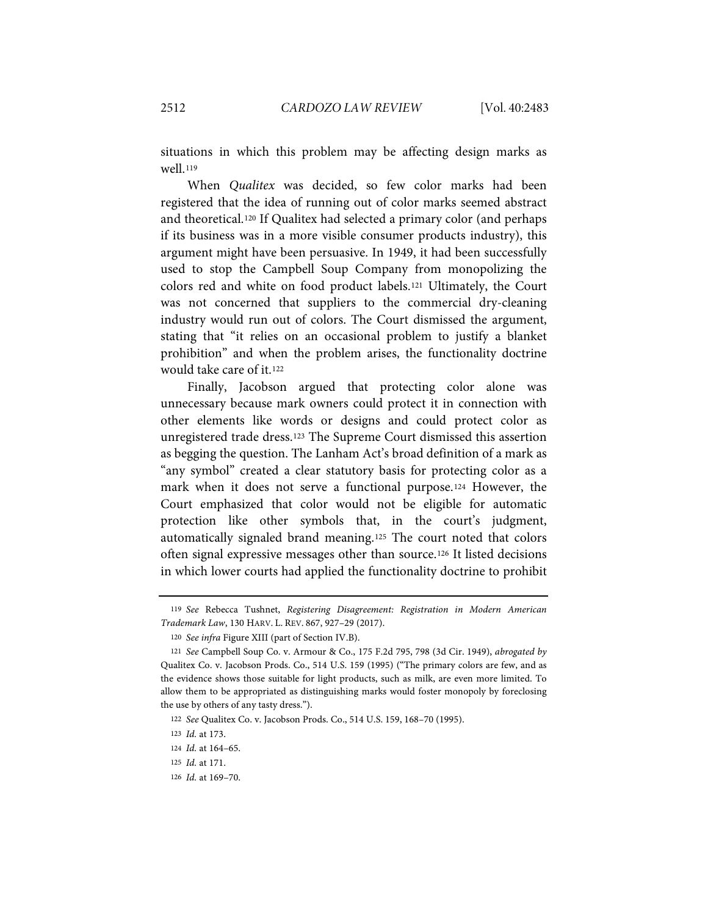situations in which this problem may be affecting design marks as well<sub>.[119](#page-30-0)</sub>

When *Qualitex* was decided, so few color marks had been registered that the idea of running out of color marks seemed abstract and theoretical[.120](#page-30-1) If Qualitex had selected a primary color (and perhaps if its business was in a more visible consumer products industry), this argument might have been persuasive. In 1949, it had been successfully used to stop the Campbell Soup Company from monopolizing the colors red and white on food product labels.[121](#page-30-2) Ultimately, the Court was not concerned that suppliers to the commercial dry-cleaning industry would run out of colors. The Court dismissed the argument, stating that "it relies on an occasional problem to justify a blanket prohibition" and when the problem arises, the functionality doctrine would take care of it[.122](#page-30-3)

Finally, Jacobson argued that protecting color alone was unnecessary because mark owners could protect it in connection with other elements like words or designs and could protect color as unregistered trade dress.[123](#page-30-4) The Supreme Court dismissed this assertion as begging the question. The Lanham Act's broad definition of a mark as "any symbol" created a clear statutory basis for protecting color as a mark when it does not serve a functional purpose.[124](#page-30-5) However, the Court emphasized that color would not be eligible for automatic protection like other symbols that, in the court's judgment, automatically signaled brand meaning.[125](#page-30-6) The court noted that colors often signal expressive messages other than source.[126](#page-30-7) It listed decisions in which lower courts had applied the functionality doctrine to prohibit

<span id="page-30-0"></span><sup>119</sup> *See* Rebecca Tushnet, *Registering Disagreement: Registration in Modern American Trademark Law*, 130 HARV. L. REV. 867, 927–29 (2017).

<sup>120</sup> *See infra* Figure XIII (part of Section IV.B).

<span id="page-30-2"></span><span id="page-30-1"></span><sup>121</sup> *See* Campbell Soup Co. v. Armour & Co., 175 F.2d 795, 798 (3d Cir. 1949), *abrogated by* Qualitex Co. v. Jacobson Prods. Co., 514 U.S. 159 (1995) ("The primary colors are few, and as the evidence shows those suitable for light products, such as milk, are even more limited. To allow them to be appropriated as distinguishing marks would foster monopoly by foreclosing the use by others of any tasty dress.").

<span id="page-30-3"></span><sup>122</sup> *See* Qualitex Co. v. Jacobson Prods. Co., 514 U.S. 159, 168–70 (1995).

<span id="page-30-4"></span><sup>123</sup> *Id.* at 173.

<span id="page-30-5"></span><sup>124</sup> *Id.* at 164–65.

<span id="page-30-6"></span><sup>125</sup> *Id.* at 171.

<span id="page-30-7"></span><sup>126</sup> *Id.* at 169–70.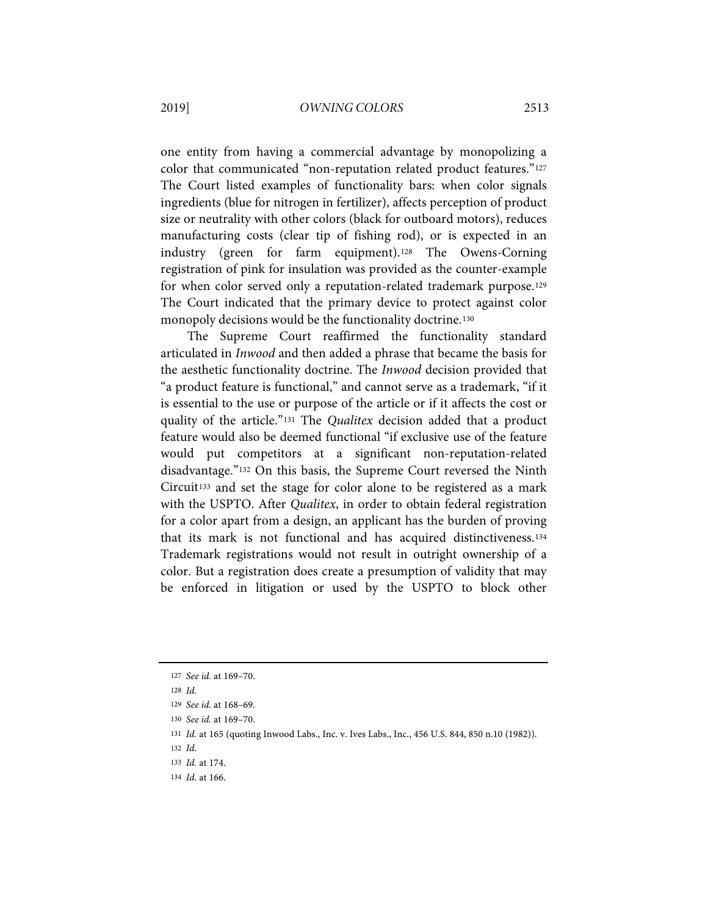one entity from having a commercial advantage by monopolizing a color that communicated "non-reputation related product features."[127](#page-31-0) The Court listed examples of functionality bars: when color signals ingredients (blue for nitrogen in fertilizer), affects perception of product size or neutrality with other colors (black for outboard motors), reduces manufacturing costs (clear tip of fishing rod), or is expected in an industry (green for farm equipment).[128](#page-31-1) The Owens-Corning registration of pink for insulation was provided as the counter-example for when color served only a reputation-related trademark purpose.[129](#page-31-2) The Court indicated that the primary device to protect against color monopoly decisions would be the functionality doctrine.[130](#page-31-3)

The Supreme Court reaffirmed the functionality standard articulated in *Inwood* and then added a phrase that became the basis for the aesthetic functionality doctrine. The *Inwood* decision provided that "a product feature is functional," and cannot serve as a trademark, "if it is essential to the use or purpose of the article or if it affects the cost or quality of the article."[131](#page-31-4) The *Qualitex* decision added that a product feature would also be deemed functional "if exclusive use of the feature would put competitors at a significant non-reputation-related disadvantage."[132](#page-31-5) On this basis, the Supreme Court reversed the Ninth Circuit[133](#page-31-6) and set the stage for color alone to be registered as a mark with the USPTO. After *Qualitex*, in order to obtain federal registration for a color apart from a design, an applicant has the burden of proving that its mark is not functional and has acquired distinctiveness.[134](#page-31-7) Trademark registrations would not result in outright ownership of a color. But a registration does create a presumption of validity that may be enforced in litigation or used by the USPTO to block other

<span id="page-31-1"></span>128 *Id.*

<span id="page-31-5"></span>132 *Id.*

<span id="page-31-0"></span><sup>127</sup> *See id.* at 169–70.

<span id="page-31-2"></span><sup>129</sup> *See id.* at 168–69.

<span id="page-31-3"></span><sup>130</sup> *See id.* at 169–70.

<span id="page-31-4"></span><sup>131</sup> *Id.* at 165 (quoting Inwood Labs., Inc. v. Ives Labs., Inc., 456 U.S. 844, 850 n.10 (1982)).

<span id="page-31-6"></span><sup>133</sup> *Id.* at 174.

<span id="page-31-7"></span><sup>134</sup> *Id.* at 166.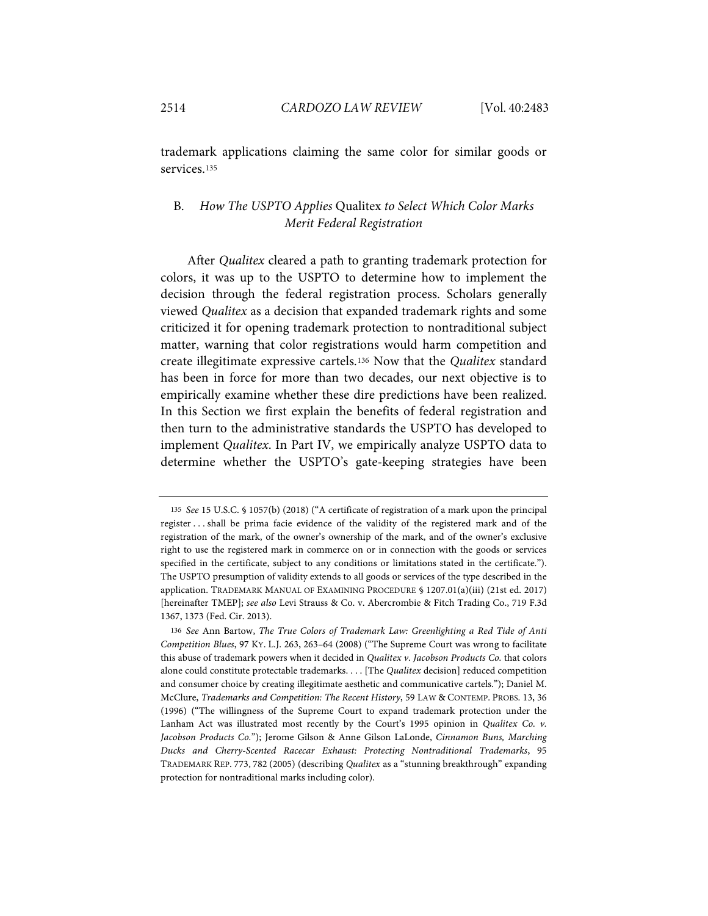trademark applications claiming the same color for similar goods or services.[135](#page-32-1)

# B. *How The USPTO Applies* Qualitex *to Select Which Color Marks Merit Federal Registration*

<span id="page-32-0"></span>After *Qualitex* cleared a path to granting trademark protection for colors, it was up to the USPTO to determine how to implement the decision through the federal registration process. Scholars generally viewed *Qualitex* as a decision that expanded trademark rights and some criticized it for opening trademark protection to nontraditional subject matter, warning that color registrations would harm competition and create illegitimate expressive cartels.[136](#page-32-2) Now that the *Qualitex* standard has been in force for more than two decades, our next objective is to empirically examine whether these dire predictions have been realized. In this Section we first explain the benefits of federal registration and then turn to the administrative standards the USPTO has developed to implement *Qualitex*. In Part IV, we empirically analyze USPTO data to determine whether the USPTO's gate-keeping strategies have been

<span id="page-32-1"></span><sup>135</sup> *See* 15 U.S.C. § 1057(b) (2018) ("A certificate of registration of a mark upon the principal register . . . shall be prima facie evidence of the validity of the registered mark and of the registration of the mark, of the owner's ownership of the mark, and of the owner's exclusive right to use the registered mark in commerce on or in connection with the goods or services specified in the certificate, subject to any conditions or limitations stated in the certificate."). The USPTO presumption of validity extends to all goods or services of the type described in the application. TRADEMARK MANUAL OF EXAMINING PROCEDURE § 1207.01(a)(iii) (21st ed. 2017) [hereinafter TMEP]; *see also* Levi Strauss & Co. v. Abercrombie & Fitch Trading Co., 719 F.3d 1367, 1373 (Fed. Cir. 2013).

<span id="page-32-2"></span><sup>136</sup> *See* Ann Bartow, *The True Colors of Trademark Law: Greenlighting a Red Tide of Anti Competition Blues*, 97 KY. L.J. 263, 263–64 (2008) ("The Supreme Court was wrong to facilitate this abuse of trademark powers when it decided in *Qualitex v. Jacobson Products Co.* that colors alone could constitute protectable trademarks. . . . [The *Qualitex* decision] reduced competition and consumer choice by creating illegitimate aesthetic and communicative cartels."); Daniel M. McClure, *Trademarks and Competition: The Recent History*, 59 LAW & CONTEMP. PROBS. 13, 36 (1996) ("The willingness of the Supreme Court to expand trademark protection under the Lanham Act was illustrated most recently by the Court's 1995 opinion in *Qualitex Co. v. Jacobson Products Co.*"); Jerome Gilson & Anne Gilson LaLonde, *Cinnamon Buns, Marching Ducks and Cherry-Scented Racecar Exhaust: Protecting Nontraditional Trademarks*, 95 TRADEMARK REP. 773, 782 (2005) (describing *Qualitex* as a "stunning breakthrough" expanding protection for nontraditional marks including color).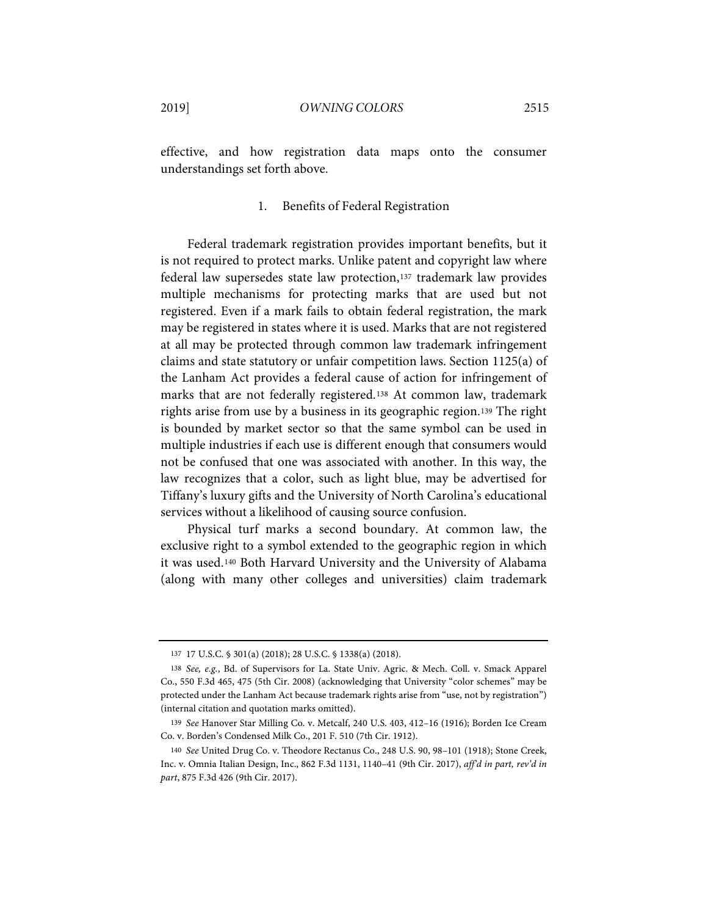effective, and how registration data maps onto the consumer understandings set forth above.

#### 1. Benefits of Federal Registration

Federal trademark registration provides important benefits, but it is not required to protect marks. Unlike patent and copyright law where federal law supersedes state law protection,[137](#page-33-0) trademark law provides multiple mechanisms for protecting marks that are used but not registered. Even if a mark fails to obtain federal registration, the mark may be registered in states where it is used. Marks that are not registered at all may be protected through common law trademark infringement claims and state statutory or unfair competition laws. Section 1125(a) of the Lanham Act provides a federal cause of action for infringement of marks that are not federally registered.[138](#page-33-1) At common law, trademark rights arise from use by a business in its geographic region.[139](#page-33-2) The right is bounded by market sector so that the same symbol can be used in multiple industries if each use is different enough that consumers would not be confused that one was associated with another. In this way, the law recognizes that a color, such as light blue, may be advertised for Tiffany's luxury gifts and the University of North Carolina's educational services without a likelihood of causing source confusion.

Physical turf marks a second boundary. At common law, the exclusive right to a symbol extended to the geographic region in which it was used.[140](#page-33-3) Both Harvard University and the University of Alabama (along with many other colleges and universities) claim trademark

<sup>137</sup> 17 U.S.C. § 301(a) (2018); 28 U.S.C. § 1338(a) (2018).

<span id="page-33-1"></span><span id="page-33-0"></span><sup>138</sup> *See, e.g.*, Bd. of Supervisors for La. State Univ. Agric. & Mech. Coll. v. Smack Apparel Co., 550 F.3d 465, 475 (5th Cir. 2008) (acknowledging that University "color schemes" may be protected under the Lanham Act because trademark rights arise from "use, not by registration") (internal citation and quotation marks omitted).

<span id="page-33-2"></span><sup>139</sup> *See* Hanover Star Milling Co. v. Metcalf, 240 U.S. 403, 412–16 (1916); Borden Ice Cream Co. v. Borden's Condensed Milk Co., 201 F. 510 (7th Cir. 1912).

<span id="page-33-3"></span><sup>140</sup> *See* United Drug Co. v. Theodore Rectanus Co., 248 U.S. 90, 98–101 (1918); Stone Creek, Inc. v. Omnia Italian Design, Inc., 862 F.3d 1131, 1140–41 (9th Cir. 2017), *aff'd in part, rev'd in part*, 875 F.3d 426 (9th Cir. 2017).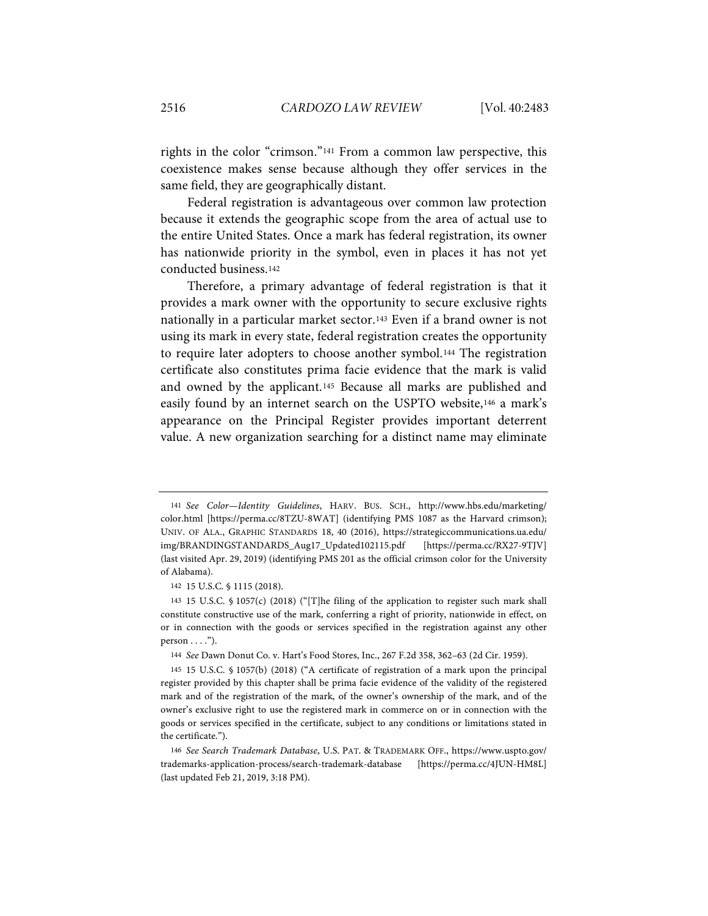rights in the color "crimson."[141](#page-34-0) From a common law perspective, this coexistence makes sense because although they offer services in the same field, they are geographically distant.

Federal registration is advantageous over common law protection because it extends the geographic scope from the area of actual use to the entire United States. Once a mark has federal registration, its owner has nationwide priority in the symbol, even in places it has not yet conducted business.[142](#page-34-1)

Therefore, a primary advantage of federal registration is that it provides a mark owner with the opportunity to secure exclusive rights nationally in a particular market sector.[143](#page-34-2) Even if a brand owner is not using its mark in every state, federal registration creates the opportunity to require later adopters to choose another symbol.[144](#page-34-3) The registration certificate also constitutes prima facie evidence that the mark is valid and owned by the applicant.[145](#page-34-4) Because all marks are published and easily found by an internet search on the USPTO website,[146](#page-34-5) a mark's appearance on the Principal Register provides important deterrent value. A new organization searching for a distinct name may eliminate

<span id="page-34-0"></span><sup>141</sup> *See Color—Identity Guidelines*, HARV. BUS. SCH., http://www.hbs.edu/marketing/ color.html [https://perma.cc/8TZU-8WAT] (identifying PMS 1087 as the Harvard crimson); UNIV. OF ALA., GRAPHIC STANDARDS 18, 40 (2016), https://strategiccommunications.ua.edu/ img/BRANDINGSTANDARDS\_Aug17\_Updated102115.pdf [https://perma.cc/RX27-9TJV] (last visited Apr. 29, 2019) (identifying PMS 201 as the official crimson color for the University of Alabama).

<sup>142</sup> 15 U.S.C. § 1115 (2018).

<span id="page-34-2"></span><span id="page-34-1"></span><sup>143</sup> 15 U.S.C. § 1057(c) (2018) ("[T]he filing of the application to register such mark shall constitute constructive use of the mark, conferring a right of priority, nationwide in effect, on or in connection with the goods or services specified in the registration against any other  $person \ldots$ ").

<sup>144</sup> *See* Dawn Donut Co. v. Hart's Food Stores, Inc., 267 F.2d 358, 362–63 (2d Cir. 1959).

<span id="page-34-4"></span><span id="page-34-3"></span><sup>145</sup> 15 U.S.C. § 1057(b) (2018) ("A certificate of registration of a mark upon the principal register provided by this chapter shall be prima facie evidence of the validity of the registered mark and of the registration of the mark, of the owner's ownership of the mark, and of the owner's exclusive right to use the registered mark in commerce on or in connection with the goods or services specified in the certificate, subject to any conditions or limitations stated in the certificate.").

<span id="page-34-5"></span><sup>146</sup> *See Search Trademark Database*, U.S. PAT. & TRADEMARK OFF., https://www.uspto.gov/ trademarks-application-process/search-trademark-database [https://perma.cc/4JUN-HM8L] (last updated Feb 21, 2019, 3:18 PM).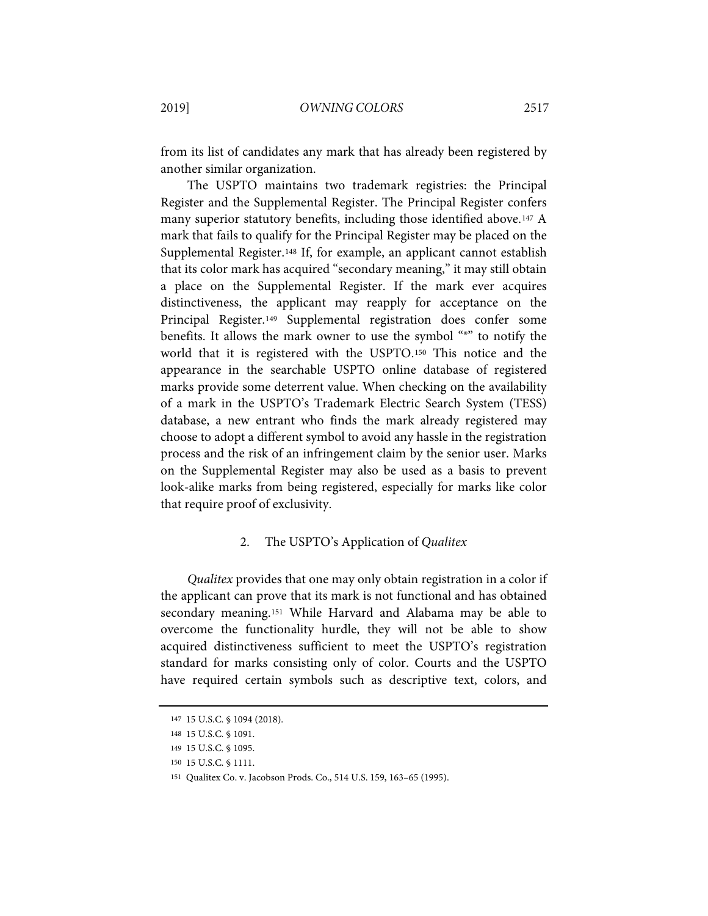from its list of candidates any mark that has already been registered by another similar organization.

The USPTO maintains two trademark registries: the Principal Register and the Supplemental Register. The Principal Register confers many superior statutory benefits, including those identified above[.147](#page-35-0) A mark that fails to qualify for the Principal Register may be placed on the Supplemental Register.[148](#page-35-1) If, for example, an applicant cannot establish that its color mark has acquired "secondary meaning," it may still obtain a place on the Supplemental Register. If the mark ever acquires distinctiveness, the applicant may reapply for acceptance on the Principal Register.[149](#page-35-2) Supplemental registration does confer some benefits. It allows the mark owner to use the symbol "®" to notify the world that it is registered with the USPTO.[150](#page-35-3) This notice and the appearance in the searchable USPTO online database of registered marks provide some deterrent value. When checking on the availability of a mark in the USPTO's Trademark Electric Search System (TESS) database, a new entrant who finds the mark already registered may choose to adopt a different symbol to avoid any hassle in the registration process and the risk of an infringement claim by the senior user. Marks on the Supplemental Register may also be used as a basis to prevent look-alike marks from being registered, especially for marks like color that require proof of exclusivity.

# 2. The USPTO's Application of *Qualitex*

*Qualitex* provides that one may only obtain registration in a color if the applicant can prove that its mark is not functional and has obtained secondary meaning.[151](#page-35-4) While Harvard and Alabama may be able to overcome the functionality hurdle, they will not be able to show acquired distinctiveness sufficient to meet the USPTO's registration standard for marks consisting only of color. Courts and the USPTO have required certain symbols such as descriptive text, colors, and

<span id="page-35-0"></span><sup>147</sup> 15 U.S.C. § 1094 (2018).

<span id="page-35-1"></span><sup>148</sup> 15 U.S.C. § 1091.

<sup>149</sup> 15 U.S.C. § 1095.

<span id="page-35-4"></span><span id="page-35-3"></span><span id="page-35-2"></span><sup>150</sup> 15 U.S.C. § 1111.

<sup>151</sup> Qualitex Co. v. Jacobson Prods. Co., 514 U.S. 159, 163–65 (1995).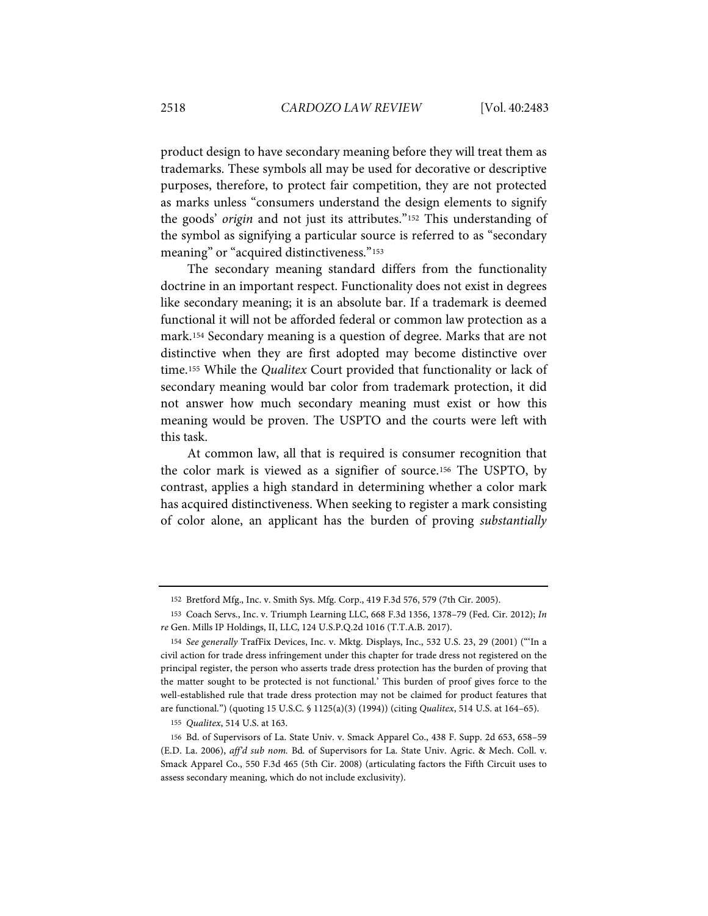product design to have secondary meaning before they will treat them as trademarks. These symbols all may be used for decorative or descriptive purposes, therefore, to protect fair competition, they are not protected as marks unless "consumers understand the design elements to signify the goods' *origin* and not just its attributes."[152](#page-36-0) This understanding of the symbol as signifying a particular source is referred to as "secondary meaning" or "acquired distinctiveness."<sup>[153](#page-36-1)</sup>

The secondary meaning standard differs from the functionality doctrine in an important respect. Functionality does not exist in degrees like secondary meaning; it is an absolute bar. If a trademark is deemed functional it will not be afforded federal or common law protection as a mark.[154](#page-36-2) Secondary meaning is a question of degree. Marks that are not distinctive when they are first adopted may become distinctive over time.[155](#page-36-3) While the *Qualitex* Court provided that functionality or lack of secondary meaning would bar color from trademark protection, it did not answer how much secondary meaning must exist or how this meaning would be proven. The USPTO and the courts were left with this task.

At common law, all that is required is consumer recognition that the color mark is viewed as a signifier of source.[156](#page-36-4) The USPTO, by contrast, applies a high standard in determining whether a color mark has acquired distinctiveness. When seeking to register a mark consisting of color alone, an applicant has the burden of proving *substantially* 

<sup>152</sup> Bretford Mfg., Inc. v. Smith Sys. Mfg. Corp., 419 F.3d 576, 579 (7th Cir. 2005).

<span id="page-36-1"></span><span id="page-36-0"></span><sup>153</sup> Coach Servs., Inc. v. Triumph Learning LLC, 668 F.3d 1356, 1378–79 (Fed. Cir. 2012); *In re* Gen. Mills IP Holdings, II, LLC, 124 U.S.P.Q.2d 1016 (T.T.A.B. 2017).

<span id="page-36-2"></span><sup>154</sup> *See generally* TrafFix Devices, Inc. v. Mktg. Displays, Inc., 532 U.S. 23, 29 (2001) ("'In a civil action for trade dress infringement under this chapter for trade dress not registered on the principal register, the person who asserts trade dress protection has the burden of proving that the matter sought to be protected is not functional.' This burden of proof gives force to the well-established rule that trade dress protection may not be claimed for product features that are functional.") (quoting 15 U.S.C. § 1125(a)(3) (1994)) (citing *Qualitex*, 514 U.S. at 164–65).

<sup>155</sup> *Qualitex*, 514 U.S. at 163.

<span id="page-36-4"></span><span id="page-36-3"></span><sup>156</sup> Bd. of Supervisors of La. State Univ. v. Smack Apparel Co., 438 F. Supp. 2d 653, 658–59 (E.D. La. 2006), *aff'd sub nom.* Bd. of Supervisors for La. State Univ. Agric. & Mech. Coll. v. Smack Apparel Co., 550 F.3d 465 (5th Cir. 2008) (articulating factors the Fifth Circuit uses to assess secondary meaning, which do not include exclusivity).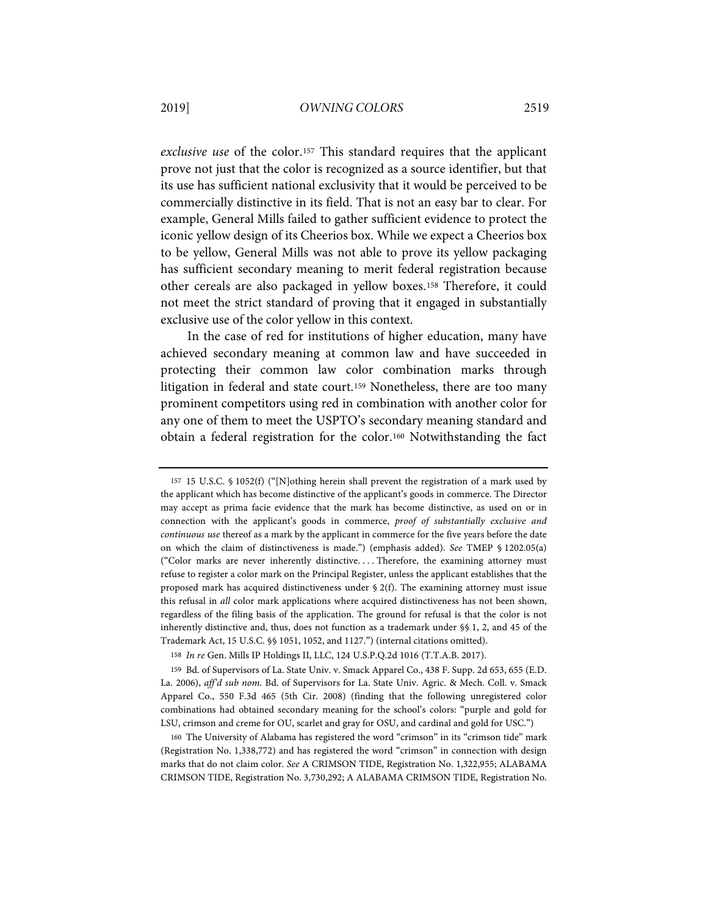*exclusive use* of the color.[157](#page-37-0) This standard requires that the applicant prove not just that the color is recognized as a source identifier, but that its use has sufficient national exclusivity that it would be perceived to be commercially distinctive in its field. That is not an easy bar to clear. For example, General Mills failed to gather sufficient evidence to protect the iconic yellow design of its Cheerios box. While we expect a Cheerios box to be yellow, General Mills was not able to prove its yellow packaging has sufficient secondary meaning to merit federal registration because other cereals are also packaged in yellow boxes.[158](#page-37-1) Therefore, it could not meet the strict standard of proving that it engaged in substantially exclusive use of the color yellow in this context.

In the case of red for institutions of higher education, many have achieved secondary meaning at common law and have succeeded in protecting their common law color combination marks through litigation in federal and state court.[159](#page-37-2) Nonetheless, there are too many prominent competitors using red in combination with another color for any one of them to meet the USPTO's secondary meaning standard and obtain a federal registration for the color.[160](#page-37-3) Notwithstanding the fact

<span id="page-37-0"></span><sup>157</sup> 15 U.S.C. § 1052(f) ("[N]othing herein shall prevent the registration of a mark used by the applicant which has become distinctive of the applicant's goods in commerce. The Director may accept as prima facie evidence that the mark has become distinctive, as used on or in connection with the applicant's goods in commerce, *proof of substantially exclusive and continuous use* thereof as a mark by the applicant in commerce for the five years before the date on which the claim of distinctiveness is made.") (emphasis added). *See* TMEP § 1202.05(a) ("Color marks are never inherently distinctive. . . . Therefore, the examining attorney must refuse to register a color mark on the Principal Register, unless the applicant establishes that the proposed mark has acquired distinctiveness under  $\S$  2(f). The examining attorney must issue this refusal in *all* color mark applications where acquired distinctiveness has not been shown, regardless of the filing basis of the application. The ground for refusal is that the color is not inherently distinctive and, thus, does not function as a trademark under §§ 1, 2, and 45 of the Trademark Act, 15 U.S.C. §§ 1051, 1052, and 1127.") (internal citations omitted).

<sup>158</sup> *In re* Gen. Mills IP Holdings II, LLC, 124 U.S.P.Q.2d 1016 (T.T.A.B. 2017).

<span id="page-37-2"></span><span id="page-37-1"></span><sup>159</sup> Bd. of Supervisors of La. State Univ. v. Smack Apparel Co., 438 F. Supp. 2d 653, 655 (E.D. La. 2006), *aff'd sub nom.* Bd. of Supervisors for La. State Univ. Agric. & Mech. Coll. v. Smack Apparel Co., 550 F.3d 465 (5th Cir. 2008) (finding that the following unregistered color combinations had obtained secondary meaning for the school's colors: "purple and gold for LSU, crimson and creme for OU, scarlet and gray for OSU, and cardinal and gold for USC.")

<span id="page-37-3"></span><sup>160</sup> The University of Alabama has registered the word "crimson" in its "crimson tide" mark (Registration No. 1,338,772) and has registered the word "crimson" in connection with design marks that do not claim color. *See* A CRIMSON TIDE, Registration No. 1,322,955; ALABAMA CRIMSON TIDE, Registration No. 3,730,292; A ALABAMA CRIMSON TIDE, Registration No.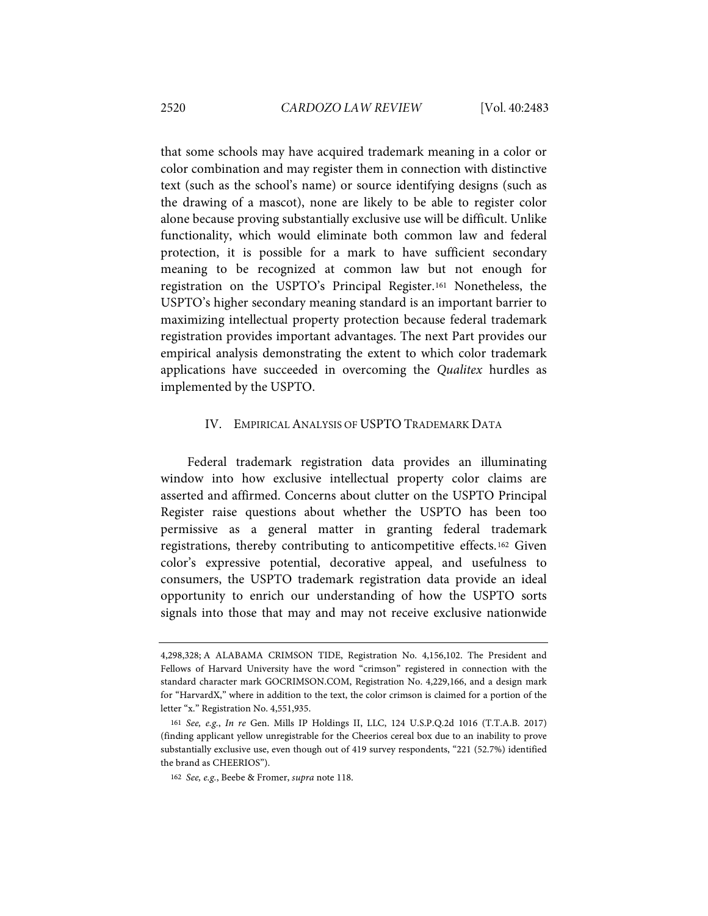that some schools may have acquired trademark meaning in a color or color combination and may register them in connection with distinctive text (such as the school's name) or source identifying designs (such as the drawing of a mascot), none are likely to be able to register color alone because proving substantially exclusive use will be difficult. Unlike functionality, which would eliminate both common law and federal protection, it is possible for a mark to have sufficient secondary meaning to be recognized at common law but not enough for registration on the USPTO's Principal Register.[161](#page-38-0) Nonetheless, the USPTO's higher secondary meaning standard is an important barrier to maximizing intellectual property protection because federal trademark registration provides important advantages. The next Part provides our empirical analysis demonstrating the extent to which color trademark applications have succeeded in overcoming the *Qualitex* hurdles as implemented by the USPTO.

#### IV. EMPIRICAL ANALYSIS OF USPTO TRADEMARK DATA

Federal trademark registration data provides an illuminating window into how exclusive intellectual property color claims are asserted and affirmed. Concerns about clutter on the USPTO Principal Register raise questions about whether the USPTO has been too permissive as a general matter in granting federal trademark registrations, thereby contributing to anticompetitive effects.[162](#page-38-1) Given color's expressive potential, decorative appeal, and usefulness to consumers, the USPTO trademark registration data provide an ideal opportunity to enrich our understanding of how the USPTO sorts signals into those that may and may not receive exclusive nationwide

<sup>4,298,328;</sup> A ALABAMA CRIMSON TIDE, Registration No. 4,156,102. The President and Fellows of Harvard University have the word "crimson" registered in connection with the standard character mark GOCRIMSON.COM, Registration No. 4,229,166, and a design mark for "HarvardX," where in addition to the text, the color crimson is claimed for a portion of the letter "x." Registration No. 4,551,935.

<span id="page-38-1"></span><span id="page-38-0"></span><sup>161</sup> *See, e.g.*, *In re* Gen. Mills IP Holdings II, LLC, 124 U.S.P.Q.2d 1016 (T.T.A.B. 2017) (finding applicant yellow unregistrable for the Cheerios cereal box due to an inability to prove substantially exclusive use, even though out of 419 survey respondents, "221 (52.7%) identified the brand as CHEERIOS").

<sup>162</sup> *See, e.g.*, Beebe & Fromer, *supra* not[e 118.](#page-29-7)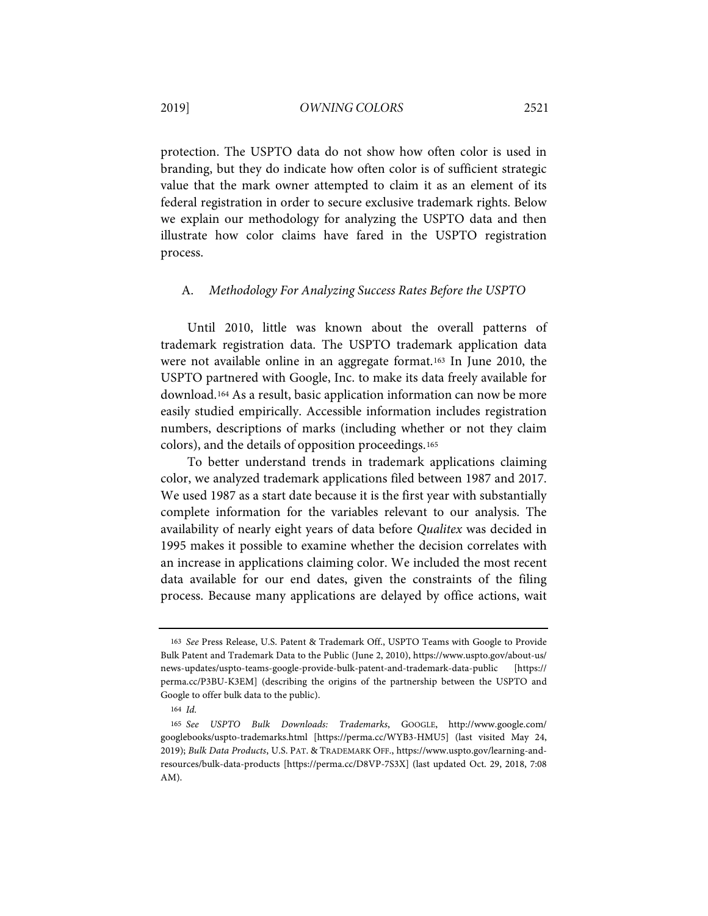protection. The USPTO data do not show how often color is used in branding, but they do indicate how often color is of sufficient strategic value that the mark owner attempted to claim it as an element of its federal registration in order to secure exclusive trademark rights. Below we explain our methodology for analyzing the USPTO data and then illustrate how color claims have fared in the USPTO registration process.

#### A. *Methodology For Analyzing Success Rates Before the USPTO*

Until 2010, little was known about the overall patterns of trademark registration data. The USPTO trademark application data were not available online in an aggregate format.[163](#page-39-0) In June 2010, the USPTO partnered with Google, Inc. to make its data freely available for download.[164](#page-39-1) As a result, basic application information can now be more easily studied empirically. Accessible information includes registration numbers, descriptions of marks (including whether or not they claim colors), and the details of opposition proceedings.[165](#page-39-2)

To better understand trends in trademark applications claiming color, we analyzed trademark applications filed between 1987 and 2017. We used 1987 as a start date because it is the first year with substantially complete information for the variables relevant to our analysis. The availability of nearly eight years of data before *Qualitex* was decided in 1995 makes it possible to examine whether the decision correlates with an increase in applications claiming color. We included the most recent data available for our end dates, given the constraints of the filing process. Because many applications are delayed by office actions, wait

<span id="page-39-0"></span><sup>163</sup> *See* Press Release, U.S. Patent & Trademark Off., USPTO Teams with Google to Provide Bulk Patent and Trademark Data to the Public (June 2, 2010), https://www.uspto.gov/about-us/ news-updates/uspto-teams-google-provide-bulk-patent-and-trademark-data-public [https:// perma.cc/P3BU-K3EM] (describing the origins of the partnership between the USPTO and Google to offer bulk data to the public).

<sup>164</sup> *Id.*

<span id="page-39-2"></span><span id="page-39-1"></span><sup>165</sup> *See USPTO Bulk Downloads: Trademarks*, GOOGLE, http://www.google.com/ googlebooks/uspto-trademarks.html [https://perma.cc/WYB3-HMU5] (last visited May 24, 2019); *Bulk Data Products*, U.S. PAT. & TRADEMARK OFF., https://www.uspto.gov/learning-andresources/bulk-data-products [https://perma.cc/D8VP-7S3X] (last updated Oct. 29, 2018, 7:08 AM).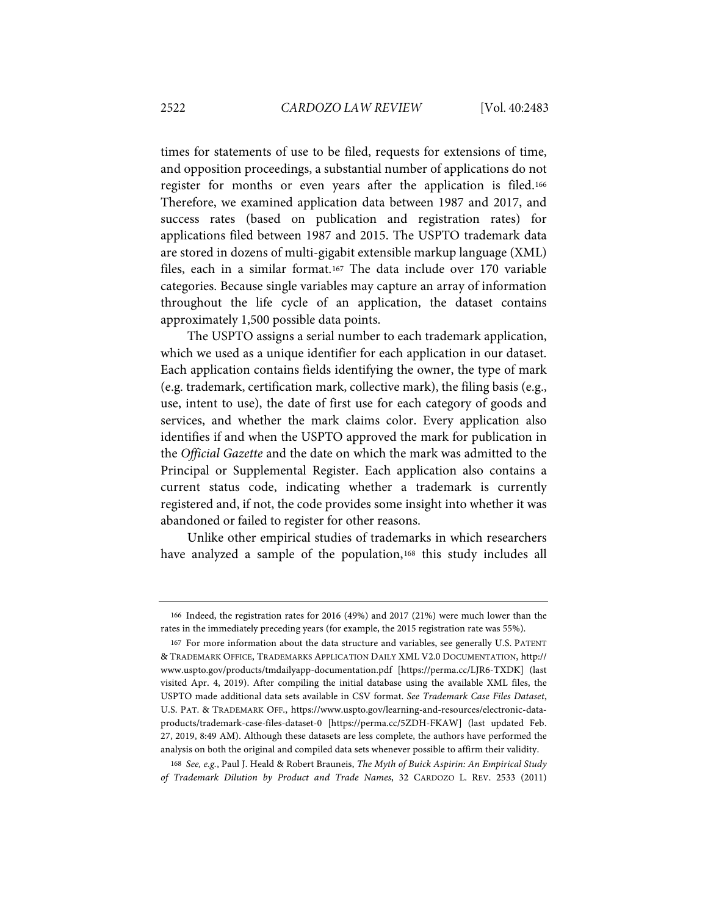times for statements of use to be filed, requests for extensions of time, and opposition proceedings, a substantial number of applications do not register for months or even years after the application is filed.[166](#page-40-0) Therefore, we examined application data between 1987 and 2017, and success rates (based on publication and registration rates) for applications filed between 1987 and 2015. The USPTO trademark data are stored in dozens of multi-gigabit extensible markup language (XML) files, each in a similar format.[167](#page-40-1) The data include over 170 variable categories. Because single variables may capture an array of information throughout the life cycle of an application, the dataset contains approximately 1,500 possible data points.

The USPTO assigns a serial number to each trademark application, which we used as a unique identifier for each application in our dataset. Each application contains fields identifying the owner, the type of mark (e.g. trademark, certification mark, collective mark), the filing basis (e.g., use, intent to use), the date of first use for each category of goods and services, and whether the mark claims color. Every application also identifies if and when the USPTO approved the mark for publication in the *Official Gazette* and the date on which the mark was admitted to the Principal or Supplemental Register. Each application also contains a current status code, indicating whether a trademark is currently registered and, if not, the code provides some insight into whether it was abandoned or failed to register for other reasons.

Unlike other empirical studies of trademarks in which researchers have analyzed a sample of the population,<sup>[168](#page-40-2)</sup> this study includes all

<span id="page-40-0"></span><sup>166</sup> Indeed, the registration rates for 2016 (49%) and 2017 (21%) were much lower than the rates in the immediately preceding years (for example, the 2015 registration rate was 55%).

<span id="page-40-1"></span><sup>167</sup> For more information about the data structure and variables, see generally U.S. PATENT & TRADEMARK OFFICE, TRADEMARKS APPLICATION DAILY XML V2.0 DOCUMENTATION, http:// www.uspto.gov/products/tmdailyapp-documentation.pdf [https://perma.cc/LJR6-TXDK] (last visited Apr. 4, 2019). After compiling the initial database using the available XML files, the USPTO made additional data sets available in CSV format. *See Trademark Case Files Dataset*, U.S. PAT. & TRADEMARK OFF., https://www.uspto.gov/learning-and-resources/electronic-dataproducts/trademark-case-files-dataset-0 [https://perma.cc/5ZDH-FKAW] (last updated Feb. 27, 2019, 8:49 AM). Although these datasets are less complete, the authors have performed the analysis on both the original and compiled data sets whenever possible to affirm their validity.

<span id="page-40-2"></span><sup>168</sup> *See, e.g.*, Paul J. Heald & Robert Brauneis, *The Myth of Buick Aspirin: An Empirical Study of Trademark Dilution by Product and Trade Names*, 32 CARDOZO L. REV. 2533 (2011)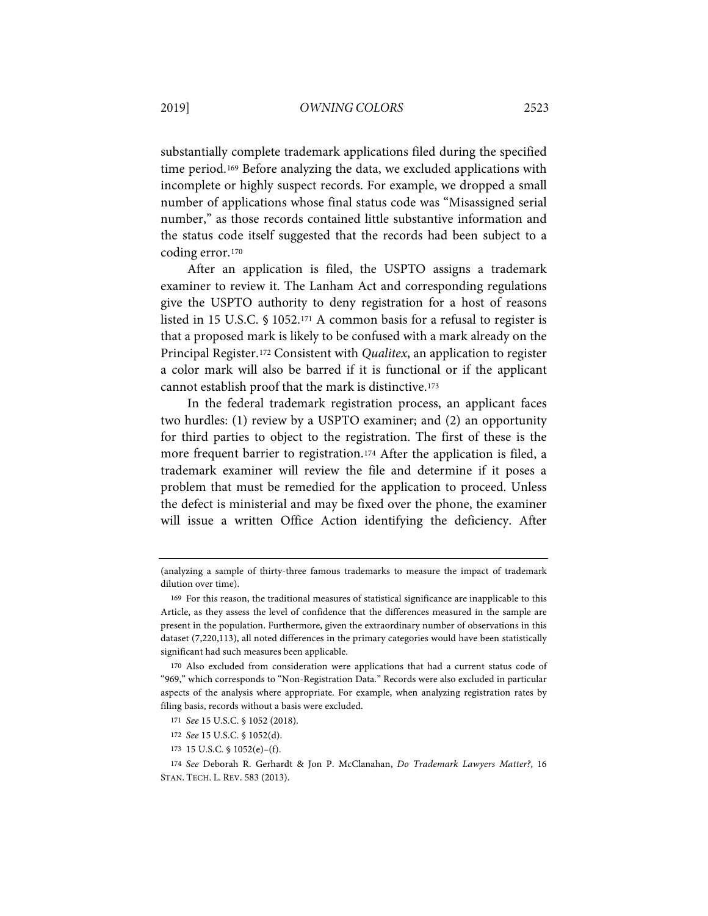substantially complete trademark applications filed during the specified time period.[169](#page-41-0) Before analyzing the data, we excluded applications with incomplete or highly suspect records. For example, we dropped a small number of applications whose final status code was "Misassigned serial number," as those records contained little substantive information and the status code itself suggested that the records had been subject to a coding error.[170](#page-41-1)

After an application is filed, the USPTO assigns a trademark examiner to review it. The Lanham Act and corresponding regulations give the USPTO authority to deny registration for a host of reasons listed in 15 U.S.C. § 1052.[171](#page-41-2) A common basis for a refusal to register is that a proposed mark is likely to be confused with a mark already on the Principal Register.[172](#page-41-3) Consistent with *Qualitex*, an application to register a color mark will also be barred if it is functional or if the applicant cannot establish proof that the mark is distinctive.[173](#page-41-4)

In the federal trademark registration process, an applicant faces two hurdles: (1) review by a USPTO examiner; and (2) an opportunity for third parties to object to the registration. The first of these is the more frequent barrier to registration.[174](#page-41-5) After the application is filed, a trademark examiner will review the file and determine if it poses a problem that must be remedied for the application to proceed. Unless the defect is ministerial and may be fixed over the phone, the examiner will issue a written Office Action identifying the deficiency. After

<sup>(</sup>analyzing a sample of thirty-three famous trademarks to measure the impact of trademark dilution over time).

<span id="page-41-0"></span><sup>169</sup> For this reason, the traditional measures of statistical significance are inapplicable to this Article, as they assess the level of confidence that the differences measured in the sample are present in the population. Furthermore, given the extraordinary number of observations in this dataset (7,220,113), all noted differences in the primary categories would have been statistically significant had such measures been applicable.

<span id="page-41-1"></span><sup>170</sup> Also excluded from consideration were applications that had a current status code of "969," which corresponds to "Non-Registration Data." Records were also excluded in particular aspects of the analysis where appropriate. For example, when analyzing registration rates by filing basis, records without a basis were excluded.

<sup>171</sup> *See* 15 U.S.C. § 1052 (2018).

<sup>172</sup> *See* 15 U.S.C. § 1052(d).

<sup>173</sup> 15 U.S.C. § 1052(e)–(f).

<span id="page-41-5"></span><span id="page-41-4"></span><span id="page-41-3"></span><span id="page-41-2"></span><sup>174</sup> *See* Deborah R. Gerhardt & Jon P. McClanahan, *Do Trademark Lawyers Matter?*, 16 STAN. TECH. L. REV. 583 (2013).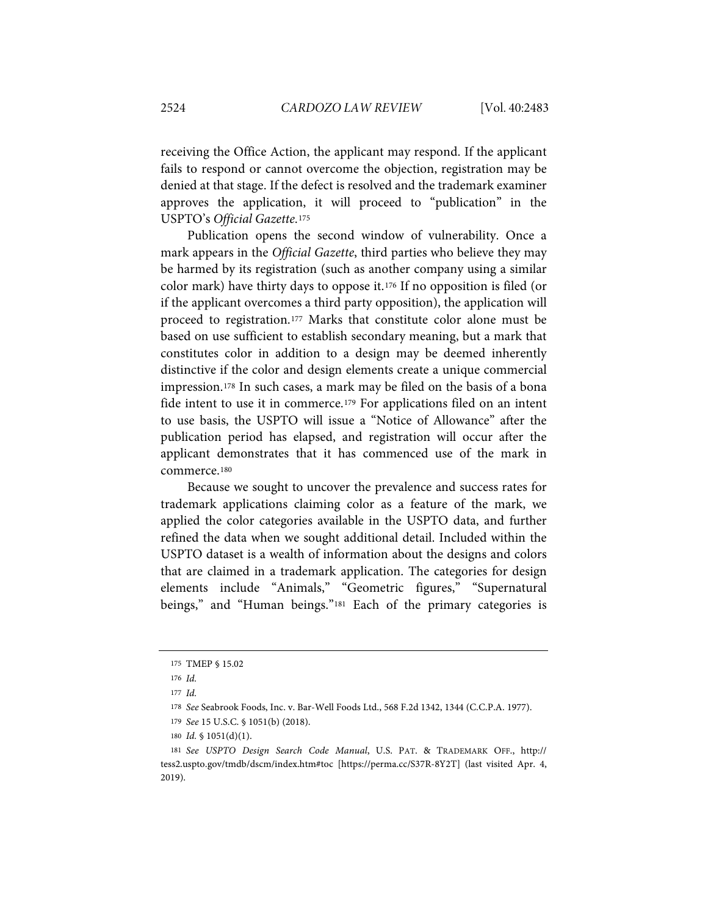receiving the Office Action, the applicant may respond. If the applicant fails to respond or cannot overcome the objection, registration may be denied at that stage. If the defect is resolved and the trademark examiner approves the application, it will proceed to "publication" in the USPTO's *Official Gazette*.[175](#page-42-0)

Publication opens the second window of vulnerability. Once a mark appears in the *Official Gazette*, third parties who believe they may be harmed by its registration (such as another company using a similar color mark) have thirty days to oppose it.[176](#page-42-1) If no opposition is filed (or if the applicant overcomes a third party opposition), the application will proceed to registration.[177](#page-42-2) Marks that constitute color alone must be based on use sufficient to establish secondary meaning, but a mark that constitutes color in addition to a design may be deemed inherently distinctive if the color and design elements create a unique commercial impression[.178](#page-42-3) In such cases, a mark may be filed on the basis of a bona fide intent to use it in commerce.[179](#page-42-4) For applications filed on an intent to use basis, the USPTO will issue a "Notice of Allowance" after the publication period has elapsed, and registration will occur after the applicant demonstrates that it has commenced use of the mark in commerce.[180](#page-42-5)

Because we sought to uncover the prevalence and success rates for trademark applications claiming color as a feature of the mark, we applied the color categories available in the USPTO data, and further refined the data when we sought additional detail. Included within the USPTO dataset is a wealth of information about the designs and colors that are claimed in a trademark application. The categories for design elements include "Animals," "Geometric figures," "Supernatural beings," and "Human beings."<sup>[181](#page-42-6)</sup> Each of the primary categories is

<span id="page-42-0"></span><sup>175</sup> TMEP § 15.02

<span id="page-42-1"></span><sup>176</sup> *Id.*

<span id="page-42-2"></span><sup>177</sup> *Id.*

<sup>178</sup> *See* Seabrook Foods, Inc. v. Bar-Well Foods Ltd., 568 F.2d 1342, 1344 (C.C.P.A. 1977).

<sup>179</sup> *See* 15 U.S.C. § 1051(b) (2018).

<sup>180</sup> *Id.* § 1051(d)(1).

<span id="page-42-6"></span><span id="page-42-5"></span><span id="page-42-4"></span><span id="page-42-3"></span><sup>181</sup> *See USPTO Design Search Code Manual*, U.S. PAT. & TRADEMARK OFF., http:// tess2.uspto.gov/tmdb/dscm/index.htm#toc [https://perma.cc/S37R-8Y2T] (last visited Apr. 4, 2019).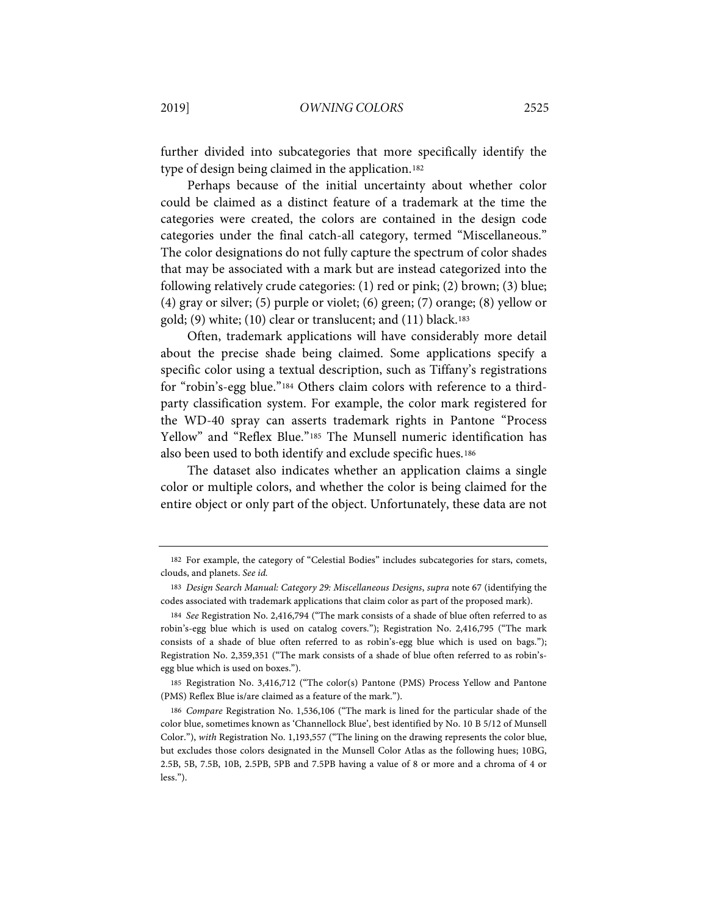further divided into subcategories that more specifically identify the type of design being claimed in the application.[182](#page-43-0)

Perhaps because of the initial uncertainty about whether color could be claimed as a distinct feature of a trademark at the time the categories were created, the colors are contained in the design code categories under the final catch-all category, termed "Miscellaneous." The color designations do not fully capture the spectrum of color shades that may be associated with a mark but are instead categorized into the following relatively crude categories: (1) red or pink; (2) brown; (3) blue; (4) gray or silver; (5) purple or violet; (6) green; (7) orange; (8) yellow or gold; (9) white; (10) clear or translucent; and (11) black.<sup>183</sup>

Often, trademark applications will have considerably more detail about the precise shade being claimed. Some applications specify a specific color using a textual description, such as Tiffany's registrations for "robin's-egg blue."[184](#page-43-2) Others claim colors with reference to a thirdparty classification system. For example, the color mark registered for the WD-40 spray can asserts trademark rights in Pantone "Process Yellow" and "Reflex Blue."[185](#page-43-3) The Munsell numeric identification has also been used to both identify and exclude specific hues.[186](#page-43-4)

The dataset also indicates whether an application claims a single color or multiple colors, and whether the color is being claimed for the entire object or only part of the object. Unfortunately, these data are not

<span id="page-43-0"></span><sup>182</sup> For example, the category of "Celestial Bodies" includes subcategories for stars, comets, clouds, and planets. *See id.*

<span id="page-43-1"></span><sup>183</sup> *Design Search Manual: Category 29: Miscellaneous Designs*, *supra* not[e 67](#page-13-4) (identifying the codes associated with trademark applications that claim color as part of the proposed mark).

<span id="page-43-2"></span><sup>184</sup> *See* Registration No. 2,416,794 ("The mark consists of a shade of blue often referred to as robin's-egg blue which is used on catalog covers."); Registration No. 2,416,795 ("The mark consists of a shade of blue often referred to as robin's-egg blue which is used on bags."); Registration No. 2,359,351 ("The mark consists of a shade of blue often referred to as robin'segg blue which is used on boxes.").

<span id="page-43-3"></span><sup>185</sup> Registration No. 3,416,712 ("The color(s) Pantone (PMS) Process Yellow and Pantone (PMS) Reflex Blue is/are claimed as a feature of the mark.").

<span id="page-43-4"></span><sup>186</sup> *Compare* Registration No. 1,536,106 ("The mark is lined for the particular shade of the color blue, sometimes known as 'Channellock Blue', best identified by No. 10 B 5/12 of Munsell Color."), *with* Registration No. 1,193,557 ("The lining on the drawing represents the color blue, but excludes those colors designated in the Munsell Color Atlas as the following hues; 10BG, 2.5B, 5B, 7.5B, 10B, 2.5PB, 5PB and 7.5PB having a value of 8 or more and a chroma of 4 or less.").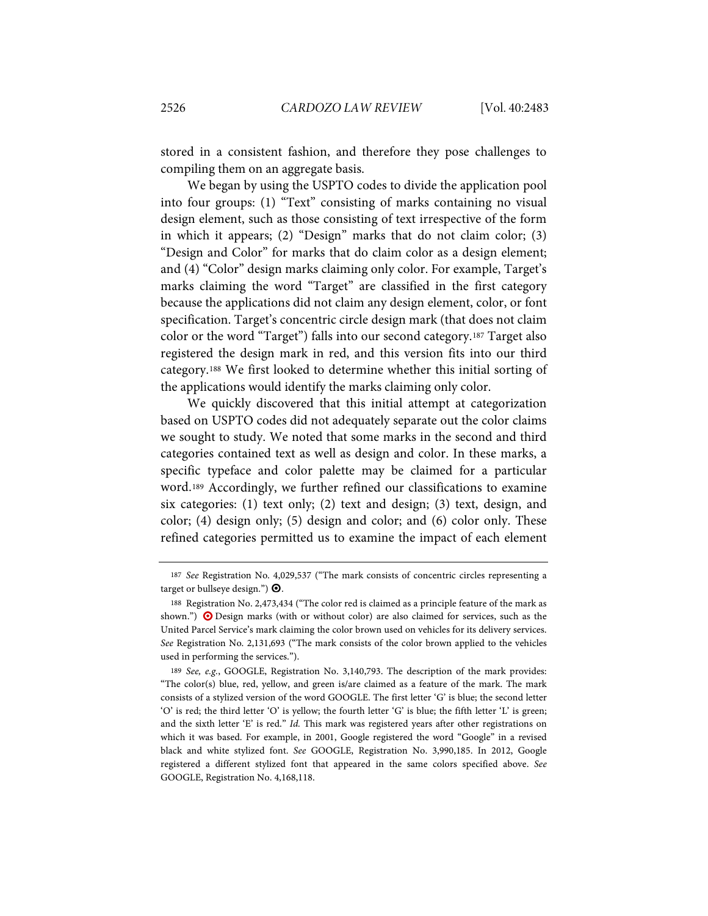stored in a consistent fashion, and therefore they pose challenges to compiling them on an aggregate basis.

We began by using the USPTO codes to divide the application pool into four groups: (1) "Text" consisting of marks containing no visual design element, such as those consisting of text irrespective of the form in which it appears; (2) "Design" marks that do not claim color; (3) "Design and Color" for marks that do claim color as a design element; and (4) "Color" design marks claiming only color. For example, Target's marks claiming the word "Target" are classified in the first category because the applications did not claim any design element, color, or font specification. Target's concentric circle design mark (that does not claim color or the word "Target") falls into our second category.[187](#page-46-0) Target also registered the design mark in red, and this version fits into our third category.[188](#page-44-0) We first looked to determine whether this initial sorting of the applications would identify the marks claiming only color.

We quickly discovered that this initial attempt at categorization based on USPTO codes did not adequately separate out the color claims we sought to study. We noted that some marks in the second and third categories contained text as well as design and color. In these marks, a specific typeface and color palette may be claimed for a particular word.[189](#page-44-1) Accordingly, we further refined our classifications to examine six categories: (1) text only; (2) text and design; (3) text, design, and color; (4) design only; (5) design and color; and (6) color only. These refined categories permitted us to examine the impact of each element

<sup>187</sup> *See* Registration No. 4,029,537 ("The mark consists of concentric circles representing a target or bullseye design.")  $\mathbf{\Theta}$ .

<span id="page-44-0"></span><sup>188</sup> Registration No. 2,473,434 ("The color red is claimed as a principle feature of the mark as shown.")  $\bullet$  Design marks (with or without color) are also claimed for services, such as the United Parcel Service's mark claiming the color brown used on vehicles for its delivery services. *See* Registration No. 2,131,693 ("The mark consists of the color brown applied to the vehicles used in performing the services.").

<span id="page-44-1"></span><sup>189</sup> *See, e.g.*, GOOGLE, Registration No. 3,140,793. The description of the mark provides: "The color(s) blue, red, yellow, and green is/are claimed as a feature of the mark. The mark consists of a stylized version of the word GOOGLE. The first letter 'G' is blue; the second letter 'O' is red; the third letter 'O' is yellow; the fourth letter 'G' is blue; the fifth letter 'L' is green; and the sixth letter 'E' is red." *Id.* This mark was registered years after other registrations on which it was based. For example, in 2001, Google registered the word "Google" in a revised black and white stylized font. *See* GOOGLE, Registration No. 3,990,185. In 2012, Google registered a different stylized font that appeared in the same colors specified above. *See* GOOGLE, Registration No. 4,168,118.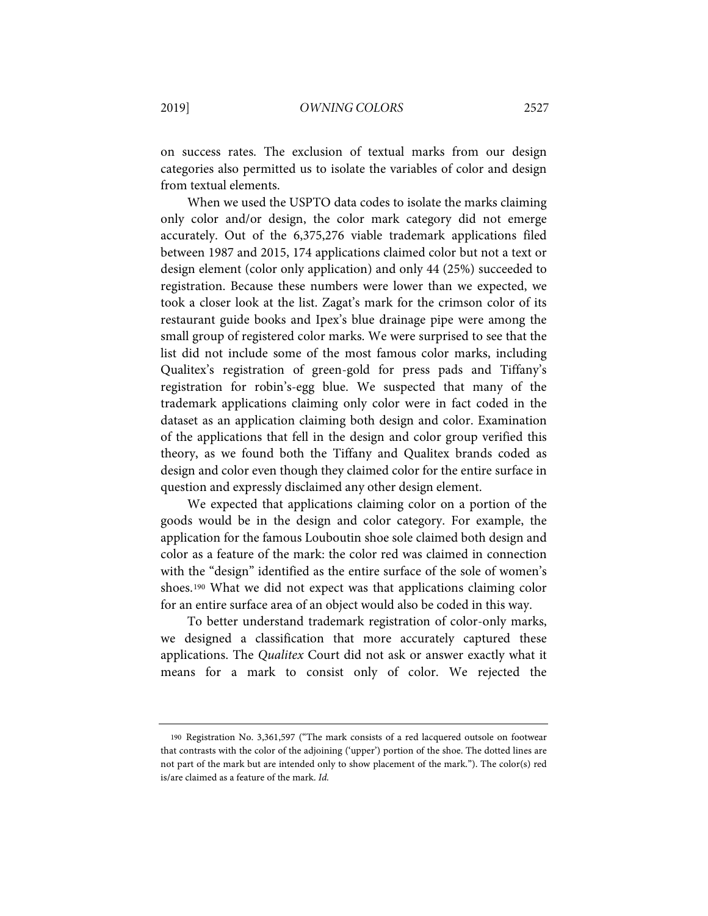on success rates. The exclusion of textual marks from our design categories also permitted us to isolate the variables of color and design from textual elements.

When we used the USPTO data codes to isolate the marks claiming only color and/or design, the color mark category did not emerge accurately. Out of the 6,375,276 viable trademark applications filed between 1987 and 2015, 174 applications claimed color but not a text or design element (color only application) and only 44 (25%) succeeded to registration. Because these numbers were lower than we expected, we took a closer look at the list. Zagat's mark for the crimson color of its restaurant guide books and Ipex's blue drainage pipe were among the small group of registered color marks. We were surprised to see that the list did not include some of the most famous color marks, including Qualitex's registration of green-gold for press pads and Tiffany's registration for robin's-egg blue. We suspected that many of the trademark applications claiming only color were in fact coded in the dataset as an application claiming both design and color. Examination of the applications that fell in the design and color group verified this theory, as we found both the Tiffany and Qualitex brands coded as design and color even though they claimed color for the entire surface in question and expressly disclaimed any other design element.

We expected that applications claiming color on a portion of the goods would be in the design and color category. For example, the application for the famous Louboutin shoe sole claimed both design and color as a feature of the mark: the color red was claimed in connection with the "design" identified as the entire surface of the sole of women's shoes.[190](#page-47-0) What we did not expect was that applications claiming color for an entire surface area of an object would also be coded in this way.

To better understand trademark registration of color-only marks, we designed a classification that more accurately captured these applications. The *Qualitex* Court did not ask or answer exactly what it means for a mark to consist only of color. We rejected the

<sup>190</sup> Registration No. 3,361,597 ("The mark consists of a red lacquered outsole on footwear that contrasts with the color of the adjoining ('upper') portion of the shoe. The dotted lines are not part of the mark but are intended only to show placement of the mark."). The color(s) red is/are claimed as a feature of the mark. *Id.*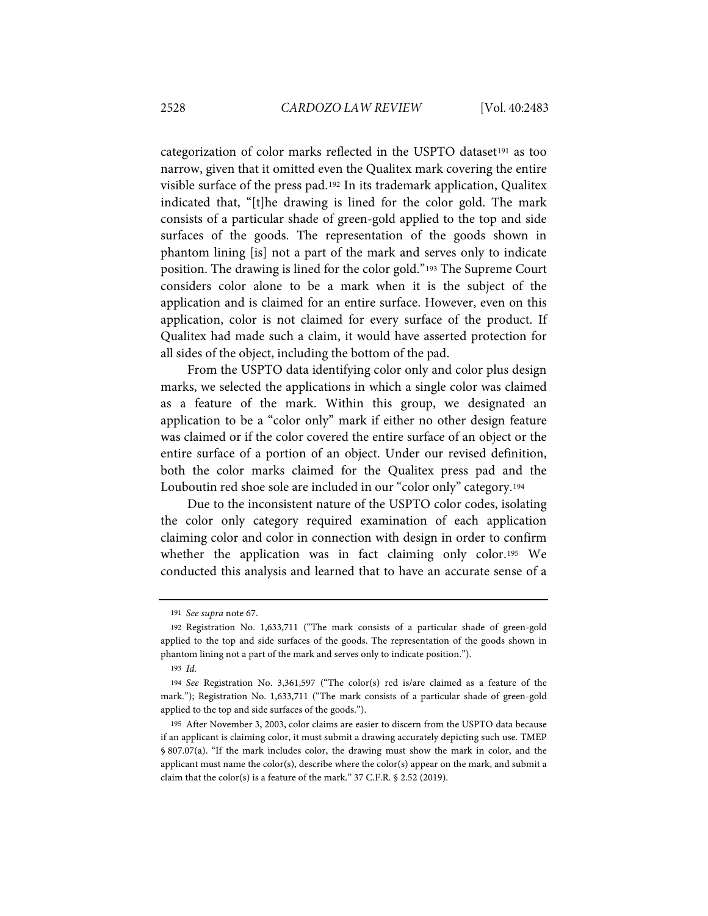categorization of color marks reflected in the USPTO dataset[191](#page-46-1) as too narrow, given that it omitted even the Qualitex mark covering the entire visible surface of the press pad.[192](#page-46-2) In its trademark application, Qualitex indicated that, "[t]he drawing is lined for the color gold. The mark consists of a particular shade of green-gold applied to the top and side surfaces of the goods. The representation of the goods shown in phantom lining [is] not a part of the mark and serves only to indicate position. The drawing is lined for the color gold."[193](#page-46-3) The Supreme Court considers color alone to be a mark when it is the subject of the application and is claimed for an entire surface. However, even on this application, color is not claimed for every surface of the product. If Qualitex had made such a claim, it would have asserted protection for all sides of the object, including the bottom of the pad.

From the USPTO data identifying color only and color plus design marks, we selected the applications in which a single color was claimed as a feature of the mark. Within this group, we designated an application to be a "color only" mark if either no other design feature was claimed or if the color covered the entire surface of an object or the entire surface of a portion of an object. Under our revised definition, both the color marks claimed for the Qualitex press pad and the Louboutin red shoe sole are included in our "color only" category.[194](#page-46-4)

Due to the inconsistent nature of the USPTO color codes, isolating the color only category required examination of each application claiming color and color in connection with design in order to confirm whether the application was in fact claiming only color.[195](#page-46-5) We conducted this analysis and learned that to have an accurate sense of a

<sup>191</sup> *See supra* note [67.](#page-13-4)

<span id="page-46-2"></span><span id="page-46-1"></span><span id="page-46-0"></span><sup>192</sup> Registration No. 1,633,711 ("The mark consists of a particular shade of green-gold applied to the top and side surfaces of the goods. The representation of the goods shown in phantom lining not a part of the mark and serves only to indicate position.").

<sup>193</sup> *Id.*

<span id="page-46-4"></span><span id="page-46-3"></span><sup>194</sup> *See* Registration No. 3,361,597 ("The color(s) red is/are claimed as a feature of the mark."); Registration No. 1,633,711 ("The mark consists of a particular shade of green-gold applied to the top and side surfaces of the goods.").

<span id="page-46-5"></span><sup>195</sup> After November 3, 2003, color claims are easier to discern from the USPTO data because if an applicant is claiming color, it must submit a drawing accurately depicting such use. TMEP § 807.07(a). "If the mark includes color, the drawing must show the mark in color, and the applicant must name the color(s), describe where the color(s) appear on the mark, and submit a claim that the color(s) is a feature of the mark." 37 C.F.R. § 2.52 (2019).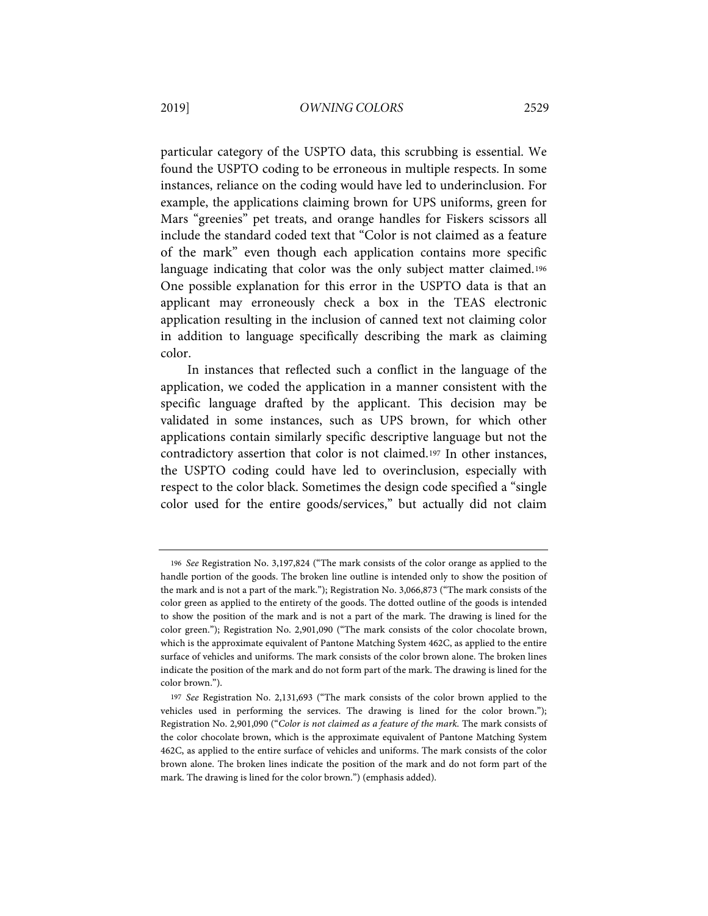particular category of the USPTO data, this scrubbing is essential. We found the USPTO coding to be erroneous in multiple respects. In some instances, reliance on the coding would have led to underinclusion. For example, the applications claiming brown for UPS uniforms, green for Mars "greenies" pet treats, and orange handles for Fiskers scissors all include the standard coded text that "Color is not claimed as a feature of the mark" even though each application contains more specific language indicating that color was the only subject matter claimed.<sup>[196](#page-49-0)</sup> One possible explanation for this error in the USPTO data is that an applicant may erroneously check a box in the TEAS electronic application resulting in the inclusion of canned text not claiming color in addition to language specifically describing the mark as claiming color.

In instances that reflected such a conflict in the language of the application, we coded the application in a manner consistent with the specific language drafted by the applicant. This decision may be validated in some instances, such as UPS brown, for which other applications contain similarly specific descriptive language but not the contradictory assertion that color is not claimed.[197](#page-47-1) In other instances, the USPTO coding could have led to overinclusion, especially with respect to the color black. Sometimes the design code specified a "single color used for the entire goods/services," but actually did not claim

<sup>196</sup> *See* Registration No. 3,197,824 ("The mark consists of the color orange as applied to the handle portion of the goods. The broken line outline is intended only to show the position of the mark and is not a part of the mark."); Registration No. 3,066,873 ("The mark consists of the color green as applied to the entirety of the goods. The dotted outline of the goods is intended to show the position of the mark and is not a part of the mark. The drawing is lined for the color green."); Registration No. 2,901,090 ("The mark consists of the color chocolate brown, which is the approximate equivalent of Pantone Matching System 462C, as applied to the entire surface of vehicles and uniforms. The mark consists of the color brown alone. The broken lines indicate the position of the mark and do not form part of the mark. The drawing is lined for the color brown.").

<span id="page-47-1"></span><span id="page-47-0"></span><sup>197</sup> *See* Registration No. 2,131,693 ("The mark consists of the color brown applied to the vehicles used in performing the services. The drawing is lined for the color brown."); Registration No. 2,901,090 ("*Color is not claimed as a feature of the mark.* The mark consists of the color chocolate brown, which is the approximate equivalent of Pantone Matching System 462C, as applied to the entire surface of vehicles and uniforms. The mark consists of the color brown alone. The broken lines indicate the position of the mark and do not form part of the mark. The drawing is lined for the color brown.") (emphasis added).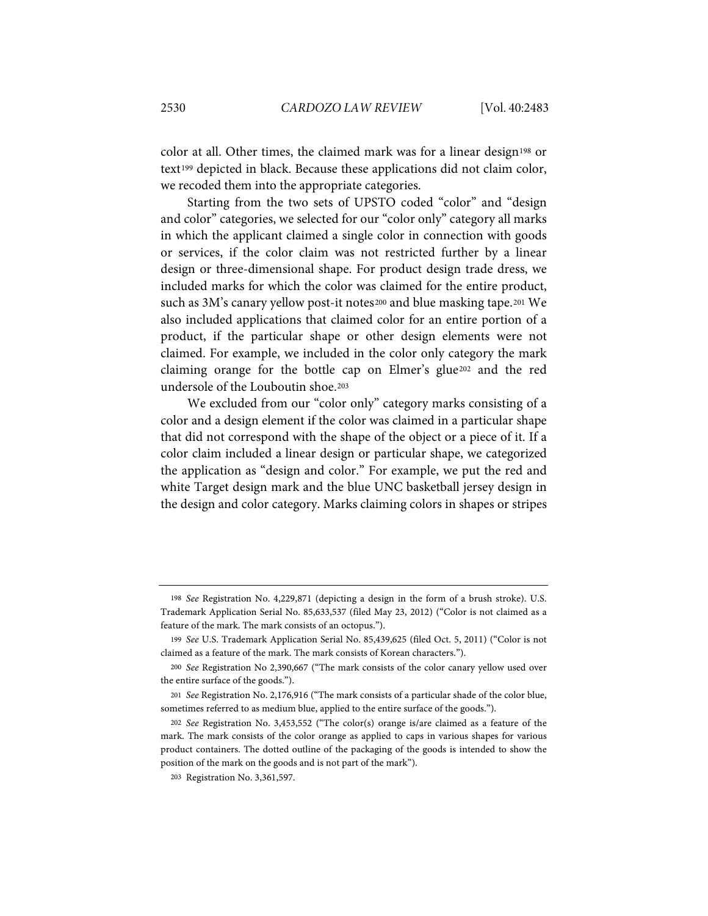color at all. Other times, the claimed mark was for a linear design<sup>[198](#page-48-0)</sup> or text[199](#page-48-1) depicted in black. Because these applications did not claim color, we recoded them into the appropriate categories.

Starting from the two sets of UPSTO coded "color" and "design and color" categories, we selected for our "color only" category all marks in which the applicant claimed a single color in connection with goods or services, if the color claim was not restricted further by a linear design or three-dimensional shape. For product design trade dress, we included marks for which the color was claimed for the entire product, such as 3M's canary yellow post-it notes<sup>[200](#page-48-2)</sup> and blue masking tape.<sup>[201](#page-48-3)</sup> We also included applications that claimed color for an entire portion of a product, if the particular shape or other design elements were not claimed. For example, we included in the color only category the mark claiming orange for the bottle cap on Elmer's glue[202](#page-48-4) and the red undersole of the Louboutin shoe.[203](#page-48-5)

We excluded from our "color only" category marks consisting of a color and a design element if the color was claimed in a particular shape that did not correspond with the shape of the object or a piece of it. If a color claim included a linear design or particular shape, we categorized the application as "design and color." For example, we put the red and white Target design mark and the blue UNC basketball jersey design in the design and color category. Marks claiming colors in shapes or stripes

<span id="page-48-0"></span><sup>198</sup> *See* Registration No. 4,229,871 (depicting a design in the form of a brush stroke). U.S. Trademark Application Serial No. 85,633,537 (filed May 23, 2012) ("Color is not claimed as a feature of the mark. The mark consists of an octopus.").

<span id="page-48-1"></span><sup>199</sup> *See* U.S. Trademark Application Serial No. 85,439,625 (filed Oct. 5, 2011) ("Color is not claimed as a feature of the mark. The mark consists of Korean characters.").

<span id="page-48-2"></span><sup>200</sup> *See* Registration No 2,390,667 ("The mark consists of the color canary yellow used over the entire surface of the goods.").

<span id="page-48-3"></span><sup>201</sup> *See* Registration No. 2,176,916 ("The mark consists of a particular shade of the color blue, sometimes referred to as medium blue, applied to the entire surface of the goods.").

<span id="page-48-5"></span><span id="page-48-4"></span><sup>202</sup> *See* Registration No. 3,453,552 ("The color(s) orange is/are claimed as a feature of the mark. The mark consists of the color orange as applied to caps in various shapes for various product containers. The dotted outline of the packaging of the goods is intended to show the position of the mark on the goods and is not part of the mark").

<sup>203</sup> Registration No. 3,361,597.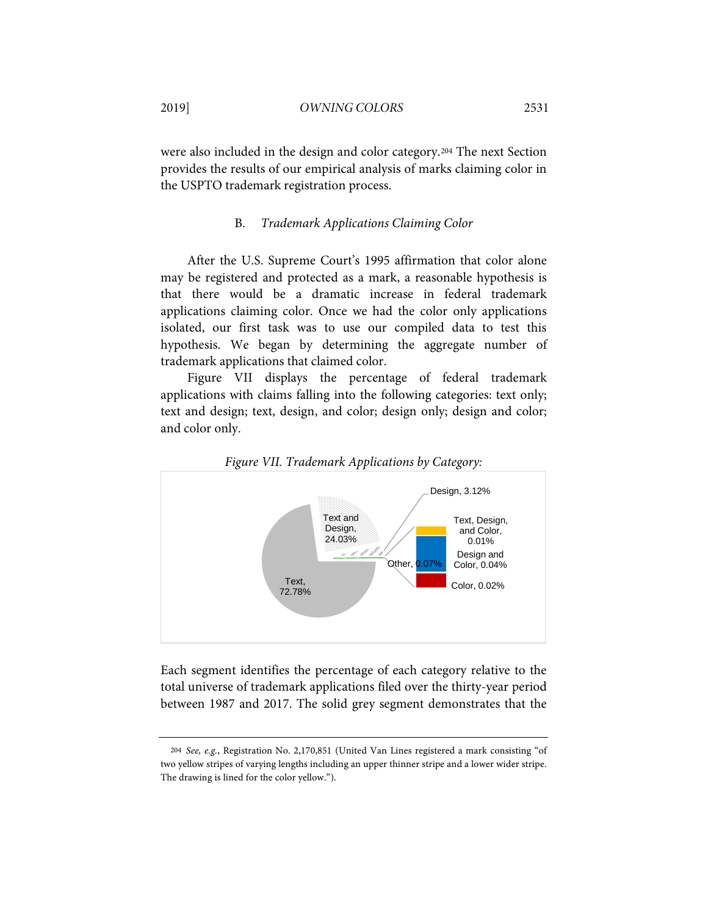were also included in the design and color category.[204](#page-49-1) The next Section provides the results of our empirical analysis of marks claiming color in the USPTO trademark registration process.

### B. *Trademark Applications Claiming Color*

After the U.S. Supreme Court's 1995 affirmation that color alone may be registered and protected as a mark, a reasonable hypothesis is that there would be a dramatic increase in federal trademark applications claiming color. Once we had the color only applications isolated, our first task was to use our compiled data to test this hypothesis. We began by determining the aggregate number of trademark applications that claimed color.

Figure VII displays the percentage of federal trademark applications with claims falling into the following categories: text only; text and design; text, design, and color; design only; design and color; and color only.

<span id="page-49-0"></span>



Each segment identifies the percentage of each category relative to the total universe of trademark applications filed over the thirty-year period between 1987 and 2017. The solid grey segment demonstrates that the

<span id="page-49-1"></span><sup>204</sup> *See, e.g.*, Registration No. 2,170,851 (United Van Lines registered a mark consisting "of two yellow stripes of varying lengths including an upper thinner stripe and a lower wider stripe. The drawing is lined for the color yellow.").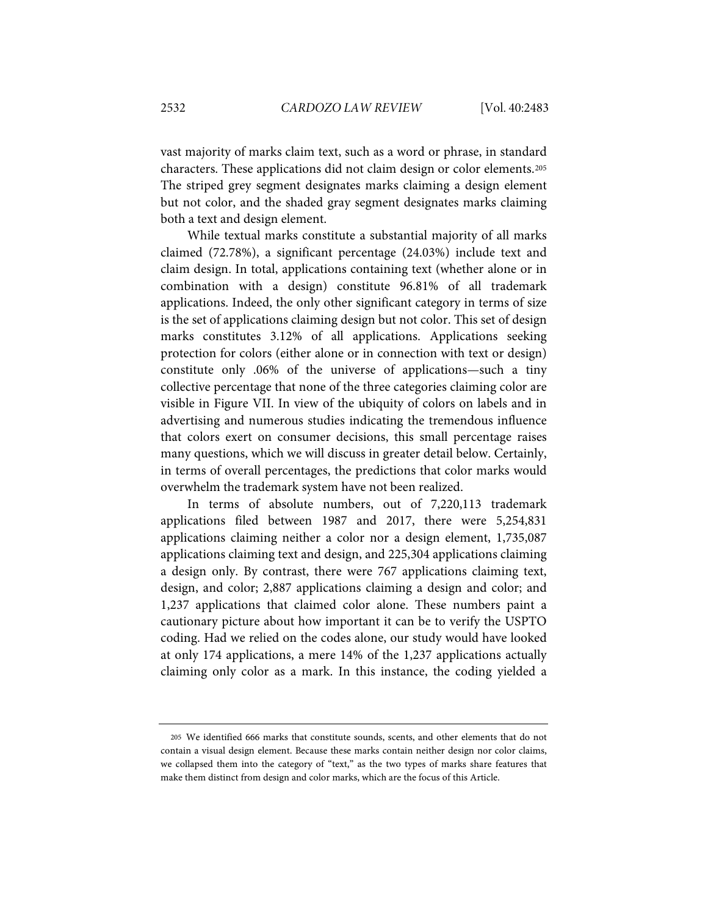vast majority of marks claim text, such as a word or phrase, in standard characters. These applications did not claim design or color elements.[205](#page-50-0) The striped grey segment designates marks claiming a design element but not color, and the shaded gray segment designates marks claiming both a text and design element.

While textual marks constitute a substantial majority of all marks claimed (72.78%), a significant percentage (24.03%) include text and claim design. In total, applications containing text (whether alone or in combination with a design) constitute 96.81% of all trademark applications. Indeed, the only other significant category in terms of size is the set of applications claiming design but not color. This set of design marks constitutes 3.12% of all applications. Applications seeking protection for colors (either alone or in connection with text or design) constitute only .06% of the universe of applications—such a tiny collective percentage that none of the three categories claiming color are visible in Figure VII. In view of the ubiquity of colors on labels and in advertising and numerous studies indicating the tremendous influence that colors exert on consumer decisions, this small percentage raises many questions, which we will discuss in greater detail below. Certainly, in terms of overall percentages, the predictions that color marks would overwhelm the trademark system have not been realized.

In terms of absolute numbers, out of 7,220,113 trademark applications filed between 1987 and 2017, there were 5,254,831 applications claiming neither a color nor a design element, 1,735,087 applications claiming text and design, and 225,304 applications claiming a design only. By contrast, there were 767 applications claiming text, design, and color; 2,887 applications claiming a design and color; and 1,237 applications that claimed color alone. These numbers paint a cautionary picture about how important it can be to verify the USPTO coding. Had we relied on the codes alone, our study would have looked at only 174 applications, a mere 14% of the 1,237 applications actually claiming only color as a mark. In this instance, the coding yielded a

<span id="page-50-0"></span><sup>205</sup> We identified 666 marks that constitute sounds, scents, and other elements that do not contain a visual design element. Because these marks contain neither design nor color claims, we collapsed them into the category of "text," as the two types of marks share features that make them distinct from design and color marks, which are the focus of this Article.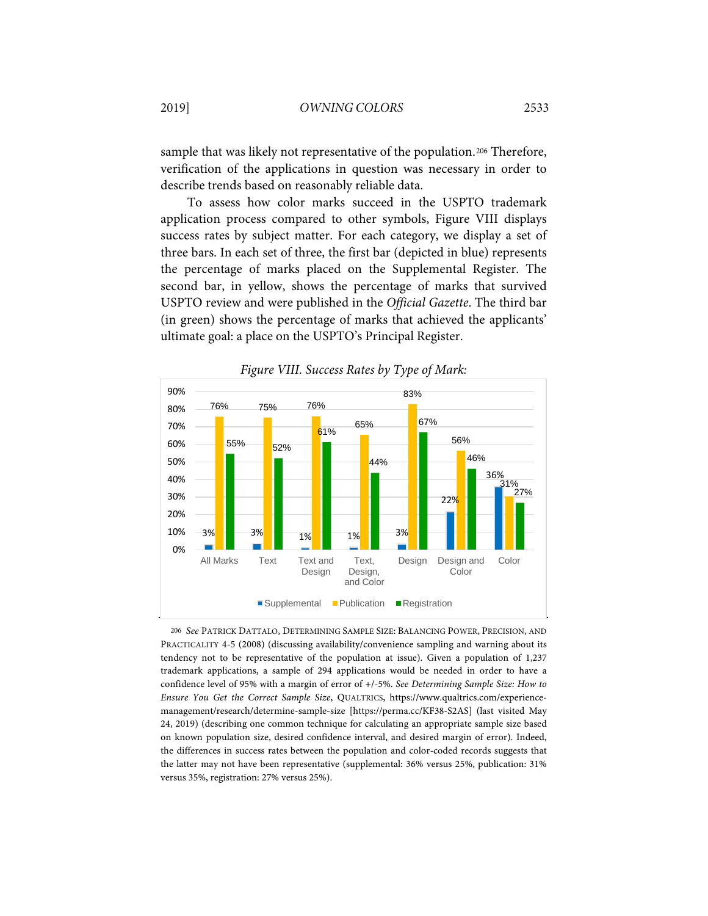sample that was likely not representative of the population.<sup>[206](#page-51-0)</sup> Therefore, verification of the applications in question was necessary in order to describe trends based on reasonably reliable data.

To assess how color marks succeed in the USPTO trademark application process compared to other symbols, Figure VIII displays success rates by subject matter. For each category, we display a set of three bars. In each set of three, the first bar (depicted in blue) represents the percentage of marks placed on the Supplemental Register. The second bar, in yellow, shows the percentage of marks that survived USPTO review and were published in the *Official Gazette*. The third bar (in green) shows the percentage of marks that achieved the applicants' ultimate goal: a place on the USPTO's Principal Register.



*Figure VIII. Success Rates by Type of Mark:*

<span id="page-51-0"></span>206 *See* PATRICK DATTALO, DETERMINING SAMPLE SIZE: BALANCING POWER, PRECISION, AND PRACTICALITY 4-5 (2008) (discussing availability/convenience sampling and warning about its tendency not to be representative of the population at issue). Given a population of 1,237 trademark applications, a sample of 294 applications would be needed in order to have a confidence level of 95% with a margin of error of +/-5%. *See Determining Sample Size: How to Ensure You Get the Correct Sample Size*, QUALTRICS, https://www.qualtrics.com/experiencemanagement/research/determine-sample-size [https://perma.cc/KF38-S2AS] (last visited May 24, 2019) (describing one common technique for calculating an appropriate sample size based on known population size, desired confidence interval, and desired margin of error). Indeed, the differences in success rates between the population and color-coded records suggests that the latter may not have been representative (supplemental: 36% versus 25%, publication: 31% versus 35%, registration: 27% versus 25%).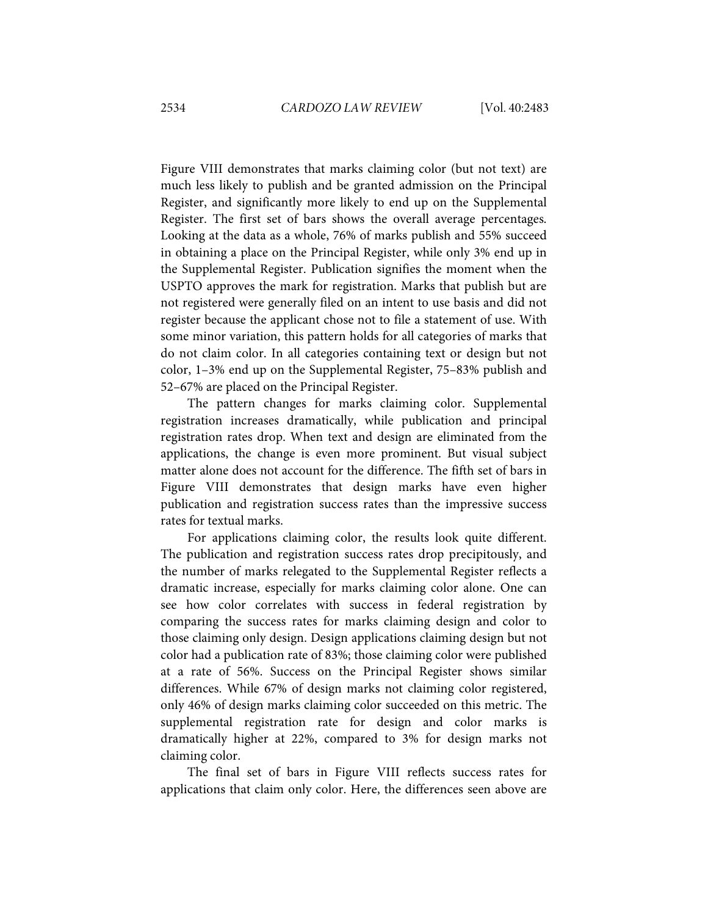Figure VIII demonstrates that marks claiming color (but not text) are much less likely to publish and be granted admission on the Principal Register, and significantly more likely to end up on the Supplemental Register. The first set of bars shows the overall average percentages. Looking at the data as a whole, 76% of marks publish and 55% succeed in obtaining a place on the Principal Register, while only 3% end up in the Supplemental Register. Publication signifies the moment when the USPTO approves the mark for registration. Marks that publish but are not registered were generally filed on an intent to use basis and did not register because the applicant chose not to file a statement of use. With some minor variation, this pattern holds for all categories of marks that do not claim color. In all categories containing text or design but not color, 1–3% end up on the Supplemental Register, 75–83% publish and 52–67% are placed on the Principal Register.

The pattern changes for marks claiming color. Supplemental registration increases dramatically, while publication and principal registration rates drop. When text and design are eliminated from the applications, the change is even more prominent. But visual subject matter alone does not account for the difference. The fifth set of bars in Figure VIII demonstrates that design marks have even higher publication and registration success rates than the impressive success rates for textual marks.

For applications claiming color, the results look quite different. The publication and registration success rates drop precipitously, and the number of marks relegated to the Supplemental Register reflects a dramatic increase, especially for marks claiming color alone. One can see how color correlates with success in federal registration by comparing the success rates for marks claiming design and color to those claiming only design. Design applications claiming design but not color had a publication rate of 83%; those claiming color were published at a rate of 56%. Success on the Principal Register shows similar differences. While 67% of design marks not claiming color registered, only 46% of design marks claiming color succeeded on this metric. The supplemental registration rate for design and color marks is dramatically higher at 22%, compared to 3% for design marks not claiming color.

The final set of bars in Figure VIII reflects success rates for applications that claim only color. Here, the differences seen above are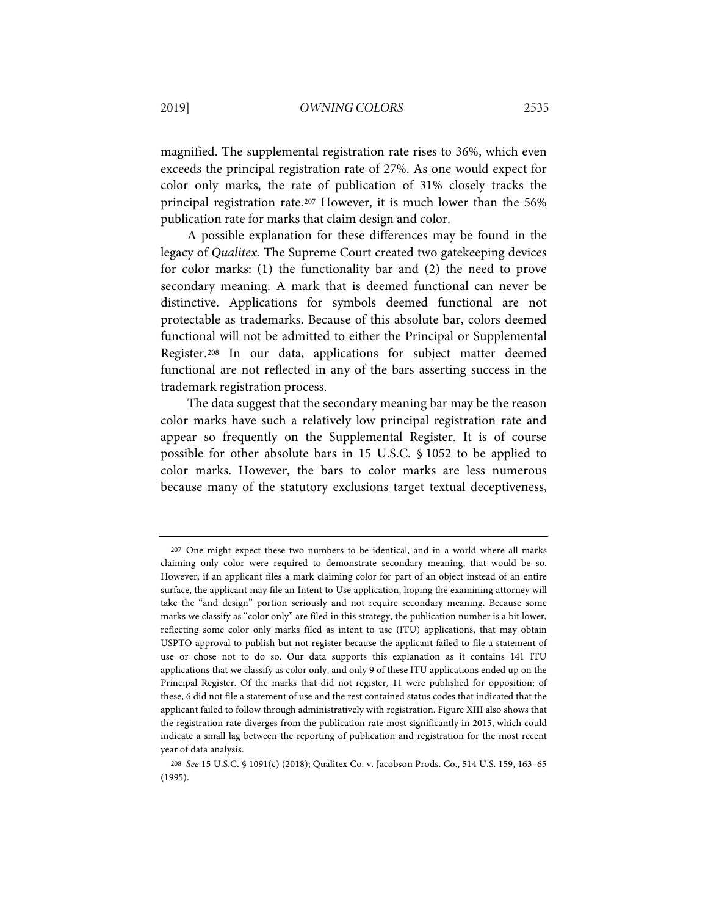magnified. The supplemental registration rate rises to 36%, which even exceeds the principal registration rate of 27%. As one would expect for color only marks, the rate of publication of 31% closely tracks the principal registration rate.[207](#page-55-0) However, it is much lower than the 56% publication rate for marks that claim design and color.

A possible explanation for these differences may be found in the legacy of *Qualitex.* The Supreme Court created two gatekeeping devices for color marks: (1) the functionality bar and (2) the need to prove secondary meaning. A mark that is deemed functional can never be distinctive. Applications for symbols deemed functional are not protectable as trademarks. Because of this absolute bar, colors deemed functional will not be admitted to either the Principal or Supplemental Register.[208](#page-53-0) In our data, applications for subject matter deemed functional are not reflected in any of the bars asserting success in the trademark registration process.

The data suggest that the secondary meaning bar may be the reason color marks have such a relatively low principal registration rate and appear so frequently on the Supplemental Register. It is of course possible for other absolute bars in 15 U.S.C. § 1052 to be applied to color marks. However, the bars to color marks are less numerous because many of the statutory exclusions target textual deceptiveness,

<sup>207</sup> One might expect these two numbers to be identical, and in a world where all marks claiming only color were required to demonstrate secondary meaning, that would be so. However, if an applicant files a mark claiming color for part of an object instead of an entire surface, the applicant may file an Intent to Use application, hoping the examining attorney will take the "and design" portion seriously and not require secondary meaning. Because some marks we classify as "color only" are filed in this strategy, the publication number is a bit lower, reflecting some color only marks filed as intent to use (ITU) applications, that may obtain USPTO approval to publish but not register because the applicant failed to file a statement of use or chose not to do so. Our data supports this explanation as it contains 141 ITU applications that we classify as color only, and only 9 of these ITU applications ended up on the Principal Register. Of the marks that did not register, 11 were published for opposition; of these, 6 did not file a statement of use and the rest contained status codes that indicated that the applicant failed to follow through administratively with registration. Figure XIII also shows that the registration rate diverges from the publication rate most significantly in 2015, which could indicate a small lag between the reporting of publication and registration for the most recent year of data analysis.

<span id="page-53-0"></span><sup>208</sup> *See* 15 U.S.C. § 1091(c) (2018); Qualitex Co. v. Jacobson Prods. Co., 514 U.S. 159, 163–65 (1995).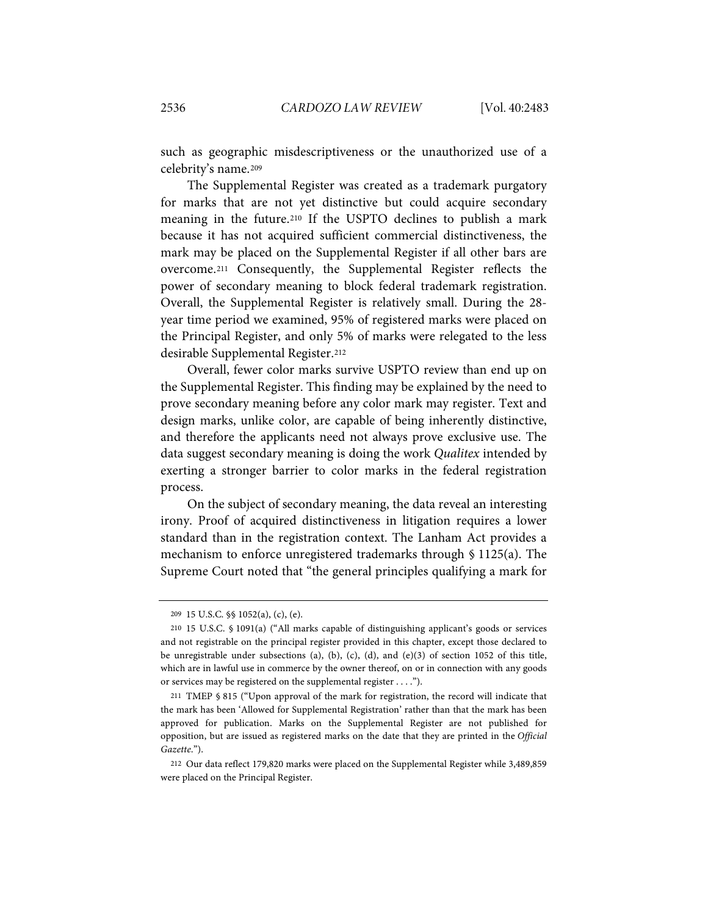such as geographic misdescriptiveness or the unauthorized use of a celebrity's name.[209](#page-54-0)

The Supplemental Register was created as a trademark purgatory for marks that are not yet distinctive but could acquire secondary meaning in the future.[210](#page-54-1) If the USPTO declines to publish a mark because it has not acquired sufficient commercial distinctiveness, the mark may be placed on the Supplemental Register if all other bars are overcome[.211](#page-54-2) Consequently, the Supplemental Register reflects the power of secondary meaning to block federal trademark registration. Overall, the Supplemental Register is relatively small. During the 28 year time period we examined, 95% of registered marks were placed on the Principal Register, and only 5% of marks were relegated to the less desirable Supplemental Register.[212](#page-54-3)

Overall, fewer color marks survive USPTO review than end up on the Supplemental Register. This finding may be explained by the need to prove secondary meaning before any color mark may register. Text and design marks, unlike color, are capable of being inherently distinctive, and therefore the applicants need not always prove exclusive use. The data suggest secondary meaning is doing the work *Qualitex* intended by exerting a stronger barrier to color marks in the federal registration process.

On the subject of secondary meaning, the data reveal an interesting irony. Proof of acquired distinctiveness in litigation requires a lower standard than in the registration context. The Lanham Act provides a mechanism to enforce unregistered trademarks through § 1125(a). The Supreme Court noted that "the general principles qualifying a mark for

<sup>209</sup> 15 U.S.C. §§ 1052(a), (c), (e).

<span id="page-54-1"></span><span id="page-54-0"></span><sup>210</sup> 15 U.S.C. § 1091(a) ("All marks capable of distinguishing applicant's goods or services and not registrable on the principal register provided in this chapter, except those declared to be unregistrable under subsections (a), (b), (c), (d), and (e)(3) of section 1052 of this title, which are in lawful use in commerce by the owner thereof, on or in connection with any goods or services may be registered on the supplemental register . . . .").

<span id="page-54-2"></span><sup>211</sup> TMEP § 815 ("Upon approval of the mark for registration, the record will indicate that the mark has been 'Allowed for Supplemental Registration' rather than that the mark has been approved for publication. Marks on the Supplemental Register are not published for opposition, but are issued as registered marks on the date that they are printed in the *Official Gazette*.").

<span id="page-54-3"></span><sup>212</sup> Our data reflect 179,820 marks were placed on the Supplemental Register while 3,489,859 were placed on the Principal Register.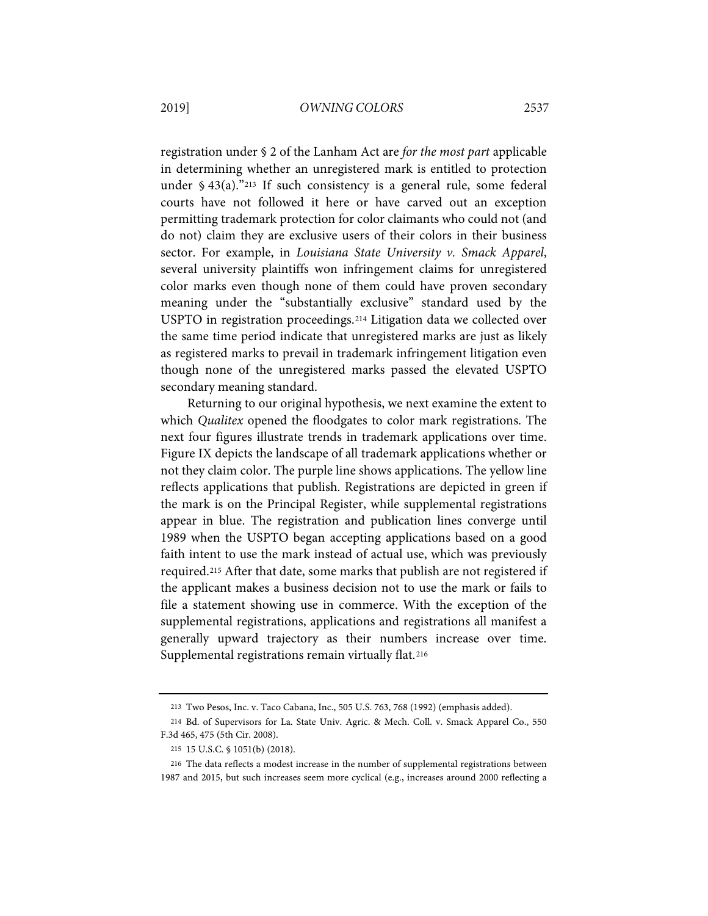registration under § 2 of the Lanham Act are *for the most part* applicable in determining whether an unregistered mark is entitled to protection under  $$43(a)$ ."<sup>[213](#page-57-0)</sup> If such consistency is a general rule, some federal courts have not followed it here or have carved out an exception permitting trademark protection for color claimants who could not (and do not) claim they are exclusive users of their colors in their business sector. For example, in *Louisiana State University v. Smack Apparel*, several university plaintiffs won infringement claims for unregistered color marks even though none of them could have proven secondary meaning under the "substantially exclusive" standard used by the USPTO in registration proceedings.[214](#page-55-1) Litigation data we collected over the same time period indicate that unregistered marks are just as likely as registered marks to prevail in trademark infringement litigation even though none of the unregistered marks passed the elevated USPTO secondary meaning standard.

<span id="page-55-0"></span>Returning to our original hypothesis, we next examine the extent to which *Qualitex* opened the floodgates to color mark registrations. The next four figures illustrate trends in trademark applications over time. Figure IX depicts the landscape of all trademark applications whether or not they claim color. The purple line shows applications. The yellow line reflects applications that publish. Registrations are depicted in green if the mark is on the Principal Register, while supplemental registrations appear in blue. The registration and publication lines converge until 1989 when the USPTO began accepting applications based on a good faith intent to use the mark instead of actual use, which was previously required.[215](#page-55-2) After that date, some marks that publish are not registered if the applicant makes a business decision not to use the mark or fails to file a statement showing use in commerce. With the exception of the supplemental registrations, applications and registrations all manifest a generally upward trajectory as their numbers increase over time. Supplemental registrations remain virtually flat.<sup>[216](#page-55-3)</sup>

<sup>213</sup> Two Pesos, Inc. v. Taco Cabana, Inc., 505 U.S. 763, 768 (1992) (emphasis added).

<span id="page-55-1"></span><sup>214</sup> Bd. of Supervisors for La. State Univ. Agric. & Mech. Coll. v. Smack Apparel Co., 550 F.3d 465, 475 (5th Cir. 2008).

<sup>215</sup> 15 U.S.C. § 1051(b) (2018).

<span id="page-55-3"></span><span id="page-55-2"></span><sup>216</sup> The data reflects a modest increase in the number of supplemental registrations between 1987 and 2015, but such increases seem more cyclical (e.g., increases around 2000 reflecting a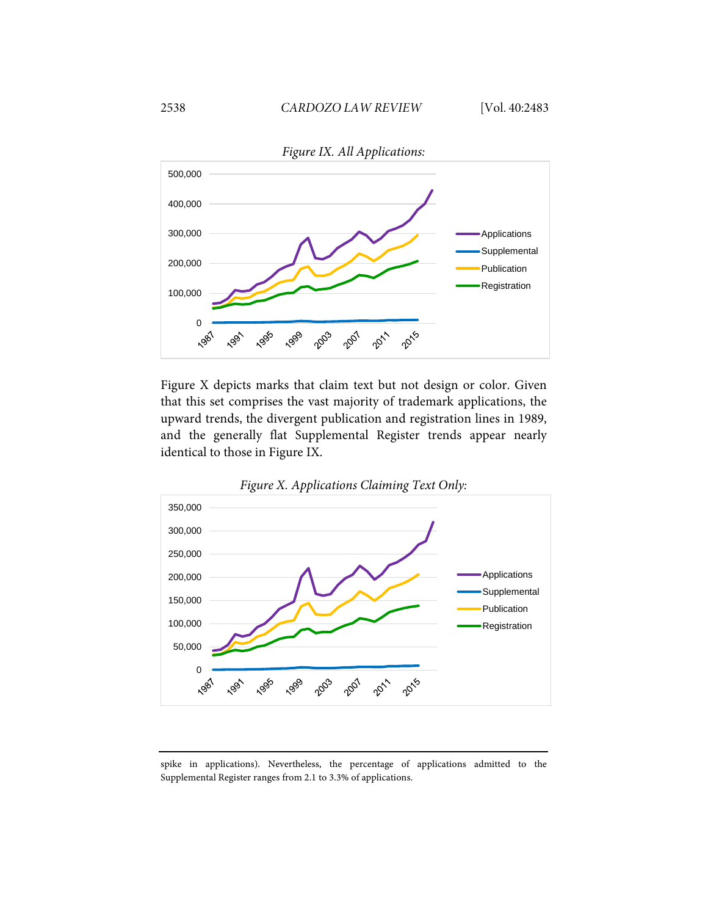

Figure X depicts marks that claim text but not design or color. Given that this set comprises the vast majority of trademark applications, the upward trends, the divergent publication and registration lines in 1989, and the generally flat Supplemental Register trends appear nearly identical to those in Figure IX.



spike in applications). Nevertheless, the percentage of applications admitted to the Supplemental Register ranges from 2.1 to 3.3% of applications.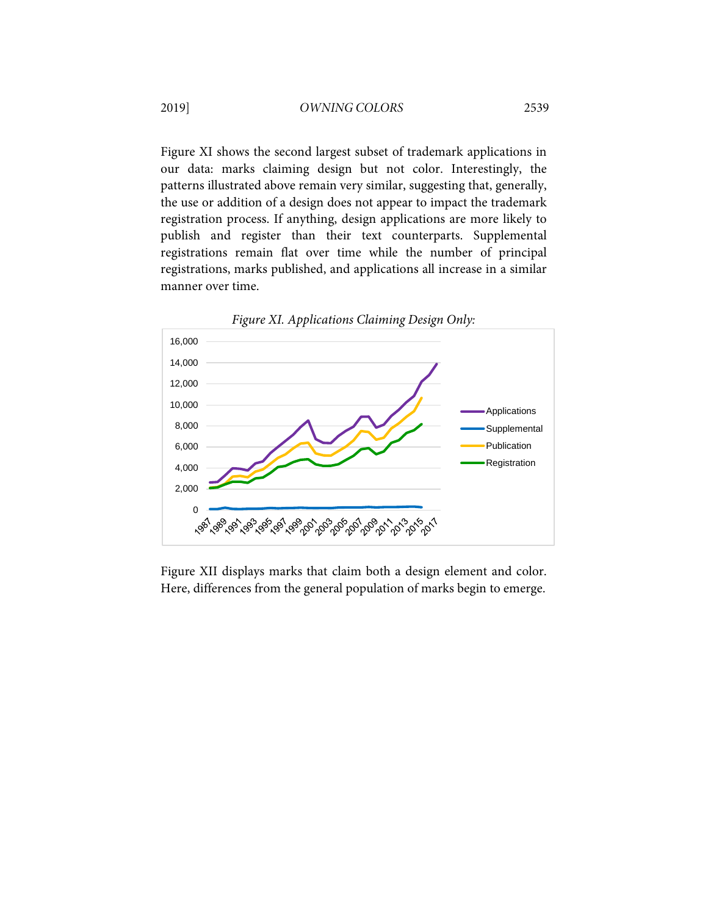Figure XI shows the second largest subset of trademark applications in our data: marks claiming design but not color. Interestingly, the patterns illustrated above remain very similar, suggesting that, generally, the use or addition of a design does not appear to impact the trademark registration process. If anything, design applications are more likely to publish and register than their text counterparts. Supplemental registrations remain flat over time while the number of principal registrations, marks published, and applications all increase in a similar manner over time.



<span id="page-57-0"></span>Figure XII displays marks that claim both a design element and color. Here, differences from the general population of marks begin to emerge.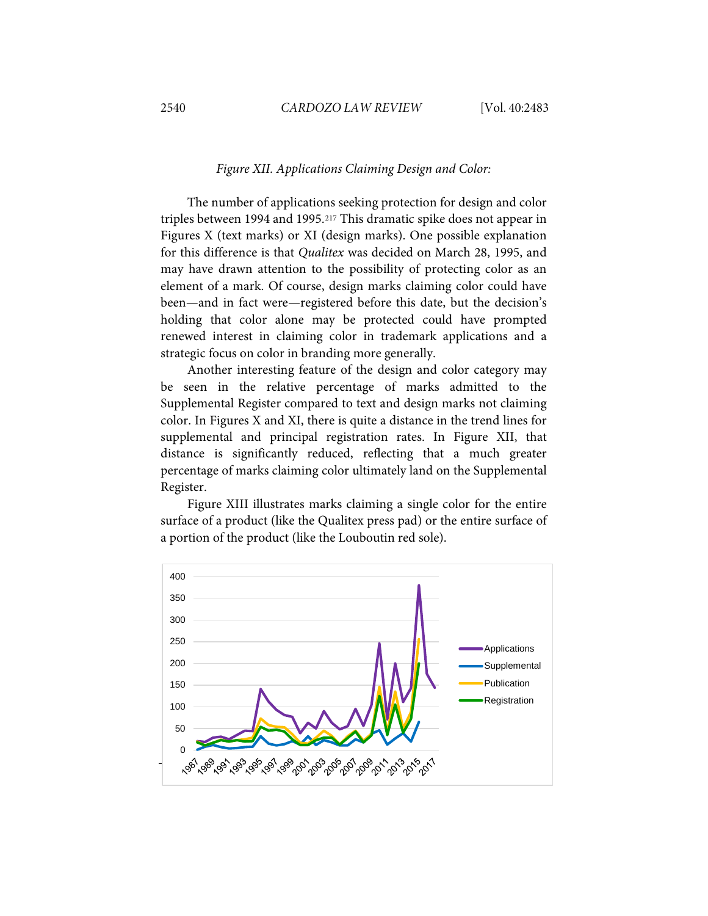#### *Figure XII. Applications Claiming Design and Color:*

The number of applications seeking protection for design and color triples between 1994 and 1995.[217](#page-60-0) This dramatic spike does not appear in Figures X (text marks) or XI (design marks). One possible explanation for this difference is that *Qualitex* was decided on March 28, 1995, and may have drawn attention to the possibility of protecting color as an element of a mark. Of course, design marks claiming color could have been—and in fact were—registered before this date, but the decision's holding that color alone may be protected could have prompted renewed interest in claiming color in trademark applications and a strategic focus on color in branding more generally.

Another interesting feature of the design and color category may be seen in the relative percentage of marks admitted to the Supplemental Register compared to text and design marks not claiming color. In Figures X and XI, there is quite a distance in the trend lines for supplemental and principal registration rates. In Figure XII, that distance is significantly reduced, reflecting that a much greater percentage of marks claiming color ultimately land on the Supplemental Register.

Figure XIII illustrates marks claiming a single color for the entire surface of a product (like the Qualitex press pad) or the entire surface of a portion of the product (like the Louboutin red sole).

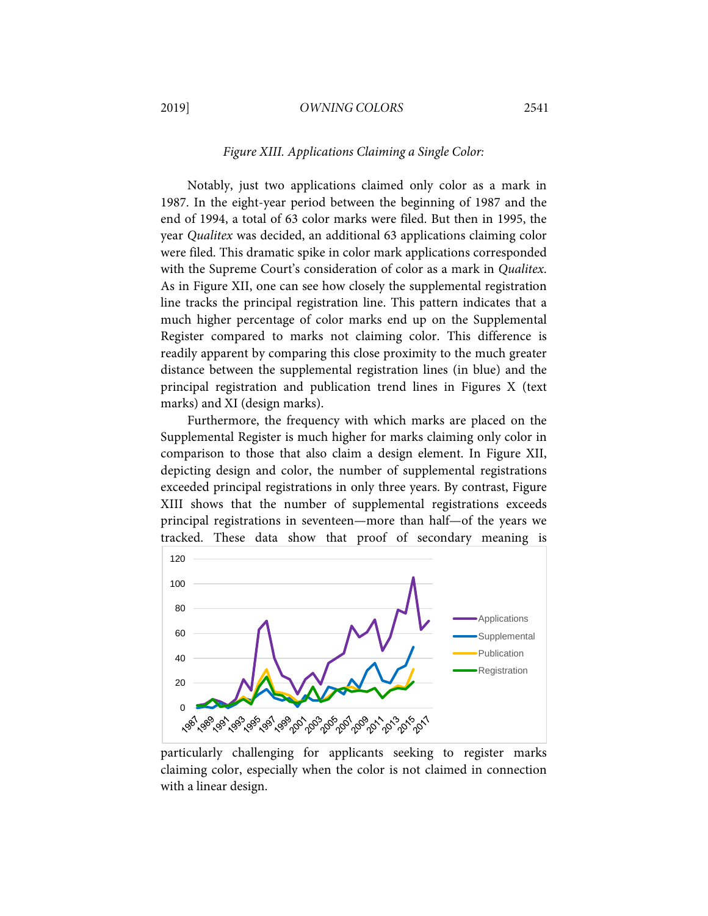### 2019] *OWNING COLORS* 2541

#### *Figure XIII. Applications Claiming a Single Color:*

Notably, just two applications claimed only color as a mark in 1987. In the eight-year period between the beginning of 1987 and the end of 1994, a total of 63 color marks were filed. But then in 1995, the year *Qualitex* was decided, an additional 63 applications claiming color were filed. This dramatic spike in color mark applications corresponded with the Supreme Court's consideration of color as a mark in *Qualitex*. As in Figure XII, one can see how closely the supplemental registration line tracks the principal registration line. This pattern indicates that a much higher percentage of color marks end up on the Supplemental Register compared to marks not claiming color. This difference is readily apparent by comparing this close proximity to the much greater distance between the supplemental registration lines (in blue) and the principal registration and publication trend lines in Figures X (text marks) and XI (design marks).

Furthermore, the frequency with which marks are placed on the Supplemental Register is much higher for marks claiming only color in comparison to those that also claim a design element. In Figure XII, depicting design and color, the number of supplemental registrations exceeded principal registrations in only three years. By contrast, Figure XIII shows that the number of supplemental registrations exceeds principal registrations in seventeen—more than half—of the years we tracked. These data show that proof of secondary meaning is



particularly challenging for applicants seeking to register marks claiming color, especially when the color is not claimed in connection with a linear design.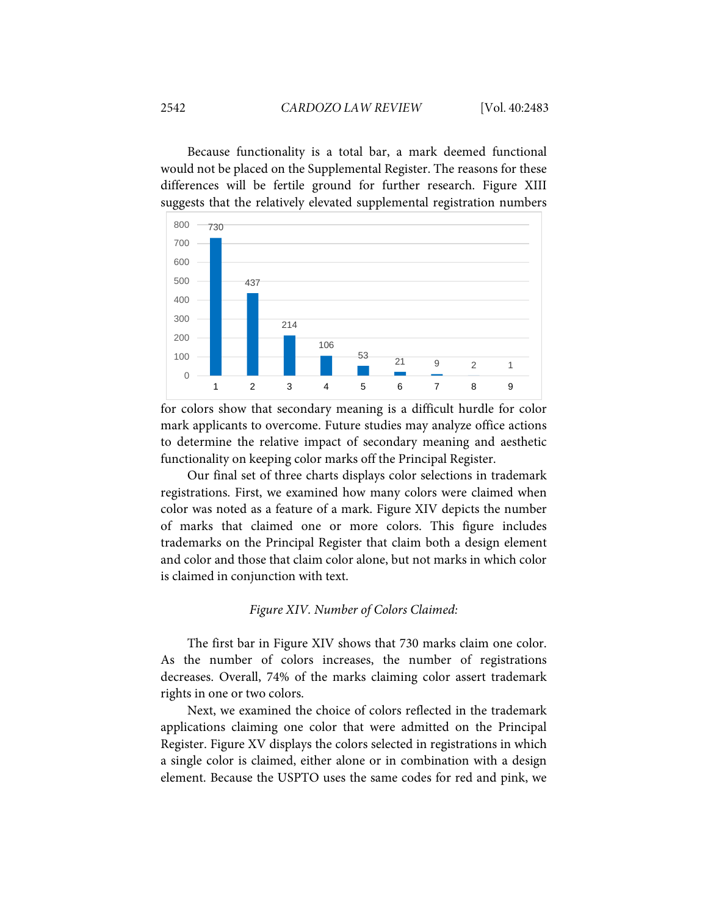Because functionality is a total bar, a mark deemed functional would not be placed on the Supplemental Register. The reasons for these differences will be fertile ground for further research. Figure XIII suggests that the relatively elevated supplemental registration numbers



for colors show that secondary meaning is a difficult hurdle for color mark applicants to overcome. Future studies may analyze office actions to determine the relative impact of secondary meaning and aesthetic functionality on keeping color marks off the Principal Register.

Our final set of three charts displays color selections in trademark registrations. First, we examined how many colors were claimed when color was noted as a feature of a mark. Figure XIV depicts the number of marks that claimed one or more colors. This figure includes trademarks on the Principal Register that claim both a design element and color and those that claim color alone, but not marks in which color is claimed in conjunction with text.

#### *Figure XIV. Number of Colors Claimed:*

The first bar in Figure XIV shows that 730 marks claim one color. As the number of colors increases, the number of registrations decreases. Overall, 74% of the marks claiming color assert trademark rights in one or two colors.

<span id="page-60-0"></span>Next, we examined the choice of colors reflected in the trademark applications claiming one color that were admitted on the Principal Register. Figure XV displays the colors selected in registrations in which a single color is claimed, either alone or in combination with a design element. Because the USPTO uses the same codes for red and pink, we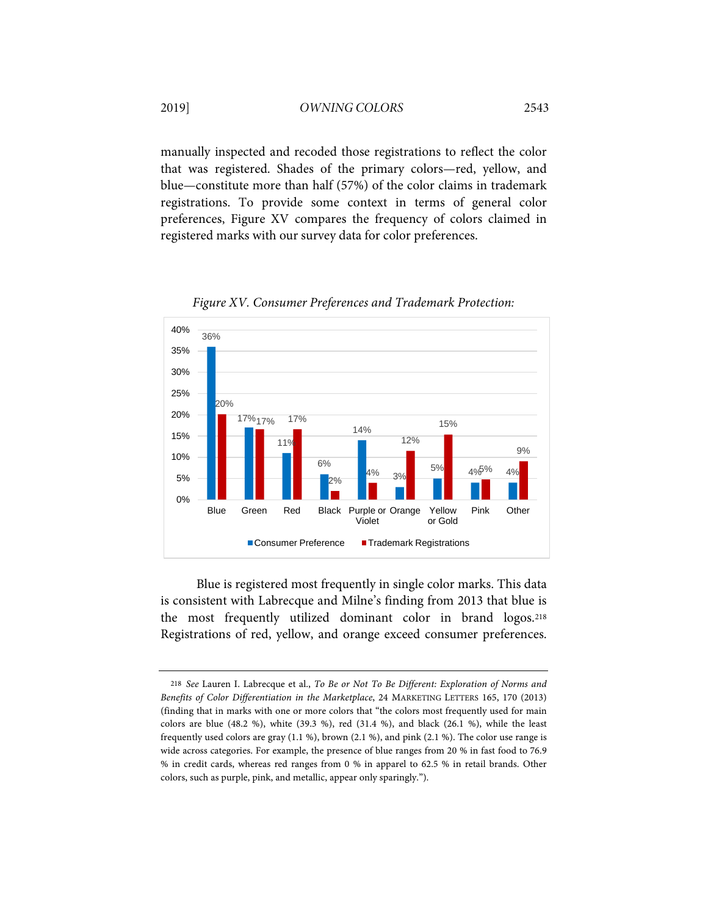manually inspected and recoded those registrations to reflect the color that was registered. Shades of the primary colors—red, yellow, and blue—constitute more than half (57%) of the color claims in trademark registrations. To provide some context in terms of general color preferences, Figure XV compares the frequency of colors claimed in registered marks with our survey data for color preferences.



*Figure XV. Consumer Preferences and Trademark Protection:*

Blue is registered most frequently in single color marks. This data is consistent with Labrecque and Milne's finding from 2013 that blue is the most frequently utilized dominant color in brand logos.[218](#page-61-0) Registrations of red, yellow, and orange exceed consumer preferences.

<span id="page-61-0"></span><sup>218</sup> *See* Lauren I. Labrecque et al., *To Be or Not To Be Different: Exploration of Norms and Benefits of Color Differentiation in the Marketplace*, 24 MARKETING LETTERS 165, 170 (2013) (finding that in marks with one or more colors that "the colors most frequently used for main colors are blue (48.2 %), white (39.3 %), red (31.4 %), and black (26.1 %), while the least frequently used colors are gray (1.1 %), brown (2.1 %), and pink (2.1 %). The color use range is wide across categories. For example, the presence of blue ranges from 20 % in fast food to 76.9 % in credit cards, whereas red ranges from 0 % in apparel to 62.5 % in retail brands. Other colors, such as purple, pink, and metallic, appear only sparingly.").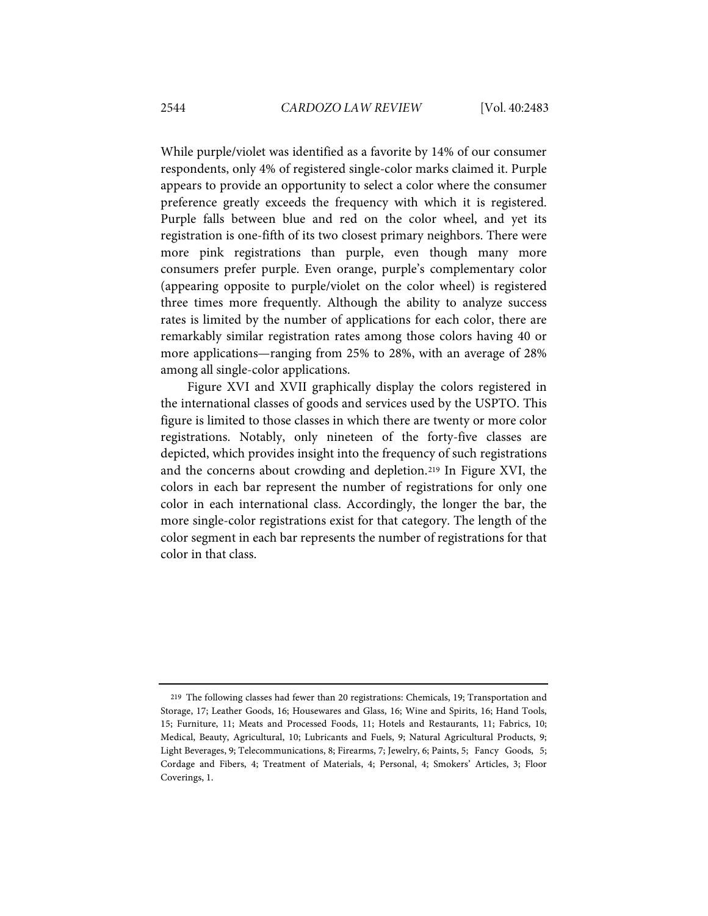While purple/violet was identified as a favorite by 14% of our consumer respondents, only 4% of registered single-color marks claimed it. Purple appears to provide an opportunity to select a color where the consumer preference greatly exceeds the frequency with which it is registered. Purple falls between blue and red on the color wheel, and yet its registration is one-fifth of its two closest primary neighbors. There were more pink registrations than purple, even though many more consumers prefer purple. Even orange, purple's complementary color (appearing opposite to purple/violet on the color wheel) is registered three times more frequently. Although the ability to analyze success rates is limited by the number of applications for each color, there are remarkably similar registration rates among those colors having 40 or more applications—ranging from 25% to 28%, with an average of 28% among all single-color applications.

Figure XVI and XVII graphically display the colors registered in the international classes of goods and services used by the USPTO. This figure is limited to those classes in which there are twenty or more color registrations. Notably, only nineteen of the forty-five classes are depicted, which provides insight into the frequency of such registrations and the concerns about crowding and depletion.[219](#page-62-0) In Figure XVI, the colors in each bar represent the number of registrations for only one color in each international class. Accordingly, the longer the bar, the more single-color registrations exist for that category. The length of the color segment in each bar represents the number of registrations for that color in that class.

<span id="page-62-0"></span><sup>219</sup> The following classes had fewer than 20 registrations: Chemicals, 19; Transportation and Storage, 17; Leather Goods, 16; Housewares and Glass, 16; Wine and Spirits, 16; Hand Tools, 15; Furniture, 11; Meats and Processed Foods, 11; Hotels and Restaurants, 11; Fabrics, 10; Medical, Beauty, Agricultural, 10; Lubricants and Fuels, 9; Natural Agricultural Products, 9; Light Beverages, 9; Telecommunications, 8; Firearms, 7; Jewelry, 6; Paints, 5; Fancy Goods, 5; Cordage and Fibers, 4; Treatment of Materials, 4; Personal, 4; Smokers' Articles, 3; Floor Coverings, 1.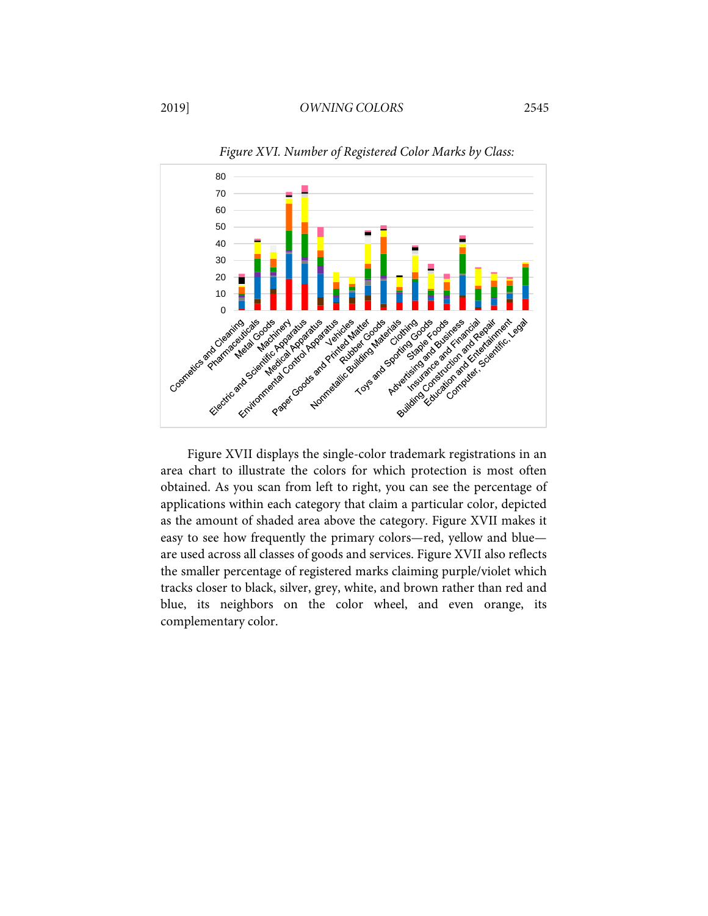

*Figure XVI. Number of Registered Color Marks by Class:*

Figure XVII displays the single-color trademark registrations in an area chart to illustrate the colors for which protection is most often obtained. As you scan from left to right, you can see the percentage of applications within each category that claim a particular color, depicted as the amount of shaded area above the category. Figure XVII makes it easy to see how frequently the primary colors—red, yellow and blue are used across all classes of goods and services. Figure XVII also reflects the smaller percentage of registered marks claiming purple/violet which tracks closer to black, silver, grey, white, and brown rather than red and blue, its neighbors on the color wheel, and even orange, its complementary color.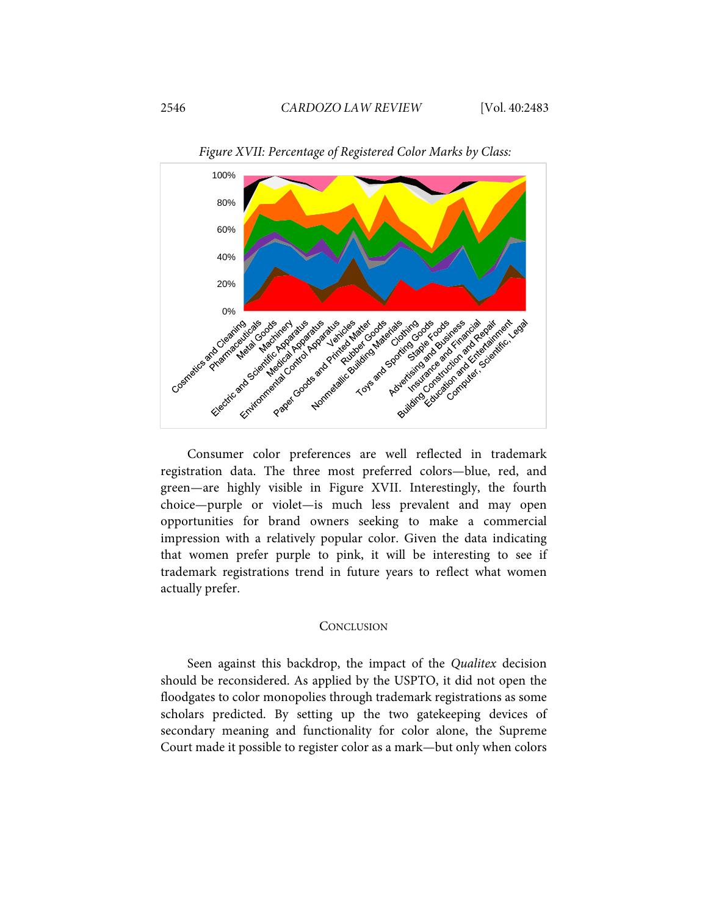

*Figure XVII: Percentage of Registered Color Marks by Class:*

Consumer color preferences are well reflected in trademark registration data. The three most preferred colors—blue, red, and green—are highly visible in Figure XVII. Interestingly, the fourth choice—purple or violet—is much less prevalent and may open opportunities for brand owners seeking to make a commercial impression with a relatively popular color. Given the data indicating that women prefer purple to pink, it will be interesting to see if trademark registrations trend in future years to reflect what women actually prefer.

#### **CONCLUSION**

Seen against this backdrop, the impact of the *Qualitex* decision should be reconsidered. As applied by the USPTO, it did not open the floodgates to color monopolies through trademark registrations as some scholars predicted. By setting up the two gatekeeping devices of secondary meaning and functionality for color alone, the Supreme Court made it possible to register color as a mark—but only when colors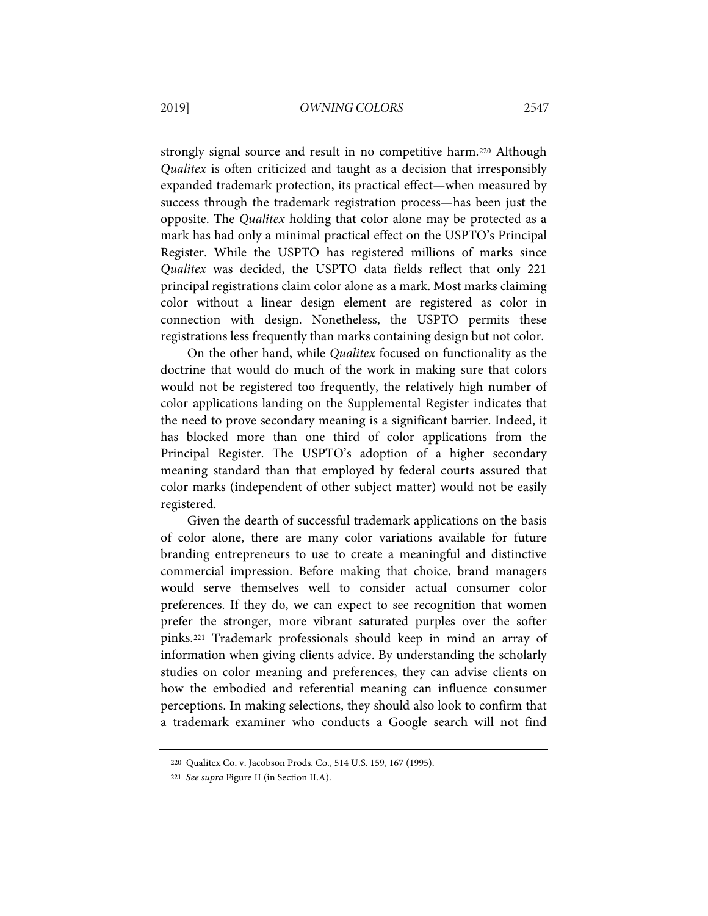strongly signal source and result in no competitive harm.[220](#page-65-0) Although *Qualitex* is often criticized and taught as a decision that irresponsibly expanded trademark protection, its practical effect—when measured by success through the trademark registration process—has been just the opposite. The *Qualitex* holding that color alone may be protected as a mark has had only a minimal practical effect on the USPTO's Principal Register. While the USPTO has registered millions of marks since *Qualitex* was decided, the USPTO data fields reflect that only 221 principal registrations claim color alone as a mark. Most marks claiming color without a linear design element are registered as color in connection with design. Nonetheless, the USPTO permits these registrations less frequently than marks containing design but not color.

On the other hand, while *Qualitex* focused on functionality as the doctrine that would do much of the work in making sure that colors would not be registered too frequently, the relatively high number of color applications landing on the Supplemental Register indicates that the need to prove secondary meaning is a significant barrier. Indeed, it has blocked more than one third of color applications from the Principal Register. The USPTO's adoption of a higher secondary meaning standard than that employed by federal courts assured that color marks (independent of other subject matter) would not be easily registered.

Given the dearth of successful trademark applications on the basis of color alone, there are many color variations available for future branding entrepreneurs to use to create a meaningful and distinctive commercial impression. Before making that choice, brand managers would serve themselves well to consider actual consumer color preferences. If they do, we can expect to see recognition that women prefer the stronger, more vibrant saturated purples over the softer pinks[.221](#page-65-1) Trademark professionals should keep in mind an array of information when giving clients advice. By understanding the scholarly studies on color meaning and preferences, they can advise clients on how the embodied and referential meaning can influence consumer perceptions. In making selections, they should also look to confirm that a trademark examiner who conducts a Google search will not find

<span id="page-65-0"></span><sup>220</sup> Qualitex Co. v. Jacobson Prods. Co., 514 U.S. 159, 167 (1995).

<span id="page-65-1"></span><sup>221</sup> *See supra* Figure II (in Section II.A).